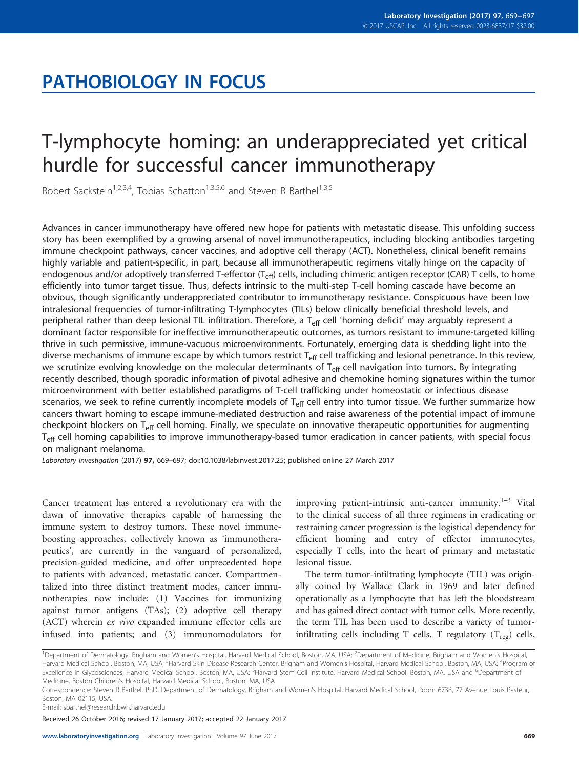# PATHOBIOLOGY IN FOCUS

# T-lymphocyte homing: an underappreciated yet critical hurdle for successful cancer immunotherapy

Robert Sackstein<sup>1,2,3,4</sup>, Tobias Schatton<sup>1,3,5,6</sup> and Steven R Barthel<sup>1,3,5</sup>

Advances in cancer immunotherapy have offered new hope for patients with metastatic disease. This unfolding success story has been exemplified by a growing arsenal of novel immunotherapeutics, including blocking antibodies targeting immune checkpoint pathways, cancer vaccines, and adoptive cell therapy (ACT). Nonetheless, clinical benefit remains highly variable and patient-specific, in part, because all immunotherapeutic regimens vitally hinge on the capacity of endogenous and/or adoptively transferred T-effector  $(T_{\text{eff}})$  cells, including chimeric antigen receptor (CAR) T cells, to home efficiently into tumor target tissue. Thus, defects intrinsic to the multi-step T-cell homing cascade have become an obvious, though significantly underappreciated contributor to immunotherapy resistance. Conspicuous have been low intralesional frequencies of tumor-infiltrating T-lymphocytes (TILs) below clinically beneficial threshold levels, and peripheral rather than deep lesional TIL infiltration. Therefore, a T<sub>eff</sub> cell 'homing deficit' may arguably represent a dominant factor responsible for ineffective immunotherapeutic outcomes, as tumors resistant to immune-targeted killing thrive in such permissive, immune-vacuous microenvironments. Fortunately, emerging data is shedding light into the diverse mechanisms of immune escape by which tumors restrict  $T_{\text{eff}}$  cell trafficking and lesional penetrance. In this review, we scrutinize evolving knowledge on the molecular determinants of  $T_{\text{eff}}$  cell navigation into tumors. By integrating recently described, though sporadic information of pivotal adhesive and chemokine homing signatures within the tumor microenvironment with better established paradigms of T-cell trafficking under homeostatic or infectious disease scenarios, we seek to refine currently incomplete models of  $T_{\text{eff}}$  cell entry into tumor tissue. We further summarize how cancers thwart homing to escape immune-mediated destruction and raise awareness of the potential impact of immune checkpoint blockers on  $T_{\text{eff}}$  cell homing. Finally, we speculate on innovative therapeutic opportunities for augmenting T<sub>eff</sub> cell homing capabilities to improve immunotherapy-based tumor eradication in cancer patients, with special focus on malignant melanoma.

Laboratory Investigation (2017) 97, 669–697; doi[:10.1038/labinvest.2017.25](http://dx.doi.org/10.1038/labinvest.2017.25); published online 27 March 2017

Cancer treatment has entered a revolutionary era with the dawn of innovative therapies capable of harnessing the immune system to destroy tumors. These novel immuneboosting approaches, collectively known as 'immunotherapeutics', are currently in the vanguard of personalized, precision-guided medicine, and offer unprecedented hope to patients with advanced, metastatic cancer. Compartmentalized into three distinct treatment modes, cancer immunotherapies now include: (1) Vaccines for immunizing against tumor antigens (TAs); (2) adoptive cell therapy (ACT) wherein ex vivo expanded immune effector cells are infused into patients; and (3) immunomodulators for

improving patient-intrinsic anti-cancer immunity.<sup>1-3</sup> Vital to the clinical success of all three regimens in eradicating or restraining cancer progression is the logistical dependency for efficient homing and entry of effector immunocytes, especially T cells, into the heart of primary and metastatic lesional tissue.

The term tumor-infiltrating lymphocyte (TIL) was originally coined by Wallace Clark in 1969 and later defined operationally as a lymphocyte that has left the bloodstream and has gained direct contact with tumor cells. More recently, the term TIL has been used to describe a variety of tumorinfiltrating cells including T cells, T regulatory  $(T_{reg})$  cells,

Received 26 October 2016; revised 17 January 2017; accepted 22 January 2017

<sup>&</sup>lt;sup>1</sup>Department of Dermatology, Brigham and Women's Hospital, Harvard Medical School, Boston, MA, USA; <sup>2</sup>Department of Medicine, Brigham and Women's Hospital Harvard Medical School, Boston, MA, USA; <sup>3</sup>Harvard Skin Disease Research Center, Brigham and Women's Hospital, Harvard Medical School, Boston, MA, USA; <sup>4</sup>Program of Excellence in Glycosciences, Harvard Medical School, Boston, MA, USA; <sup>5</sup>Harvard Stem Cell Institute, Harvard Medical School, Boston, MA, USA and <sup>6</sup>Department of Medicine, Boston Children's Hospital, Harvard Medical School, Boston, MA, USA

Correspondence: Steven R Barthel, PhD, Department of Dermatology, Brigham and Women's Hospital, Harvard Medical School, Room 673B, 77 Avenue Louis Pasteur, Boston, MA 02115, USA.

E-mail: [sbarthel@research.bwh.harvard.edu](mailto:sbarthel@research.bwh.harvard.edu)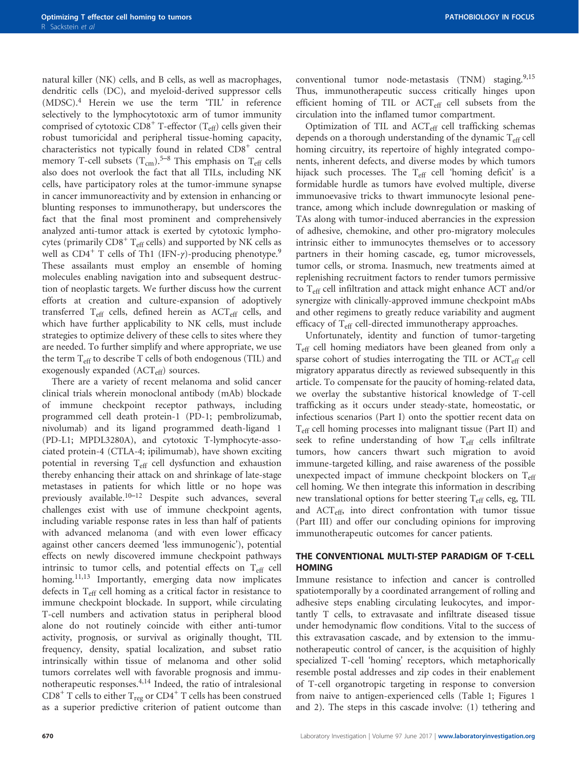natural killer (NK) cells, and B cells, as well as macrophages, dendritic cells (DC), and myeloid-derived suppressor cells (MDSC).[4](#page-22-0) Herein we use the term 'TIL' in reference selectively to the lymphocytotoxic arm of tumor immunity comprised of cytotoxic  $CD8^+$  T-effector (T<sub>eff</sub>) cells given their robust tumoricidal and peripheral tissue-homing capacity, characteristics not typically found in related  $CDS<sup>+</sup>$  central memory T-cell subsets  $(T_{cm})$ .<sup>5[–](#page-22-0)8</sup> This emphasis on T<sub>eff</sub> cells also does not overlook the fact that all TILs, including NK cells, have participatory roles at the tumor-immune synapse in cancer immunoreactivity and by extension in enhancing or blunting responses to immunotherapy, but underscores the fact that the final most prominent and comprehensively analyzed anti-tumor attack is exerted by cytotoxic lymphocytes (primarily  $CDS^+$  T<sub>eff</sub> cells) and supported by NK cells as well as CD4<sup>+</sup> T cells of Th1 (IFN-γ)-producing phenotype.<sup>[9](#page-22-0)</sup> These assailants must employ an ensemble of homing molecules enabling navigation into and subsequent destruction of neoplastic targets. We further discuss how the current efforts at creation and culture-expansion of adoptively transferred  $T_{\text{eff}}$  cells, defined herein as  $\text{ACT}_{\text{eff}}$  cells, and which have further applicability to NK cells, must include strategies to optimize delivery of these cells to sites where they are needed. To further simplify and where appropriate, we use the term  $T_{\text{eff}}$  to describe T cells of both endogenous (TIL) and exogenously expanded (ACT<sub>eff</sub>) sources.

There are a variety of recent melanoma and solid cancer clinical trials wherein monoclonal antibody (mAb) blockade of immune checkpoint receptor pathways, including programmed cell death protein-1 (PD-1; pembrolizumab, nivolumab) and its ligand programmed death-ligand 1 (PD-L1; MPDL3280A), and cytotoxic T-lymphocyte-associated protein-4 (CTLA-4; ipilimumab), have shown exciting potential in reversing  $T_{\text{eff}}$  cell dysfunction and exhaustion thereby enhancing their attack on and shrinkage of late-stage metastases in patients for which little or no hope was previously available.<sup>[10](#page-22-0)-12</sup> Despite such advances, several challenges exist with use of immune checkpoint agents, including variable response rates in less than half of patients with advanced melanoma (and with even lower efficacy against other cancers deemed 'less immunogenic'), potential effects on newly discovered immune checkpoint pathways intrinsic to tumor cells, and potential effects on  $T_{\text{eff}}$  cell homing.<sup>[11,13](#page-22-0)</sup> Importantly, emerging data now implicates defects in  $T_{\text{eff}}$  cell homing as a critical factor in resistance to immune checkpoint blockade. In support, while circulating T-cell numbers and activation status in peripheral blood alone do not routinely coincide with either anti-tumor activity, prognosis, or survival as originally thought, TIL frequency, density, spatial localization, and subset ratio intrinsically within tissue of melanoma and other solid tumors correlates well with favorable prognosis and immunotherapeutic responses.[4](#page-22-0),[14](#page-22-0) Indeed, the ratio of intralesional CD8<sup>+</sup> T cells to either T<sub>reg</sub> or CD4<sup>+</sup> T cells has been construed as a superior predictive criterion of patient outcome than

conventional tumor node-metastasis  $(TNM)$  staging.<sup>[9,15](#page-22-0)</sup> Thus, immunotherapeutic success critically hinges upon efficient homing of TIL or  $ACT_{\text{eff}}$  cell subsets from the circulation into the inflamed tumor compartment.

Optimization of TIL and ACT<sub>eff</sub> cell trafficking schemas depends on a thorough understanding of the dynamic T<sub>eff</sub> cell homing circuitry, its repertoire of highly integrated components, inherent defects, and diverse modes by which tumors hijack such processes. The  $T_{\text{eff}}$  cell 'homing deficit' is a formidable hurdle as tumors have evolved multiple, diverse immunoevasive tricks to thwart immunocyte lesional penetrance, among which include downregulation or masking of TAs along with tumor-induced aberrancies in the expression of adhesive, chemokine, and other pro-migratory molecules intrinsic either to immunocytes themselves or to accessory partners in their homing cascade, eg, tumor microvessels, tumor cells, or stroma. Inasmuch, new treatments aimed at replenishing recruitment factors to render tumors permissive to Teff cell infiltration and attack might enhance ACT and/or synergize with clinically-approved immune checkpoint mAbs and other regimens to greatly reduce variability and augment efficacy of  $T_{\text{eff}}$  cell-directed immunotherapy approaches.

Unfortunately, identity and function of tumor-targeting Teff cell homing mediators have been gleaned from only a sparse cohort of studies interrogating the TIL or ACT<sub>eff</sub> cell migratory apparatus directly as reviewed subsequently in this article. To compensate for the paucity of homing-related data, we overlay the substantive historical knowledge of T-cell trafficking as it occurs under steady-state, homeostatic, or infectious scenarios (Part I) onto the spottier recent data on Teff cell homing processes into malignant tissue (Part II) and seek to refine understanding of how Teff cells infiltrate tumors, how cancers thwart such migration to avoid immune-targeted killing, and raise awareness of the possible unexpected impact of immune checkpoint blockers on  $T_{\text{eff}}$ cell homing. We then integrate this information in describing new translational options for better steering T<sub>eff</sub> cells, eg, TIL and  $\text{ACT}_{\text{eff}}$ , into direct confrontation with tumor tissue (Part III) and offer our concluding opinions for improving immunotherapeutic outcomes for cancer patients.

#### THE CONVENTIONAL MULTI-STEP PARADIGM OF T-CELL **HOMING**

Immune resistance to infection and cancer is controlled spatiotemporally by a coordinated arrangement of rolling and adhesive steps enabling circulating leukocytes, and importantly T cells, to extravasate and infiltrate diseased tissue under hemodynamic flow conditions. Vital to the success of this extravasation cascade, and by extension to the immunotherapeutic control of cancer, is the acquisition of highly specialized T-cell 'homing' receptors, which metaphorically resemble postal addresses and zip codes in their enablement of T-cell organotropic targeting in response to conversion from naive to antigen-experienced cells [\(Table 1](#page-2-0); [Figures 1](#page-3-0) [and 2\)](#page-3-0). The steps in this cascade involve: (1) tethering and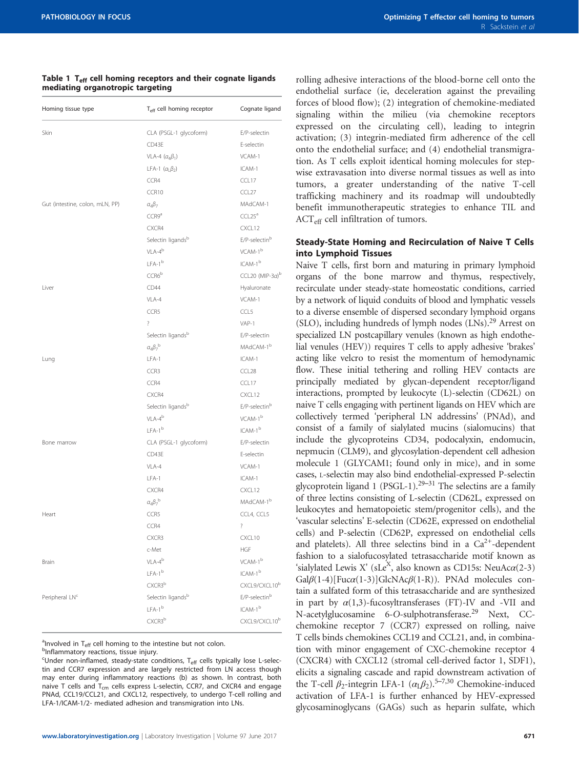#### <span id="page-2-0"></span>Table 1  $T_{\text{eff}}$  cell homing receptors and their cognate ligands mediating organotropic targeting

| Homing tissue type              | T <sub>eff</sub> cell homing receptor | Cognate ligand                  |
|---------------------------------|---------------------------------------|---------------------------------|
| Skin                            | CLA (PSGL-1 glycoform)                | E/P-selectin                    |
|                                 | CD43E                                 | E-selectin                      |
|                                 | VLA-4 $(a_4\beta_1)$                  | VCAM-1                          |
|                                 | LFA-1 $(\alpha_1\beta_2)$             | ICAM-1                          |
|                                 | CCR4                                  | CCL17                           |
|                                 | CCR10                                 | CCL27                           |
| Gut (intestine, colon, mLN, PP) | $a_4\beta_7$                          | MAdCAM-1                        |
|                                 | CCR9a                                 | CCL25 <sup>a</sup>              |
|                                 | CXCR4                                 | CXCL12                          |
|                                 | Selectin ligandsb                     | E/P-selectinb                   |
|                                 | $VLA-4^b$                             | VCAM-1 <sup>b</sup>             |
|                                 | $IFA-1b$                              | $ICAM-1b$                       |
|                                 | CCR6 <sup>b</sup>                     | CCL20 (MIP-3 $a$ ) <sup>b</sup> |
| Liver                           | CD44                                  | Hyaluronate                     |
|                                 | $VI$ A-4                              | VCAM-1                          |
|                                 | CCR5                                  | CCL5                            |
|                                 | $\overline{\phantom{a}}$              | $VAP-1$                         |
|                                 | Selectin ligands <sup>b</sup>         | E/P-selectin                    |
|                                 | $a_4\beta_7{}^b$                      | MAdCAM-1 <sup>b</sup>           |
| Lung                            | LFA-1                                 | ICAM-1                          |
|                                 | CCR3                                  | CCL <sub>28</sub>               |
|                                 | CCR4                                  | CCL17                           |
|                                 | CXCR4                                 | CXCL12                          |
|                                 | Selectin ligands <sup>b</sup>         | E/P-selectin <sup>b</sup>       |
|                                 | $VLA-4^b$                             | VCAM-1 <sup>b</sup>             |
|                                 | $LFA-1b$                              | ICAM-1 <sup>b</sup>             |
| Bone marrow                     | CLA (PSGL-1 glycoform)                | E/P-selectin                    |
|                                 | CD43E                                 | E-selectin                      |
|                                 | VLA-4                                 | VCAM-1                          |
|                                 | $LFA-1$                               | ICAM-1                          |
|                                 | CXCR4                                 | CXCL12                          |
|                                 | $a_4\beta_7{}^b$                      | MAdCAM-1 <sup>b</sup>           |
| Heart                           | CCR5                                  | CCL4, CCL5                      |
|                                 | CCR4                                  | $\overline{\cdot}$              |
|                                 | CXCR3                                 | CXCL10                          |
|                                 | c-Met                                 | <b>HGF</b>                      |
| <b>Brain</b>                    | $VLA-4^b$                             | VCAM-1 <sup>b</sup>             |
|                                 | $LFA-1b$                              | ICAM-1 <sup>b</sup>             |
|                                 | CXCR3 <sup>b</sup>                    | CXCL9/CXCL10 <sup>b</sup>       |
| Peripheral LN <sup>c</sup>      | Selectin ligands <sup>b</sup>         | E/P-selectin <sup>b</sup>       |
|                                 | $LFA-1b$                              | $\textsf{ICAM-1}^{\rm b}$       |
|                                 | CXCR3 <sup>b</sup>                    | CXCL9/CXCL10b                   |
|                                 |                                       |                                 |

<sup>a</sup> Involved in T<sub>eff</sub> cell homing to the intestine but not colon.

<sup>b</sup>Inflammatory reactions, tissue injury.

<sup>c</sup>Under non-inflamed, steady-state conditions, T<sub>eff</sub> cells typically lose L-selectin and CCR7 expression and are largely restricted from LN access though may enter during inflammatory reactions (b) as shown. In contrast, both naive T cells and  $T_{cm}$  cells express L-selectin, CCR7, and CXCR4 and engage PNAd, CCL19/CCL21, and CXCL12, respectively, to undergo T-cell rolling and LFA-1/ICAM-1/2- mediated adhesion and transmigration into LNs.

rolling adhesive interactions of the blood-borne cell onto the endothelial surface (ie, deceleration against the prevailing forces of blood flow); (2) integration of chemokine-mediated signaling within the milieu (via chemokine receptors expressed on the circulating cell), leading to integrin activation; (3) integrin-mediated firm adherence of the cell onto the endothelial surface; and (4) endothelial transmigration. As T cells exploit identical homing molecules for stepwise extravasation into diverse normal tissues as well as into tumors, a greater understanding of the native T-cell trafficking machinery and its roadmap will undoubtedly benefit immunotherapeutic strategies to enhance TIL and ACT<sub>eff</sub> cell infiltration of tumors.

### Steady-State Homing and Recirculation of Naive T Cells into Lymphoid Tissues

Naive T cells, first born and maturing in primary lymphoid organs of the bone marrow and thymus, respectively, recirculate under steady-state homeostatic conditions, carried by a network of liquid conduits of blood and lymphatic vessels to a diverse ensemble of dispersed secondary lymphoid organs (SLO), including hundreds of lymph nodes (LNs).<sup>29</sup> Arrest on specialized LN postcapillary venules (known as high endothelial venules (HEV)) requires T cells to apply adhesive 'brakes' acting like velcro to resist the momentum of hemodynamic flow. These initial tethering and rolling HEV contacts are principally mediated by glycan-dependent receptor/ligand interactions, prompted by leukocyte (L)-selectin (CD62L) on naive T cells engaging with pertinent ligands on HEV which are collectively termed 'peripheral LN addressins' (PNAd), and consist of a family of sialylated mucins (sialomucins) that include the glycoproteins CD34, podocalyxin, endomucin, nepmucin (CLM9), and glycosylation-dependent cell adhesion molecule 1 (GLYCAM1; found only in mice), and in some cases, L-selectin may also bind endothelial-expressed P-selectin glycoprotein ligand 1 (PSGL-1).<sup>29–31</sup> The selectins are a family of three lectins consisting of L-selectin (CD62L, expressed on leukocytes and hematopoietic stem/progenitor cells), and the 'vascular selectins' E-selectin (CD62E, expressed on endothelial cells) and P-selectin (CD62P, expressed on endothelial cells and platelets). All three selectins bind in a  $Ca^{2+}$ -dependent fashion to a sialofucosylated tetrasaccharide motif known as 'sialylated Lewis X' (sLe<sup>X</sup>, also known as CD15s: NeuAc $\alpha$ (2-3) Gal $\beta$ (1-4)[Fuc $\alpha$ (1-3)]GlcNAc $\beta$ (1-R)). PNAd molecules contain a sulfated form of this tetrasaccharide and are synthesized in part by  $\alpha(1,3)$ -fucosyltransferases (FT)-IV and -VII and N-acetylglucosamine 6-O-sulphotransferase[.29](#page-23-0) Next, CCchemokine receptor 7 (CCR7) expressed on rolling, naive T cells binds chemokines CCL19 and CCL21, and, in combination with minor engagement of CXC-chemokine receptor 4 (CXCR4) with CXCL12 (stromal cell-derived factor 1, SDF1), elicits a signaling cascade and rapid downstream activation of the T-cell  $\beta_2$ -integrin LFA-1 ( $\alpha_1\beta_2$ ).<sup>5–7,[30](#page-23-0)</sup> Chemokine-induced activation of LFA-1 is further enhanced by HEV-expressed glycosaminoglycans (GAGs) such as heparin sulfate, which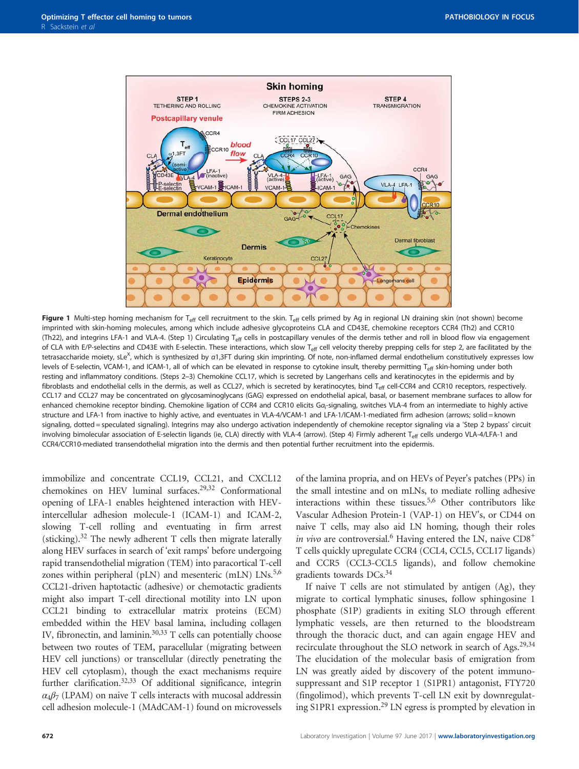<span id="page-3-0"></span>

Figure 1 Multi-step homing mechanism for T<sub>eff</sub> cell recruitment to the skin. T<sub>eff</sub> cells primed by Ag in regional LN draining skin (not shown) become imprinted with skin-homing molecules, among which include adhesive glycoproteins CLA and CD43E, chemokine receptors CCR4 (Th2) and CCR10 (Th22), and integrins LFA-1 and VLA-4. (Step 1) Circulating T<sub>eff</sub> cells in postcapillary venules of the dermis tether and roll in blood flow via engagement of CLA with E/P-selectins and CD43E with E-selectin. These interactions, which slow T<sub>eff</sub> cell velocity thereby prepping cells for step 2, are facilitated by the tetrasaccharide moiety, sLe<sup>X</sup>, which is synthesized by a1,3FT during skin imprinting. Of note, non-inflamed dermal endothelium constitutively expresses low levels of E-selectin, VCAM-1, and ICAM-1, all of which can be elevated in response to cytokine insult, thereby permitting T<sub>eff</sub> skin-homing under both resting and inflammatory conditions. (Steps 2–3) Chemokine CCL17, which is secreted by Langerhans cells and keratinocytes in the epidermis and by fibroblasts and endothelial cells in the dermis, as well as CCL27, which is secreted by keratinocytes, bind  $T_{\text{eff}}$  cell-CCR4 and CCR10 receptors, respectively. CCL17 and CCL27 may be concentrated on glycosaminoglycans (GAG) expressed on endothelial apical, basal, or basement membrane surfaces to allow for enhanced chemokine receptor binding. Chemokine ligation of CCR4 and CCR10 elicits G $a<sub>i</sub>$ -signaling, switches VLA-4 from an intermediate to highly active structure and LFA-1 from inactive to highly active, and eventuates in VLA-4/VCAM-1 and LFA-1/ICAM-1-mediated firm adhesion (arrows; solid = known signaling, dotted = speculated signaling). Integrins may also undergo activation independently of chemokine receptor signaling via a 'Step 2 bypass' circuit involving bimolecular association of E-selectin ligands (ie, CLA) directly with VLA-4 (arrow). (Step 4) Firmly adherent T<sub>eff</sub> cells undergo VLA-4/LFA-1 and CCR4/CCR10-mediated transendothelial migration into the dermis and then potential further recruitment into the epidermis.

immobilize and concentrate CCL19, CCL21, and CXCL12 chemokines on HEV luminal surfaces.<sup>29,32</sup> Conformational opening of LFA-1 enables heightened interaction with HEVintercellular adhesion molecule-1 (ICAM-1) and ICAM-2, slowing T-cell rolling and eventuating in firm arrest (sticking).<sup>[32](#page-23-0)</sup> The newly adherent T cells then migrate laterally along HEV surfaces in search of 'exit ramps' before undergoing rapid transendothelial migration (TEM) into paracortical T-cell zones within peripheral (pLN) and mesenteric (mLN)  $LNs.5,6$  $LNs.5,6$ CCL21-driven haptotactic (adhesive) or chemotactic gradients might also impart T-cell directional motility into LN upon CCL21 binding to extracellular matrix proteins (ECM) embedded within the HEV basal lamina, including collagen IV, fibronectin, and laminin.<sup>30,33</sup> T cells can potentially choose between two routes of TEM, paracellular (migrating between HEV cell junctions) or transcellular (directly penetrating the HEV cell cytoplasm), though the exact mechanisms require further clarification.<sup>32,33</sup> Of additional significance, integrin  $\alpha_4\beta_7$  (LPAM) on naive T cells interacts with mucosal addressin cell adhesion molecule-1 (MAdCAM-1) found on microvessels

of the lamina propria, and on HEVs of Peyer's patches (PPs) in the small intestine and on mLNs, to mediate rolling adhesive interactions within these tissues[.5](#page-22-0),[6](#page-22-0) Other contributors like Vascular Adhesion Protein-1 (VAP-1) on HEV's, or CD44 on naive T cells, may also aid LN homing, though their roles in vivo are controversial.<sup>6</sup> Having entered the LN, naive  $CD8^+$ T cells quickly upregulate CCR4 (CCL4, CCL5, CCL17 ligands) and CCR5 (CCL3-CCL5 ligands), and follow chemokine gradients towards DCs[.34](#page-23-0)

If naive T cells are not stimulated by antigen (Ag), they migrate to cortical lymphatic sinuses, follow sphingosine 1 phosphate (S1P) gradients in exiting SLO through efferent lymphatic vessels, are then returned to the bloodstream through the thoracic duct, and can again engage HEV and recirculate throughout the SLO network in search of Ags.<sup>[29,34](#page-23-0)</sup> The elucidation of the molecular basis of emigration from LN was greatly aided by discovery of the potent immunosuppressant and S1P receptor 1 (S1PR1) antagonist, FTY720 (fingolimod), which prevents T-cell LN exit by downregulating S1PR1 expression.[29](#page-23-0) LN egress is prompted by elevation in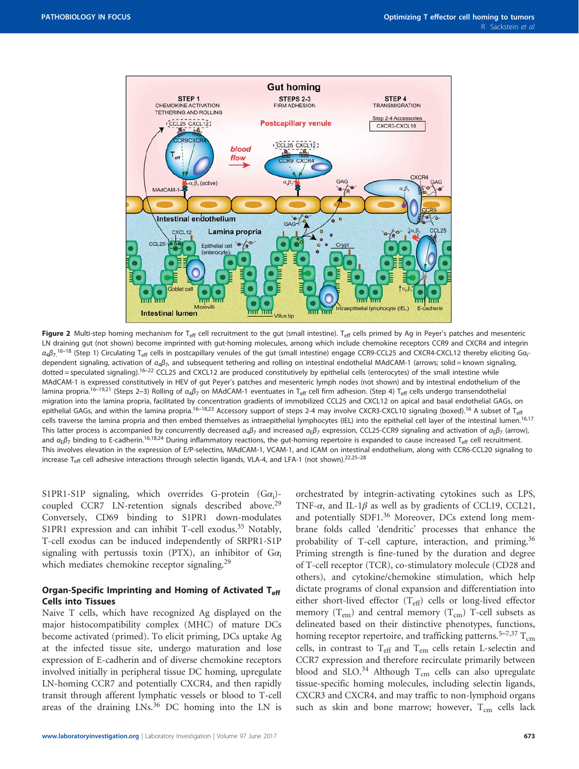<span id="page-4-0"></span>

Figure 2 Multi-step homing mechanism for T<sub>eff</sub> cell recruitment to the gut (small intestine). T<sub>eff</sub> cells primed by Ag in Peyer's patches and mesenteric LN draining gut (not shown) become imprinted with gut-homing molecules, among which include chemokine receptors CCR9 and CXCR4 and integrin  $a_4\beta_7$ .<sup>[16](#page-22-0)–18</sup> (Step 1) Circulating T<sub>eff</sub> cells in postcapillary venules of the gut (small intestine) engage CCR9-CCL25 and CXCR4-CXCL12 thereby eliciting G $a_{\rm i}$ dependent signaling, activation of  $a_4\beta_7$ , and subsequent tethering and rolling on intestinal endothelial MAdCAM-1 (arrows; solid = known signaling, dotted = speculated signaling).<sup>[16](#page-22-0)–22</sup> CCL25 and CXCL12 are produced constitutively by epithelial cells (enterocytes) of the small intestine while MAdCAM-1 is expressed constitutively in HEV of gut Peyer's patches and mesenteric lymph nodes (not shown) and by intestinal endothelium of the lamina propria.<sup>16–[19,](#page-22-0)[21](#page-23-0)</sup> (Steps 2–3) Rolling of  $a_4B_7$  on MAdCAM-1 eventuates in T<sub>eff</sub> cell firm adhesion. (Step 4) T<sub>eff</sub> cells undergo transendothelial migration into the lamina propria, facilitated by concentration gradients of immobilized CCL25 and CXCL12 on apical and basal endothelial GAGs, on epithelial GAGs, and within the lamina propria.<sup>[16](#page-22-0)–18[,23](#page-23-0)</sup> Accessory support of steps 2-4 may involve CXCR3-CXCL10 signaling (boxed).<sup>16</sup> A subset of T<sub>eff</sub> cells traverse the lamina propria and then embed themselves as intraepithelial lymphocytes (IEL) into the epithelial cell layer of the intestinal lumen.<sup>[16,17](#page-22-0)</sup> This latter process is accompanied by concurrently decreased  $\alpha_4\beta_7$  and increased  $\alpha_5\beta_7$  expression, CCL25-CCR9 signaling and activation of  $\alpha_5\beta_7$  (arrow), and  $\alpha_{\rm F}\beta_7$  binding to E-cadherin.<sup>[16,18](#page-22-0)[,24](#page-23-0)</sup> During inflammatory reactions, the gut-homing repertoire is expanded to cause increased T<sub>eff</sub> cell recruitment. This involves elevation in the expression of E/P-selectins, MAdCAM-1, VCAM-1, and ICAM on intestinal endothelium, along with CCR6-CCL20 signaling to increase  $T_{\text{eff}}$  cell adhesive interactions through selectin ligands, VLA-4, and LFA-1 (not shown).<sup>[22,](#page-23-0)25–[28](#page-23-0)</sup>

S1PR1-S1P signaling, which overrides G-protein  $(G\alpha_i)$ -coupled CCR7 LN-retention signals described above.<sup>[29](#page-23-0)</sup> Conversely, CD69 binding to S1PR1 down-modulates S1PR1 expression and can inhibit T-cell exodus.<sup>[35](#page-23-0)</sup> Notably, T-cell exodus can be induced independently of SRPR1-S1P signaling with pertussis toxin (PTX), an inhibitor of  $Ga_i$ which mediates chemokine receptor signaling.<sup>[29](#page-23-0)</sup>

#### Organ-Specific Imprinting and Homing of Activated T<sub>eff</sub> Cells into Tissues

Naive T cells, which have recognized Ag displayed on the major histocompatibility complex (MHC) of mature DCs become activated (primed). To elicit priming, DCs uptake Ag at the infected tissue site, undergo maturation and lose expression of E-cadherin and of diverse chemokine receptors involved initially in peripheral tissue DC homing, upregulate LN-homing CCR7 and potentially CXCR4, and then rapidly transit through afferent lymphatic vessels or blood to T-cell areas of the draining LNs.<sup>[36](#page-23-0)</sup> DC homing into the LN is

orchestrated by integrin-activating cytokines such as LPS, TNF- $\alpha$ , and IL-1 $\beta$  as well as by gradients of CCL19, CCL21, and potentially SDF1.<sup>[36](#page-23-0)</sup> Moreover, DCs extend long membrane folds called 'dendritic' processes that enhance the probability of T-cell capture, interaction, and priming.<sup>[36](#page-23-0)</sup> Priming strength is fine-tuned by the duration and degree of T-cell receptor (TCR), co-stimulatory molecule (CD28 and others), and cytokine/chemokine stimulation, which help dictate programs of clonal expansion and differentiation into either short-lived effector  $(T_{\text{eff}})$  cells or long-lived effector memory  $(T_{em})$  and central memory  $(T_{cm})$  T-cell subsets as delineated based on their distinctive phenotypes, functions, homing receptor repertoire, and trafficking patterns.<sup>5–[7,](#page-22-0)[37](#page-23-0)</sup>  $T_{cm}$ cells, in contrast to  $T_{\text{eff}}$  and  $T_{\text{em}}$  cells retain L-selectin and CCR7 expression and therefore recirculate primarily between blood and SLO. $34$  Although T<sub>cm</sub> cells can also upregulate tissue-specific homing molecules, including selectin ligands, CXCR3 and CXCR4, and may traffic to non-lymphoid organs such as skin and bone marrow; however,  $T_{cm}$  cells lack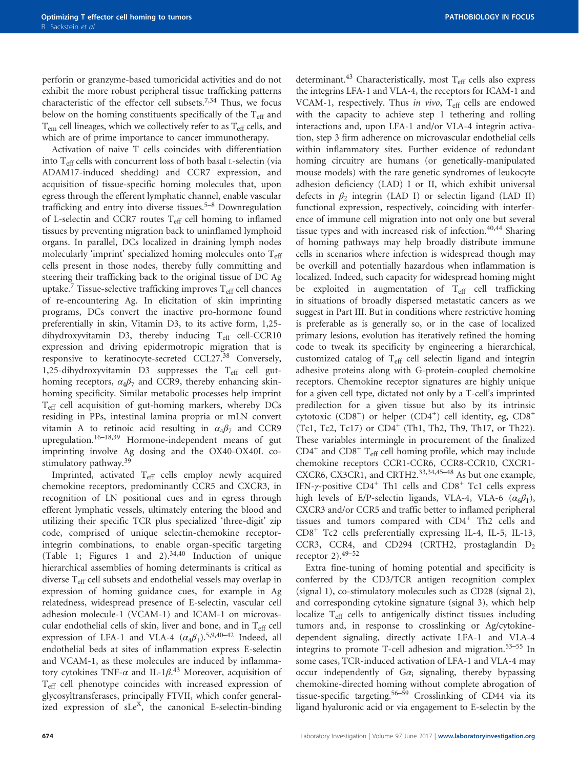perforin or granzyme-based tumoricidal activities and do not exhibit the more robust peripheral tissue trafficking patterns characteristic of the effector cell subsets.<sup>7,[34](#page-23-0)</sup> Thus, we focus below on the homing constituents specifically of the  $T_{\text{eff}}$  and  $T_{em}$  cell lineages, which we collectively refer to as  $T_{eff}$  cells, and which are of prime importance to cancer immunotherapy.

Activation of naive T cells coincides with differentiation into  $T_{\text{eff}}$  cells with concurrent loss of both basal L-selectin (via ADAM17-induced shedding) and CCR7 expression, and acquisition of tissue-specific homing molecules that, upon egress through the efferent lymphatic channel, enable vascular trafficking and entry into diverse tissues. $5-8$  Downregulation of L-selectin and CCR7 routes  $T_{\text{eff}}$  cell homing to inflamed tissues by preventing migration back to uninflamed lymphoid organs. In parallel, DCs localized in draining lymph nodes molecularly 'imprint' specialized homing molecules onto  $T_{\text{eff}}$ cells present in those nodes, thereby fully committing and steering their trafficking back to the original tissue of DC Ag uptake. $\frac{7}{1}$  $\frac{7}{1}$  $\frac{7}{1}$  Tissue-selective trafficking improves  $T_{\text{eff}}$  cell chances of re-encountering Ag. In elicitation of skin imprinting programs, DCs convert the inactive pro-hormone found preferentially in skin, Vitamin D3, to its active form, 1,25 dihydroxyvitamin D3, thereby inducing  $T_{\text{eff}}$  cell-CCR10 expression and driving epidermotropic migration that is responsive to keratinocyte-secreted CCL27.<sup>[38](#page-23-0)</sup> Conversely, 1,25-dihydroxyvitamin D3 suppresses the T<sub>eff</sub> cell guthoming receptors,  $\alpha_4\beta_7$  and CCR9, thereby enhancing skinhoming specificity. Similar metabolic processes help imprint Teff cell acquisition of gut-homing markers, whereby DCs residing in PPs, intestinal lamina propria or mLN convert vitamin A to retinoic acid resulting in  $\alpha_4\beta_7$  and CCR9 upregulation.16–[18,](#page-22-0)[39](#page-23-0) Hormone-independent means of gut imprinting involve Ag dosing and the OX40-OX40L co-stimulatory pathway.<sup>[39](#page-23-0)</sup>

Imprinted, activated T<sub>eff</sub> cells employ newly acquired chemokine receptors, predominantly CCR5 and CXCR3, in recognition of LN positional cues and in egress through efferent lymphatic vessels, ultimately entering the blood and utilizing their specific TCR plus specialized 'three-digit' zip code, comprised of unique selectin-chemokine receptorintegrin combinations, to enable organ-specific targeting ([Table 1;](#page-2-0) [Figures 1 and 2\)](#page-3-0).<sup>[34,40](#page-23-0)</sup> Induction of unique hierarchical assemblies of homing determinants is critical as diverse  $T_{\text{eff}}$  cell subsets and endothelial vessels may overlap in expression of homing guidance cues, for example in Ag relatedness, widespread presence of E-selectin, vascular cell adhesion molecule-1 (VCAM-1) and ICAM-1 on microvascular endothelial cells of skin, liver and bone, and in  $T_{\text{eff}}$  cell expression of LFA-1 and VLA-4  $(\alpha_4\beta_1)^{5,9,40-42}$  $(\alpha_4\beta_1)^{5,9,40-42}$  $(\alpha_4\beta_1)^{5,9,40-42}$  $(\alpha_4\beta_1)^{5,9,40-42}$  $(\alpha_4\beta_1)^{5,9,40-42}$  Indeed, all endothelial beds at sites of inflammation express E-selectin and VCAM-1, as these molecules are induced by inflammatory cytokines TNF- $\alpha$  and IL-1 $\beta$ .<sup>[43](#page-23-0)</sup> Moreover, acquisition of Teff cell phenotype coincides with increased expression of glycosyltransferases, principally FTVII, which confer generalized expression of sLe<sup>X</sup>, the canonical E-selectin-binding

determinant.<sup>[43](#page-23-0)</sup> Characteristically, most  $T_{\text{eff}}$  cells also express the integrins LFA-1 and VLA-4, the receptors for ICAM-1 and VCAM-1, respectively. Thus in vivo,  $T_{\text{eff}}$  cells are endowed with the capacity to achieve step 1 tethering and rolling interactions and, upon LFA-1 and/or VLA-4 integrin activation, step 3 firm adherence on microvascular endothelial cells within inflammatory sites. Further evidence of redundant homing circuitry are humans (or genetically-manipulated mouse models) with the rare genetic syndromes of leukocyte adhesion deficiency (LAD) I or II, which exhibit universal defects in  $\beta_2$  integrin (LAD I) or selectin ligand (LAD II) functional expression, respectively, coinciding with interference of immune cell migration into not only one but several tissue types and with increased risk of infection. $40,44$  Sharing of homing pathways may help broadly distribute immune cells in scenarios where infection is widespread though may be overkill and potentially hazardous when inflammation is localized. Indeed, such capacity for widespread homing might be exploited in augmentation of  $T_{\text{eff}}$  cell trafficking in situations of broadly dispersed metastatic cancers as we suggest in Part III. But in conditions where restrictive homing is preferable as is generally so, or in the case of localized primary lesions, evolution has iteratively refined the homing code to tweak its specificity by engineering a hierarchical, customized catalog of  $T_{\text{eff}}$  cell selectin ligand and integrin adhesive proteins along with G-protein-coupled chemokine receptors. Chemokine receptor signatures are highly unique for a given cell type, dictated not only by a T-cell's imprinted predilection for a given tissue but also by its intrinsic cytotoxic  $(CD8<sup>+</sup>)$  or helper  $(CD4<sup>+</sup>)$  cell identity, eg,  $CD8<sup>+</sup>$ (Tc1, Tc2, Tc17) or  $CD4^+$  (Th1, Th2, Th9, Th17, or Th22). These variables intermingle in procurement of the finalized  $CD4^+$  and  $CD8^+$  T<sub>eff</sub> cell homing profile, which may include chemokine receptors CCR1-CCR6, CCR8-CCR10, CXCR1- CXCR6, CX3CR1, and CRTH2.[33](#page-23-0),[34](#page-23-0),45–[48](#page-23-0) As but one example, IFN- $\gamma$ -positive CD4<sup>+</sup> Th1 cells and CD8<sup>+</sup> Tc1 cells express high levels of E/P-selectin ligands, VLA-4, VLA-6  $(\alpha_6\beta_1)$ , CXCR3 and/or CCR5 and traffic better to inflamed peripheral tissues and tumors compared with CD4<sup>+</sup> Th2 cells and CD8<sup>+</sup> Tc2 cells preferentially expressing IL-4, IL-5, IL-13, CCR3, CCR4, and CD294 (CRTH2, prostaglandin  $D_2$ receptor  $2$ ).<sup>49–[52](#page-23-0)</sup>

Extra fine-tuning of homing potential and specificity is conferred by the CD3/TCR antigen recognition complex (signal 1), co-stimulatory molecules such as CD28 (signal 2), and corresponding cytokine signature (signal 3), which help localize Teff cells to antigenically distinct tissues including tumors and, in response to crosslinking or Ag/cytokinedependent signaling, directly activate LFA-1 and VLA-4 integrins to promote T-cell adhesion and migration.[53](#page-23-0)–<sup>55</sup> In some cases, TCR-induced activation of LFA-1 and VLA-4 may occur independently of  $Ga_i$  signaling, thereby bypassing chemokine-directed homing without complete abrogation of tissue-specific targeting.<sup>56–[59](#page-23-0)</sup> Crosslinking of CD44 via its ligand hyaluronic acid or via engagement to E-selectin by the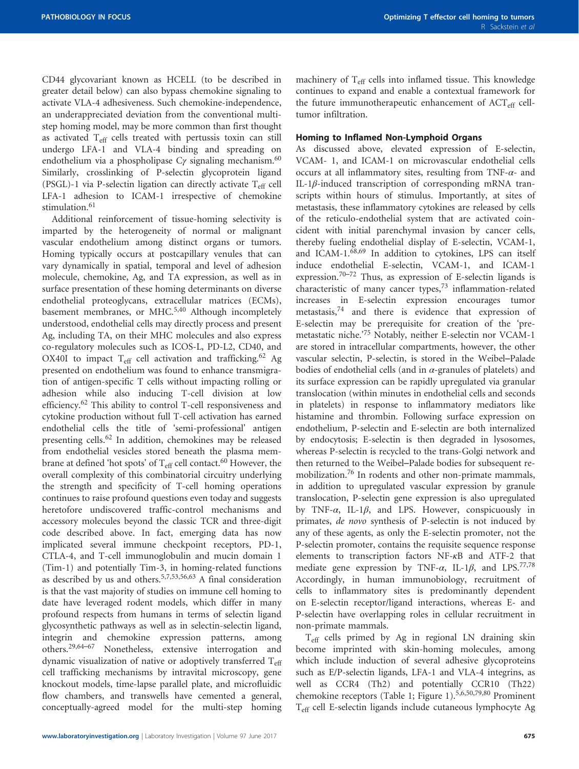CD44 glycovariant known as HCELL (to be described in greater detail below) can also bypass chemokine signaling to activate VLA-4 adhesiveness. Such chemokine-independence, an underappreciated deviation from the conventional multistep homing model, may be more common than first thought as activated  $T_{\text{eff}}$  cells treated with pertussis toxin can still undergo LFA-1 and VLA-4 binding and spreading on endothelium via a phospholipase  $C\gamma$  signaling mechanism.<sup>[60](#page-23-0)</sup> Similarly, crosslinking of P-selectin glycoprotein ligand (PSGL)-1 via P-selectin ligation can directly activate T<sub>eff</sub> cell LFA-1 adhesion to ICAM-1 irrespective of chemokine stimulation.<sup>[61](#page-23-0)</sup>

Additional reinforcement of tissue-homing selectivity is imparted by the heterogeneity of normal or malignant vascular endothelium among distinct organs or tumors. Homing typically occurs at postcapillary venules that can vary dynamically in spatial, temporal and level of adhesion molecule, chemokine, Ag, and TA expression, as well as in surface presentation of these homing determinants on diverse endothelial proteoglycans, extracellular matrices (ECMs), basement membranes, or MHC.<sup>[5](#page-22-0)[,40](#page-23-0)</sup> Although incompletely understood, endothelial cells may directly process and present Ag, including TA, on their MHC molecules and also express co-regulatory molecules such as ICOS-L, PD-L2, CD40, and OX40I to impact  $T_{\text{eff}}$  cell activation and trafficking.<sup>[62](#page-23-0)</sup> Ag presented on endothelium was found to enhance transmigration of antigen-specific T cells without impacting rolling or adhesion while also inducing T-cell division at low efficiency.<sup>[62](#page-23-0)</sup> This ability to control T-cell responsiveness and cytokine production without full T-cell activation has earned endothelial cells the title of 'semi-professional' antigen presenting cells.<sup>[62](#page-23-0)</sup> In addition, chemokines may be released from endothelial vesicles stored beneath the plasma membrane at defined 'hot spots' of  $T_{\text{eff}}$  cell contact.<sup>[60](#page-23-0)</sup> However, the overall complexity of this combinatorial circuitry underlying the strength and specificity of T-cell homing operations continues to raise profound questions even today and suggests heretofore undiscovered traffic-control mechanisms and accessory molecules beyond the classic TCR and three-digit code described above. In fact, emerging data has now implicated several immune checkpoint receptors, PD-1, CTLA-4, and T-cell immunoglobulin and mucin domain 1 (Tim-1) and potentially Tim-3, in homing-related functions as described by us and others.<sup>[5,7](#page-22-0)[,53,56,63](#page-23-0)</sup> A final consideration is that the vast majority of studies on immune cell homing to date have leveraged rodent models, which differ in many profound respects from humans in terms of selectin ligand glycosynthetic pathways as well as in selectin-selectin ligand, integrin and chemokine expression patterns, among others.[29,64](#page-23-0)–<sup>67</sup> Nonetheless, extensive interrogation and dynamic visualization of native or adoptively transferred  $T_{\text{eff}}$ cell trafficking mechanisms by intravital microscopy, gene knockout models, time-lapse parallel plate, and microfluidic flow chambers, and transwells have cemented a general, conceptually-agreed model for the multi-step homing machinery of Teff cells into inflamed tissue. This knowledge continues to expand and enable a contextual framework for the future immunotherapeutic enhancement of ACT<sub>eff</sub> celltumor infiltration.

#### Homing to Inflamed Non-Lymphoid Organs

As discussed above, elevated expression of E-selectin, VCAM- 1, and ICAM-1 on microvascular endothelial cells occurs at all inflammatory sites, resulting from TNF- $\alpha$ - and IL-1β-induced transcription of corresponding mRNA transcripts within hours of stimulus. Importantly, at sites of metastasis, these inflammatory cytokines are released by cells of the reticulo-endothelial system that are activated coincident with initial parenchymal invasion by cancer cells, thereby fueling endothelial display of E-selectin, VCAM-1, and ICAM-1.[68](#page-23-0)[,69](#page-24-0) In addition to cytokines, LPS can itself induce endothelial E-selectin, VCAM-1, and ICAM-1 expression.<sup>70–[72](#page-24-0)</sup> Thus, as expression of E-selectin ligands is characteristic of many cancer types,[73](#page-24-0) inflammation-related increases in E-selectin expression encourages tumor metastasis,[74](#page-24-0) and there is evidence that expression of E-selectin may be prerequisite for creation of the 'premetastatic niche.' [75](#page-24-0) Notably, neither E-selectin nor VCAM-1 are stored in intracellular compartments, however, the other vascular selectin, P-selectin, is stored in the Weibel–Palade bodies of endothelial cells (and in  $\alpha$ -granules of platelets) and its surface expression can be rapidly upregulated via granular translocation (within minutes in endothelial cells and seconds in platelets) in response to inflammatory mediators like histamine and thrombin. Following surface expression on endothelium, P-selectin and E-selectin are both internalized by endocytosis; E-selectin is then degraded in lysosomes, whereas P-selectin is recycled to the trans-Golgi network and then returned to the Weibel–Palade bodies for subsequent remobilization.[76](#page-24-0) In rodents and other non-primate mammals, in addition to upregulated vascular expression by granule translocation, P-selectin gene expression is also upregulated by TNF- $\alpha$ , IL-1 $\beta$ , and LPS. However, conspicuously in primates, de novo synthesis of P-selectin is not induced by any of these agents, as only the E-selectin promoter, not the P-selectin promoter, contains the requisite sequence response elements to transcription factors NF-κB and ATF-2 that mediate gene expression by TNF- $\alpha$ , IL-1 $\beta$ , and LPS.<sup>[77,78](#page-24-0)</sup> Accordingly, in human immunobiology, recruitment of cells to inflammatory sites is predominantly dependent on E-selectin receptor/ligand interactions, whereas E- and P-selectin have overlapping roles in cellular recruitment in non-primate mammals.

Teff cells primed by Ag in regional LN draining skin become imprinted with skin-homing molecules, among which include induction of several adhesive glycoproteins such as E/P-selectin ligands, LFA-1 and VLA-4 integrins, as well as CCR4 (Th2) and potentially CCR10 (Th22) chemokine receptors ([Table 1](#page-2-0); [Figure 1\)](#page-3-0).[5,6,](#page-22-0)[50,](#page-23-0)[79,80](#page-24-0) Prominent Teff cell E-selectin ligands include cutaneous lymphocyte Ag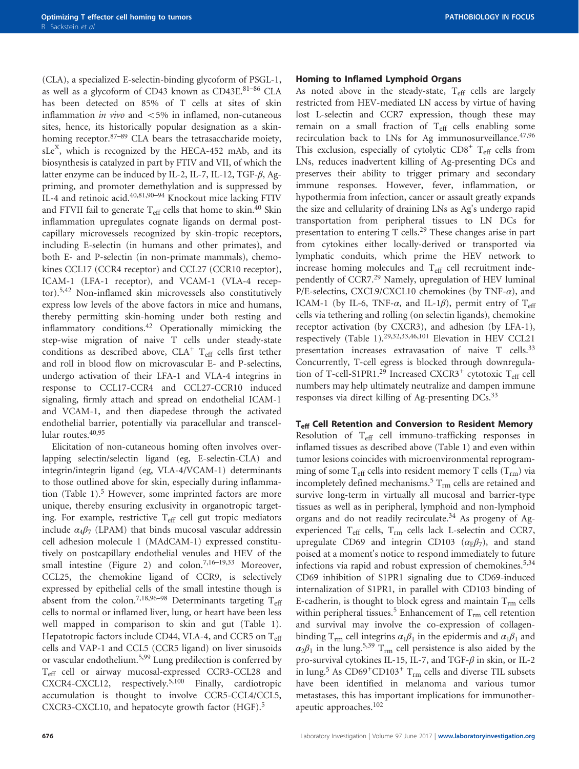(CLA), a specialized E-selectin-binding glycoform of PSGL-1, as well as a glycoform of CD43 known as CD43E.81–[86](#page-24-0) CLA has been detected on 85% of T cells at sites of skin inflammation *in vivo* and  $\langle 5\% \rangle$  in inflamed, non-cutaneous sites, hence, its historically popular designation as a skin-homing receptor.<sup>[87](#page-24-0)–89</sup> CLA bears the tetrasaccharide moiety, sLe<sup>X</sup>, which is recognized by the HECA-452 mAb, and its biosynthesis is catalyzed in part by FTIV and VII, of which the latter enzyme can be induced by IL-2, IL-7, IL-12, TGF- $\beta$ , Agpriming, and promoter demethylation and is suppressed by IL-4 and retinoic acid.[40](#page-23-0)[,81,90](#page-24-0)–<sup>94</sup> Knockout mice lacking FTIV and FTVII fail to generate  $T_{\text{eff}}$  cells that home to skin.<sup>[40](#page-23-0)</sup> Skin inflammation upregulates cognate ligands on dermal postcapillary microvessels recognized by skin-tropic receptors, including E-selectin (in humans and other primates), and both E- and P-selectin (in non-primate mammals), chemokines CCL17 (CCR4 receptor) and CCL27 (CCR10 receptor), ICAM-1 (LFA-1 receptor), and VCAM-1 (VLA-4 receptor).[5](#page-22-0)[,42](#page-23-0) Non-inflamed skin microvessels also constitutively express low levels of the above factors in mice and humans, thereby permitting skin-homing under both resting and inflammatory conditions.<sup>[42](#page-23-0)</sup> Operationally mimicking the step-wise migration of naive T cells under steady-state conditions as described above,  $CLA<sup>+</sup> T<sub>eff</sub>$  cells first tether and roll in blood flow on microvascular E- and P-selectins, undergo activation of their LFA-1 and VLA-4 integrins in response to CCL17-CCR4 and CCL27-CCR10 induced signaling, firmly attach and spread on endothelial ICAM-1 and VCAM-1, and then diapedese through the activated endothelial barrier, potentially via paracellular and transcel-lular routes.<sup>[40](#page-23-0),[95](#page-24-0)</sup>

Elicitation of non-cutaneous homing often involves overlapping selectin/selectin ligand (eg, E-selectin-CLA) and integrin/integrin ligand (eg, VLA-4/VCAM-1) determinants to those outlined above for skin, especially during inflamma-tion ([Table 1\)](#page-2-0). $5$  However, some imprinted factors are more unique, thereby ensuring exclusivity in organotropic targeting. For example, restrictive  $T_{\text{eff}}$  cell gut tropic mediators include  $\alpha_4\beta_7$  (LPAM) that binds mucosal vascular addressin cell adhesion molecule 1 (MAdCAM-1) expressed constitutively on postcapillary endothelial venules and HEV of the small intestine [\(Figure 2](#page-4-0)) and colon.<sup>[7,16](#page-22-0)–19[,33](#page-23-0)</sup> Moreover, CCL25, the chemokine ligand of CCR9, is selectively expressed by epithelial cells of the small intestine though is absent from the colon.<sup>[7,18](#page-22-0)[,96](#page-24-0)–98</sup> Determinants targeting  $T_{\text{eff}}$ cells to normal or inflamed liver, lung, or heart have been less well mapped in comparison to skin and gut ([Table 1\)](#page-2-0). Hepatotropic factors include CD44, VLA-4, and CCR5 on Teff cells and VAP-1 and CCL5 (CCR5 ligand) on liver sinusoids or vascular endothelium.[5](#page-22-0),[99](#page-24-0) Lung predilection is conferred by Teff cell or airway mucosal-expressed CCR3-CCL28 and CXCR4-CXCL12, respectively.[5](#page-22-0),[100](#page-24-0) Finally, cardiotropic accumulation is thought to involve CCR5-CCL4/CCL5, CXCR3-CXCL10, and hepatocyte growth factor (HGF).<sup>[5](#page-22-0)</sup>

#### Homing to Inflamed Lymphoid Organs

As noted above in the steady-state,  $T_{\text{eff}}$  cells are largely restricted from HEV-mediated LN access by virtue of having lost L-selectin and CCR7 expression, though these may remain on a small fraction of  $T_{\text{eff}}$  cells enabling some recirculation back to LNs for Ag immunosurveillance.<sup>[47,](#page-23-0)[96](#page-24-0)</sup> This exclusion, especially of cytolytic  $CDS<sup>+</sup> T<sub>eff</sub>$  cells from LNs, reduces inadvertent killing of Ag-presenting DCs and preserves their ability to trigger primary and secondary immune responses. However, fever, inflammation, or hypothermia from infection, cancer or assault greatly expands the size and cellularity of draining LNs as Ag's undergo rapid transportation from peripheral tissues to LN DCs for presentation to entering T cells.[29](#page-23-0) These changes arise in part from cytokines either locally-derived or transported via lymphatic conduits, which prime the HEV network to increase homing molecules and  $T_{\text{eff}}$  cell recruitment independently of CCR7.[29](#page-23-0) Namely, upregulation of HEV luminal P/E-selectins, CXCL9/CXCL10 chemokines (by TNF- $\alpha$ ), and ICAM-1 (by IL-6, TNF- $\alpha$ , and IL-1 $\beta$ ), permit entry of T<sub>eff</sub> cells via tethering and rolling (on selectin ligands), chemokine receptor activation (by CXCR3), and adhesion (by LFA-1), respectively [\(Table 1\)](#page-2-0).[29](#page-23-0),[32](#page-23-0),[33](#page-23-0),[46](#page-23-0),[101](#page-24-0) Elevation in HEV CCL21 presentation increases extravasation of naive T cells.<sup>[33](#page-23-0)</sup> Concurrently, T-cell egress is blocked through downregula-tion of T-cell-S1PR1.<sup>[29](#page-23-0)</sup> Increased CXCR3<sup>+</sup> cytotoxic T<sub>eff</sub> cell numbers may help ultimately neutralize and dampen immune responses via direct killing of Ag-presenting DCs.<sup>[33](#page-23-0)</sup>

## T<sub>eff</sub> Cell Retention and Conversion to Resident Memory

Resolution of Teff cell immuno-trafficking responses in inflamed tissues as described above ([Table 1](#page-2-0)) and even within tumor lesions coincides with microenvironmental reprogramming of some  $T_{\text{eff}}$  cells into resident memory T cells ( $T_{\text{rm}}$ ) via incompletely defined mechanisms.<sup>[5](#page-22-0)</sup>  $T_{rm}$  cells are retained and survive long-term in virtually all mucosal and barrier-type tissues as well as in peripheral, lymphoid and non-lymphoid organs and do not readily recirculate.<sup>[34](#page-23-0)</sup> As progeny of Agexperienced  $T_{\text{eff}}$  cells,  $T_{\text{rm}}$  cells lack L-selectin and CCR7, upregulate CD69 and integrin CD103 ( $\alpha$ <sub>E</sub> $\beta$ <sub>7</sub>), and stand poised at a moment's notice to respond immediately to future infections via rapid and robust expression of chemokines.<sup>[5,](#page-22-0)[34](#page-23-0)</sup> CD69 inhibition of S1PR1 signaling due to CD69-induced internalization of S1PR1, in parallel with CD103 binding of E-cadherin, is thought to block egress and maintain  $T_{rm}$  cells within peripheral tissues.<sup>[5](#page-22-0)</sup> Enhancement of  $T_{rm}$  cell retention and survival may involve the co-expression of collagenbinding T<sub>rm</sub> cell integrins  $\alpha_1\beta_1$  in the epidermis and  $\alpha_1\beta_1$  and  $\alpha_2\beta_1$  in the lung.<sup>[5](#page-22-0)[,39](#page-23-0)</sup> T<sub>rm</sub> cell persistence is also aided by the pro-survival cytokines IL-15, IL-7, and TGF-β in skin, or IL-2 in lung.<sup>[5](#page-22-0)</sup> As CD69<sup>+</sup>CD103<sup>+</sup> T<sub>rm</sub> cells and diverse TIL subsets have been identified in melanoma and various tumor metastases, this has important implications for immunotherapeutic approaches.[102](#page-24-0)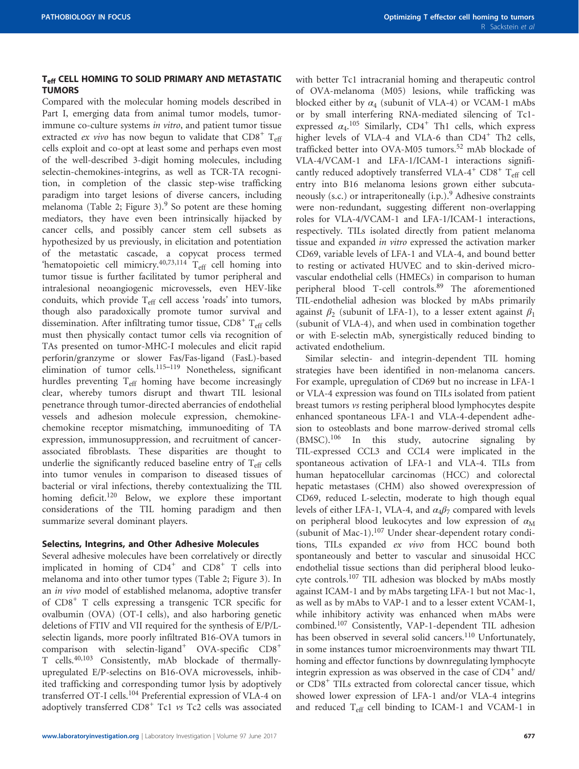#### T<sub>eff</sub> CELL HOMING TO SOLID PRIMARY AND METASTATIC **TUMORS**

Compared with the molecular homing models described in Part I, emerging data from animal tumor models, tumorimmune co-culture systems *in vitro*, and patient tumor tissue extracted *ex vivo* has now begun to validate that  $CD8^+$  T<sub>eff</sub> cells exploit and co-opt at least some and perhaps even most of the well-described 3-digit homing molecules, including selectin-chemokines-integrins, as well as TCR-TA recognition, in completion of the classic step-wise trafficking paradigm into target lesions of diverse cancers, including melanoma ([Table 2](#page-9-0); [Figure 3\)](#page-10-0). $9$  So potent are these homing mediators, they have even been intrinsically hijacked by cancer cells, and possibly cancer stem cell subsets as hypothesized by us previously, in elicitation and potentiation of the metastatic cascade, a copycat process termed 'hematopoietic cell mimicry. $40,73,114$  $40,73,114$  $40,73,114$  T<sub>eff</sub> cell homing into tumor tissue is further facilitated by tumor peripheral and intralesional neoangiogenic microvessels, even HEV-like conduits, which provide  $T_{\text{eff}}$  cell access 'roads' into tumors, though also paradoxically promote tumor survival and dissemination. After infiltrating tumor tissue,  $CD8^+$  T<sub>eff</sub> cells must then physically contact tumor cells via recognition of TAs presented on tumor-MHC-I molecules and elicit rapid perforin/granzyme or slower Fas/Fas-ligand (FasL)-based elimination of tumor cells.<sup>[115](#page-25-0)-119</sup> Nonetheless, significant hurdles preventing T<sub>eff</sub> homing have become increasingly clear, whereby tumors disrupt and thwart TIL lesional penetrance through tumor-directed aberrancies of endothelial vessels and adhesion molecule expression, chemokinechemokine receptor mismatching, immunoediting of TA expression, immunosuppression, and recruitment of cancerassociated fibroblasts. These disparities are thought to underlie the significantly reduced baseline entry of  $T_{\text{eff}}$  cells into tumor venules in comparison to diseased tissues of bacterial or viral infections, thereby contextualizing the TIL homing deficit.<sup>[120](#page-25-0)</sup> Below, we explore these important considerations of the TIL homing paradigm and then summarize several dominant players.

#### Selectins, Integrins, and Other Adhesive Molecules

Several adhesive molecules have been correlatively or directly implicated in homing of  $CD4^+$  and  $CD8^+$  T cells into melanoma and into other tumor types [\(Table 2;](#page-9-0) [Figure 3\)](#page-10-0). In an in vivo model of established melanoma, adoptive transfer of CD8<sup>+</sup> T cells expressing a transgenic TCR specific for ovalbumin (OVA) (OT-I cells), and also harboring genetic deletions of FTIV and VII required for the synthesis of E/P/Lselectin ligands, more poorly infiltrated B16-OVA tumors in comparison with selectin-ligand<sup>+</sup> OVA-specific  $CD8^+$ T cells.[40](#page-23-0)[,103](#page-24-0) Consistently, mAb blockade of thermallyupregulated E/P-selectins on B16-OVA microvessels, inhibited trafficking and corresponding tumor lysis by adoptively transferred OT-I cells.[104](#page-24-0) Preferential expression of VLA-4 on adoptively transferred  $CDS<sup>+</sup> Tc1$  vs Tc2 cells was associated

with better Tc1 intracranial homing and therapeutic control of OVA-melanoma (M05) lesions, while trafficking was blocked either by  $\alpha_4$  (subunit of VLA-4) or VCAM-1 mAbs or by small interfering RNA-mediated silencing of Tc1 expressed  $\alpha_4$ .<sup>[105](#page-24-0)</sup> Similarly, CD4<sup>+</sup> Th1 cells, which express higher levels of VLA-4 and VLA-6 than CD4<sup>+</sup> Th2 cells, trafficked better into OVA-M05 tumors.<sup>[52](#page-23-0)</sup> mAb blockade of VLA-4/VCAM-1 and LFA-1/ICAM-1 interactions significantly reduced adoptively transferred VLA-4<sup>+</sup> CD8<sup>+</sup> T<sub>eff</sub> cell entry into B16 melanoma lesions grown either subcuta-neously (s.c.) or intraperitoneally (i.p.).<sup>[9](#page-22-0)</sup> Adhesive constraints were non-redundant, suggesting different non-overlapping roles for VLA-4/VCAM-1 and LFA-1/ICAM-1 interactions, respectively. TILs isolated directly from patient melanoma tissue and expanded in vitro expressed the activation marker CD69, variable levels of LFA-1 and VLA-4, and bound better to resting or activated HUVEC and to skin-derived microvascular endothelial cells (HMECs) in comparison to human peripheral blood T-cell controls.[89](#page-24-0) The aforementioned TIL-endothelial adhesion was blocked by mAbs primarily against  $\beta_2$  (subunit of LFA-1), to a lesser extent against  $\beta_1$ (subunit of VLA-4), and when used in combination together or with E-selectin mAb, synergistically reduced binding to activated endothelium.

Similar selectin- and integrin-dependent TIL homing strategies have been identified in non-melanoma cancers. For example, upregulation of CD69 but no increase in LFA-1 or VLA-4 expression was found on TILs isolated from patient breast tumors vs resting peripheral blood lymphocytes despite enhanced spontaneous LFA-1 and VLA-4-dependent adhesion to osteoblasts and bone marrow-derived stromal cells (BMSC).[106](#page-24-0) In this study, autocrine signaling by TIL-expressed CCL3 and CCL4 were implicated in the spontaneous activation of LFA-1 and VLA-4. TILs from human hepatocellular carcinomas (HCC) and colorectal hepatic metastases (CHM) also showed overexpression of CD69, reduced L-selectin, moderate to high though equal levels of either LFA-1, VLA-4, and  $\alpha_4\beta_7$  compared with levels on peripheral blood leukocytes and low expression of  $\alpha_M$ (subunit of Mac-1).[107](#page-24-0) Under shear-dependent rotary conditions, TILs expanded ex vivo from HCC bound both spontaneously and better to vascular and sinusoidal HCC endothelial tissue sections than did peripheral blood leukocyte controls.[107](#page-24-0) TIL adhesion was blocked by mAbs mostly against ICAM-1 and by mAbs targeting LFA-1 but not Mac-1, as well as by mAbs to VAP-1 and to a lesser extent VCAM-1, while inhibitory activity was enhanced when mAbs were combined.[107](#page-24-0) Consistently, VAP-1-dependent TIL adhesion has been observed in several solid cancers.<sup>[110](#page-24-0)</sup> Unfortunately, in some instances tumor microenvironments may thwart TIL homing and effector functions by downregulating lymphocyte integrin expression as was observed in the case of  $CD4^+$  and/ or CD8<sup>+</sup> TILs extracted from colorectal cancer tissue, which showed lower expression of LFA-1 and/or VLA-4 integrins and reduced  $T_{\text{eff}}$  cell binding to ICAM-1 and VCAM-1 in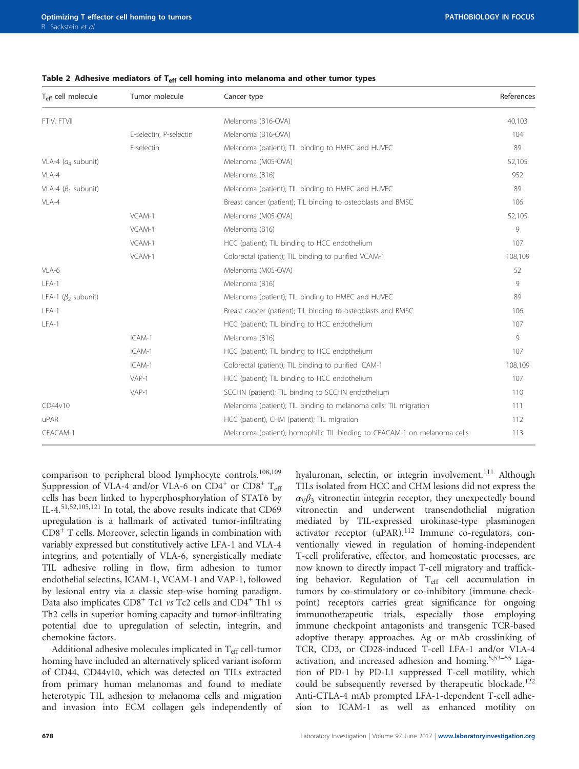| $T_{\text{eff}}$ cell molecule        | Tumor molecule         | Cancer type                                                              | References |
|---------------------------------------|------------------------|--------------------------------------------------------------------------|------------|
| FTIV, FTVII                           |                        | Melanoma (B16-OVA)                                                       | 40,103     |
|                                       | E-selectin, P-selectin | Melanoma (B16-OVA)                                                       | 104        |
|                                       | E-selectin             | Melanoma (patient); TIL binding to HMEC and HUVEC                        | 89         |
| VLA-4 ( $a_4$ subunit)                |                        | Melanoma (M05-OVA)                                                       | 52,105     |
| VLA-4                                 |                        | Melanoma (B16)                                                           | 952        |
| VLA-4 ( $\beta_1$ subunit)            |                        | Melanoma (patient); TIL binding to HMEC and HUVEC                        | 89         |
| VLA-4                                 |                        | Breast cancer (patient); TIL binding to osteoblasts and BMSC             | 106        |
|                                       | VCAM-1                 | Melanoma (M05-OVA)                                                       | 52,105     |
|                                       | VCAM-1                 | Melanoma (B16)                                                           | 9          |
|                                       | VCAM-1                 | HCC (patient); TIL binding to HCC endothelium                            | 107        |
|                                       | VCAM-1                 | Colorectal (patient); TIL binding to purified VCAM-1                     | 108,109    |
| VLA-6                                 |                        | Melanoma (M05-OVA)                                                       | 52         |
| $LFA-1$                               |                        | Melanoma (B16)                                                           | 9          |
| LFA-1 ( $\beta$ <sub>2</sub> subunit) |                        | Melanoma (patient); TIL binding to HMEC and HUVEC                        | 89         |
| $LFA-1$                               |                        | Breast cancer (patient); TIL binding to osteoblasts and BMSC             | 106        |
| $LFA-1$                               |                        | HCC (patient); TIL binding to HCC endothelium                            | 107        |
|                                       | ICAM-1                 | Melanoma (B16)                                                           | 9          |
|                                       | ICAM-1                 | HCC (patient); TIL binding to HCC endothelium                            | 107        |
|                                       | ICAM-1                 | Colorectal (patient); TIL binding to purified ICAM-1                     | 108,109    |
|                                       | $VAP-1$                | HCC (patient); TIL binding to HCC endothelium                            | 107        |
|                                       | $VAP-1$                | SCCHN (patient); TIL binding to SCCHN endothelium                        | 110        |
| CD44v10                               |                        | Melanoma (patient); TIL binding to melanoma cells; TIL migration         | 111        |
| uPAR                                  |                        | HCC (patient), CHM (patient); TIL migration                              | 112        |
| CEACAM-1                              |                        | Melanoma (patient); homophilic TIL binding to CEACAM-1 on melanoma cells | 113        |

<span id="page-9-0"></span>Table 2 Adhesive mediators of  $T_{\text{eff}}$  cell homing into melanoma and other tumor types

comparison to peripheral blood lymphocyte controls.[108](#page-24-0),[109](#page-24-0) Suppression of VLA-4 and/or VLA-6 on  $CD4^+$  or  $CD8^+$  T<sub>eff</sub> cells has been linked to hyperphosphorylation of STAT6 by IL-4.[51,52,](#page-23-0)[105](#page-24-0)[,121](#page-25-0) In total, the above results indicate that CD69 upregulation is a hallmark of activated tumor-infiltrating CD8<sup>+</sup> T cells. Moreover, selectin ligands in combination with variably expressed but constitutively active LFA-1 and VLA-4 integrins, and potentially of VLA-6, synergistically mediate TIL adhesive rolling in flow, firm adhesion to tumor endothelial selectins, ICAM-1, VCAM-1 and VAP-1, followed by lesional entry via a classic step-wise homing paradigm. Data also implicates  $CD8<sup>+</sup>$  Tc1 vs Tc2 cells and  $CD4<sup>+</sup>$  Th1 vs Th2 cells in superior homing capacity and tumor-infiltrating potential due to upregulation of selectin, integrin, and chemokine factors.

Additional adhesive molecules implicated in  $T_{\text{eff}}$  cell-tumor homing have included an alternatively spliced variant isoform of CD44, CD44v10, which was detected on TILs extracted from primary human melanomas and found to mediate heterotypic TIL adhesion to melanoma cells and migration and invasion into ECM collagen gels independently of hyaluronan, selectin, or integrin involvement.<sup>[111](#page-25-0)</sup> Although TILs isolated from HCC and CHM lesions did not express the  $\alpha\sqrt{\beta_3}$  vitronectin integrin receptor, they unexpectedly bound vitronectin and underwent transendothelial migration mediated by TIL-expressed urokinase-type plasminogen activator receptor (uPAR).[112](#page-25-0) Immune co-regulators, conventionally viewed in regulation of homing-independent T-cell proliferative, effector, and homeostatic processes, are now known to directly impact T-cell migratory and trafficking behavior. Regulation of T<sub>eff</sub> cell accumulation in tumors by co-stimulatory or co-inhibitory (immune checkpoint) receptors carries great significance for ongoing immunotherapeutic trials, especially those employing immune checkpoint antagonists and transgenic TCR-based adoptive therapy approaches. Ag or mAb crosslinking of TCR, CD3, or CD28-induced T-cell LFA-1 and/or VLA-4 activation, and increased adhesion and homing.[5](#page-22-0)[,53](#page-23-0)–<sup>55</sup> Ligation of PD-1 by PD-L1 suppressed T-cell motility, which could be subsequently reversed by therapeutic blockade.<sup>[122](#page-25-0)</sup> Anti-CTLA-4 mAb prompted LFA-1-dependent T-cell adhesion to ICAM-1 as well as enhanced motility on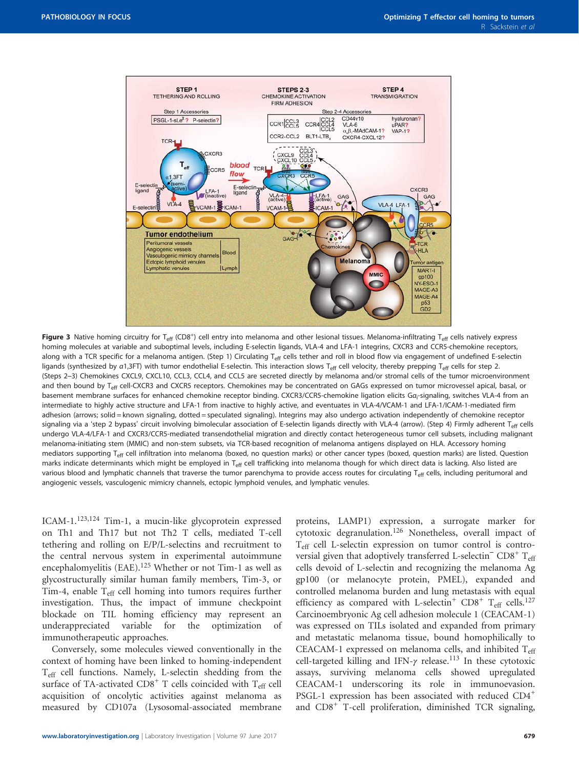<span id="page-10-0"></span>

Figure 3 Native homing circuitry for T<sub>eff</sub> (CD8<sup>+</sup>) cell entry into melanoma and other lesional tissues. Melanoma-infiltrating T<sub>eff</sub> cells natively express homing molecules at variable and suboptimal levels, including E-selectin ligands, VLA-4 and LFA-1 integrins, CXCR3 and CCR5-chemokine receptors, along with a TCR specific for a melanoma antigen. (Step 1) Circulating T<sub>eff</sub> cells tether and roll in blood flow via engagement of undefined E-selectin ligands (synthesized by a1,3FT) with tumor endothelial E-selectin. This interaction slows T<sub>eff</sub> cell velocity, thereby prepping T<sub>eff</sub> cells for step 2. (Steps 2–3) Chemokines CXCL9, CXCL10, CCL3, CCL4, and CCL5 are secreted directly by melanoma and/or stromal cells of the tumor microenvironment and then bound by T<sub>eff</sub> cell-CXCR3 and CXCR5 receptors. Chemokines may be concentrated on GAGs expressed on tumor microvessel apical, basal, or basement membrane surfaces for enhanced chemokine receptor binding. CXCR3/CCR5-chemokine ligation elicits G $a$ <sub>r</sub>-signaling, switches VLA-4 from an intermediate to highly active structure and LFA-1 from inactive to highly active, and eventuates in VLA-4/VCAM-1 and LFA-1/ICAM-1-mediated firm adhesion (arrows; solid = known signaling, dotted = speculated signaling). Integrins may also undergo activation independently of chemokine receptor signaling via a 'step 2 bypass' circuit involving bimolecular association of E-selectin ligands directly with VLA-4 (arrow). (Step 4) Firmly adherent T<sub>eff</sub> cells undergo VLA-4/LFA-1 and CXCR3/CCR5-mediated transendothelial migration and directly contact heterogeneous tumor cell subsets, including malignant melanoma-initiating stem (MMIC) and non-stem subsets, via TCR-based recognition of melanoma antigens displayed on HLA. Accessory homing mediators supporting T<sub>eff</sub> cell infiltration into melanoma (boxed, no question marks) or other cancer types (boxed, question marks) are listed. Question marks indicate determinants which might be employed in T<sub>eff</sub> cell trafficking into melanoma though for which direct data is lacking. Also listed are various blood and lymphatic channels that traverse the tumor parenchyma to provide access routes for circulating T<sub>eff</sub> cells, including peritumoral and angiogenic vessels, vasculogenic mimicry channels, ectopic lymphoid venules, and lymphatic venules.

ICAM-1.[123,124](#page-25-0) Tim-1, a mucin-like glycoprotein expressed on Th1 and Th17 but not Th2 T cells, mediated T-cell tethering and rolling on E/P/L-selectins and recruitment to the central nervous system in experimental autoimmune encephalomyelitis (EAE).<sup>[125](#page-25-0)</sup> Whether or not Tim-1 as well as glycostructurally similar human family members, Tim-3, or Tim-4, enable  $T_{\text{eff}}$  cell homing into tumors requires further investigation. Thus, the impact of immune checkpoint blockade on TIL homing efficiency may represent an underappreciated variable for the optimization of immunotherapeutic approaches.

Conversely, some molecules viewed conventionally in the context of homing have been linked to homing-independent Teff cell functions. Namely, L-selectin shedding from the surface of TA-activated  $CD8<sup>+</sup>$  T cells coincided with  $T_{eff}$  cell acquisition of oncolytic activities against melanoma as measured by CD107a (Lysosomal-associated membrane proteins, LAMP1) expression, a surrogate marker for cytotoxic degranulation.[126](#page-25-0) Nonetheless, overall impact of Teff cell L-selectin expression on tumor control is controversial given that adoptively transferred L-selectin<sup> $-CD8+T_{eff}$ </sup> cells devoid of L-selectin and recognizing the melanoma Ag gp100 (or melanocyte protein, PMEL), expanded and controlled melanoma burden and lung metastasis with equal efficiency as compared with L-selectin<sup>+</sup> CD8<sup>+</sup> T<sub>eff</sub> cells.<sup>[127](#page-25-0)</sup> Carcinoembryonic Ag cell adhesion molecule 1 (CEACAM-1) was expressed on TILs isolated and expanded from primary and metastatic melanoma tissue, bound homophilically to CEACAM-1 expressed on melanoma cells, and inhibited  $T_{\text{eff}}$ cell-targeted killing and IFN- $\gamma$  release.<sup>[113](#page-25-0)</sup> In these cytotoxic assays, surviving melanoma cells showed upregulated CEACAM-1 underscoring its role in immunoevasion. PSGL-1 expression has been associated with reduced CD4<sup>+</sup> and CD8<sup>+</sup> T-cell proliferation, diminished TCR signaling,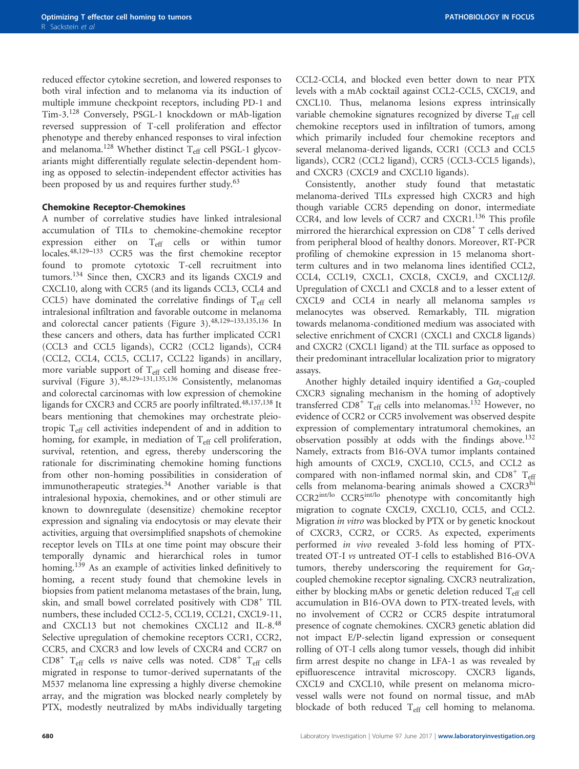reduced effector cytokine secretion, and lowered responses to both viral infection and to melanoma via its induction of multiple immune checkpoint receptors, including PD-1 and Tim-3.[128](#page-25-0) Conversely, PSGL-1 knockdown or mAb-ligation reversed suppression of T-cell proliferation and effector phenotype and thereby enhanced responses to viral infection and melanoma.<sup>[128](#page-25-0)</sup> Whether distinct  $T_{\text{eff}}$  cell PSGL-1 glycovariants might differentially regulate selectin-dependent homing as opposed to selectin-independent effector activities has been proposed by us and requires further study.<sup>[63](#page-23-0)</sup>

#### Chemokine Receptor-Chemokines

A number of correlative studies have linked intralesional accumulation of TILs to chemokine-chemokine receptor expression either on T<sub>eff</sub> cells or within tumor locales.[48](#page-23-0),129–[133](#page-25-0) CCR5 was the first chemokine receptor found to promote cytotoxic T-cell recruitment into tumors.<sup>[134](#page-25-0)</sup> Since then, CXCR3 and its ligands CXCL9 and CXCL10, along with CCR5 (and its ligands CCL3, CCL4 and CCL5) have dominated the correlative findings of  $T_{\text{eff}}$  cell intralesional infiltration and favorable outcome in melanoma and colorectal cancer patients [\(Figure 3\)](#page-10-0).[48](#page-23-0),129–[133](#page-25-0),[135,136](#page-25-0) In these cancers and others, data has further implicated CCR1 (CCL3 and CCL5 ligands), CCR2 (CCL2 ligands), CCR4 (CCL2, CCL4, CCL5, CCL17, CCL22 ligands) in ancillary, more variable support of  $T_{\text{eff}}$  cell homing and disease free-survival ([Figure 3](#page-10-0)).<sup>[48](#page-23-0)[,129](#page-25-0)-131[,135,136](#page-25-0)</sup> Consistently, melanomas and colorectal carcinomas with low expression of chemokine ligands for CXCR3 and CCR5 are poorly infiltrated.<sup>[48,](#page-23-0)[137,138](#page-25-0)</sup> It bears mentioning that chemokines may orchestrate pleiotropic Teff cell activities independent of and in addition to homing, for example, in mediation of  $T_{\text{eff}}$  cell proliferation, survival, retention, and egress, thereby underscoring the rationale for discriminating chemokine homing functions from other non-homing possibilities in consideration of immunotherapeutic strategies.<sup>[34](#page-23-0)</sup> Another variable is that intralesional hypoxia, chemokines, and or other stimuli are known to downregulate (desensitize) chemokine receptor expression and signaling via endocytosis or may elevate their activities, arguing that oversimplified snapshots of chemokine receptor levels on TILs at one time point may obscure their temporally dynamic and hierarchical roles in tumor homing.<sup>[139](#page-25-0)</sup> As an example of activities linked definitively to homing, a recent study found that chemokine levels in biopsies from patient melanoma metastases of the brain, lung, skin, and small bowel correlated positively with CD8<sup>+</sup> TIL numbers, these included CCL2-5, CCL19, CCL21, CXCL9-11, and CXCL13 but not chemokines CXCL12 and IL-8.[48](#page-23-0) Selective upregulation of chemokine receptors CCR1, CCR2, CCR5, and CXCR3 and low levels of CXCR4 and CCR7 on  $CD8<sup>+</sup>$  T<sub>eff</sub> cells vs naive cells was noted.  $CD8<sup>+</sup>$  T<sub>eff</sub> cells migrated in response to tumor-derived supernatants of the M537 melanoma line expressing a highly diverse chemokine array, and the migration was blocked nearly completely by PTX, modestly neutralized by mAbs individually targeting

CCL2-CCL4, and blocked even better down to near PTX levels with a mAb cocktail against CCL2-CCL5, CXCL9, and CXCL10. Thus, melanoma lesions express intrinsically variable chemokine signatures recognized by diverse  $T_{\text{eff}}$  cell chemokine receptors used in infiltration of tumors, among which primarily included four chemokine receptors and several melanoma-derived ligands, CCR1 (CCL3 and CCL5 ligands), CCR2 (CCL2 ligand), CCR5 (CCL3-CCL5 ligands), and CXCR3 (CXCL9 and CXCL10 ligands).

Consistently, another study found that metastatic melanoma-derived TILs expressed high CXCR3 and high though variable CCR5 depending on donor, intermediate CCR4, and low levels of CCR7 and CXCR1.[136](#page-25-0) This profile mirrored the hierarchical expression on  $CD8<sup>+</sup>$  T cells derived from peripheral blood of healthy donors. Moreover, RT-PCR profiling of chemokine expression in 15 melanoma shortterm cultures and in two melanoma lines identified CCL2, CCL4, CCL19, CXCL1, CXCL8, CXCL9, and CXCL12β. Upregulation of CXCL1 and CXCL8 and to a lesser extent of CXCL9 and CCL4 in nearly all melanoma samples vs melanocytes was observed. Remarkably, TIL migration towards melanoma-conditioned medium was associated with selective enrichment of CXCR1 (CXCL1 and CXCL8 ligands) and CXCR2 (CXCL1 ligand) at the TIL surface as opposed to their predominant intracellular localization prior to migratory assays.

Another highly detailed inquiry identified a  $Ga_i$ -coupled CXCR3 signaling mechanism in the homing of adoptively transferred  $CDS^+$  T<sub>eff</sub> cells into melanomas.<sup>[132](#page-25-0)</sup> However, no evidence of CCR2 or CCR5 involvement was observed despite expression of complementary intratumoral chemokines, an observation possibly at odds with the findings above.[132](#page-25-0) Namely, extracts from B16-OVA tumor implants contained high amounts of CXCL9, CXCL10, CCL5, and CCL2 as compared with non-inflamed normal skin, and  $CD8^+$  T<sub>eff</sub> cells from melanoma-bearing animals showed a CXCR3<sup>hi</sup> CCR2<sup>int/lo</sup> CCR5<sup>int/lo</sup> phenotype with concomitantly high migration to cognate CXCL9, CXCL10, CCL5, and CCL2. Migration in vitro was blocked by PTX or by genetic knockout of CXCR3, CCR2, or CCR5. As expected, experiments performed in vivo revealed 3-fold less homing of PTXtreated OT-I vs untreated OT-I cells to established B16-OVA tumors, thereby underscoring the requirement for  $Ga_i$ coupled chemokine receptor signaling. CXCR3 neutralization, either by blocking mAbs or genetic deletion reduced  $T_{\text{eff}}$  cell accumulation in B16-OVA down to PTX-treated levels, with no involvement of CCR2 or CCR5 despite intratumoral presence of cognate chemokines. CXCR3 genetic ablation did not impact E/P-selectin ligand expression or consequent rolling of OT-I cells along tumor vessels, though did inhibit firm arrest despite no change in LFA-1 as was revealed by epifluorescence intravital microscopy. CXCR3 ligands, CXCL9 and CXCL10, while present on melanoma microvessel walls were not found on normal tissue, and mAb blockade of both reduced  $T_{\text{eff}}$  cell homing to melanoma.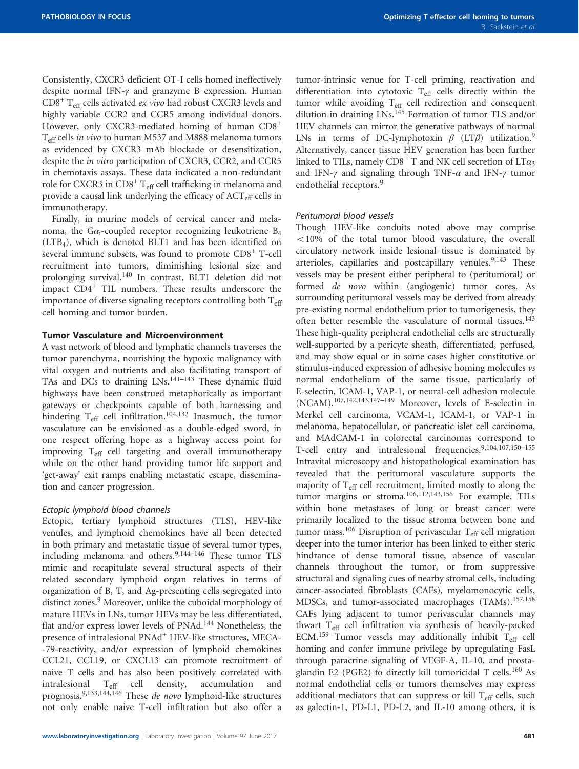Consistently, CXCR3 deficient OT-I cells homed ineffectively despite normal IFN-γ and granzyme B expression. Human  $CD8<sup>+</sup>$  T<sub>eff</sub> cells activated *ex vivo* had robust CXCR3 levels and highly variable CCR2 and CCR5 among individual donors. However, only CXCR3-mediated homing of human CD8<sup>+</sup> T<sub>eff</sub> cells *in vivo* to human M537 and M888 melanoma tumors as evidenced by CXCR3 mAb blockade or desensitization, despite the *in vitro* participation of CXCR3, CCR2, and CCR5 in chemotaxis assays. These data indicated a non-redundant role for CXCR3 in  $CD8<sup>+</sup> T<sub>eff</sub>$  cell trafficking in melanoma and provide a causal link underlying the efficacy of ACT<sub>eff</sub> cells in immunotherapy.

Finally, in murine models of cervical cancer and melanoma, the G $\alpha_i$ -coupled receptor recognizing leukotriene B<sub>4</sub> (LTB4), which is denoted BLT1 and has been identified on several immune subsets, was found to promote CD8<sup>+</sup> T-cell recruitment into tumors, diminishing lesional size and prolonging survival.[140](#page-25-0) In contrast, BLT1 deletion did not impact  $CD4^+$  TIL numbers. These results underscore the importance of diverse signaling receptors controlling both  $T_{\text{eff}}$ cell homing and tumor burden.

#### Tumor Vasculature and Microenvironment

A vast network of blood and lymphatic channels traverses the tumor parenchyma, nourishing the hypoxic malignancy with vital oxygen and nutrients and also facilitating transport of TAs and DCs to draining LNs.<sup>141-[143](#page-25-0)</sup> These dynamic fluid highways have been construed metaphorically as important gateways or checkpoints capable of both harnessing and hindering T<sub>eff</sub> cell infiltration.<sup>[104](#page-24-0)[,132](#page-25-0)</sup> Inasmuch, the tumor vasculature can be envisioned as a double-edged sword, in one respect offering hope as a highway access point for improving  $T_{\text{eff}}$  cell targeting and overall immunotherapy while on the other hand providing tumor life support and 'get-away' exit ramps enabling metastatic escape, dissemination and cancer progression.

#### Ectopic lymphoid blood channels

Ectopic, tertiary lymphoid structures (TLS), HEV-like venules, and lymphoid chemokines have all been detected in both primary and metastatic tissue of several tumor types, including melanoma and others. $9,144-146$  $9,144-146$  $9,144-146$  These tumor TLS mimic and recapitulate several structural aspects of their related secondary lymphoid organ relatives in terms of organization of B, T, and Ag-presenting cells segregated into distinct zones.<sup>9</sup> Moreover, unlike the cuboidal morphology of mature HEVs in LNs, tumor HEVs may be less differentiated, flat and/or express lower levels of PNAd.<sup>[144](#page-25-0)</sup> Nonetheless, the presence of intralesional PNAd<sup>+</sup> HEV-like structures, MECA--79-reactivity, and/or expression of lymphoid chemokines CCL21, CCL19, or CXCL13 can promote recruitment of naive T cells and has also been positively correlated with intralesional Teff cell density, accumulation and prognosis[.9,](#page-22-0)[133,144,146](#page-25-0) These de novo lymphoid-like structures not only enable naive T-cell infiltration but also offer a

tumor-intrinsic venue for T-cell priming, reactivation and differentiation into cytotoxic  $T_{\text{eff}}$  cells directly within the tumor while avoiding T<sub>eff</sub> cell redirection and consequent dilution in draining LNs.[145](#page-25-0) Formation of tumor TLS and/or HEV channels can mirror the generative pathways of normal LNs in terms of DC-lymphotoxin  $\beta$  (LT $\beta$ ) utilization.<sup>9</sup> Alternatively, cancer tissue HEV generation has been further linked to TILs, namely  $CD8^+$  T and NK cell secretion of  $LT\alpha_3$ and IFN- $\gamma$  and signaling through TNF- $\alpha$  and IFN- $\gamma$  tumor endothelial receptors.<sup>[9](#page-22-0)</sup>

#### Peritumoral blood vessels

Though HEV-like conduits noted above may comprise  $10\%$  of the total tumor blood vasculature, the overall circulatory network inside lesional tissue is dominated by arterioles, capillaries and postcapillary venules.<sup>9[,143](#page-25-0)</sup> These vessels may be present either peripheral to (peritumoral) or formed de novo within (angiogenic) tumor cores. As surrounding peritumoral vessels may be derived from already pre-existing normal endothelium prior to tumorigenesis, they often better resemble the vasculature of normal tissues.<sup>[143](#page-25-0)</sup> These high-quality peripheral endothelial cells are structurally well-supported by a pericyte sheath, differentiated, perfused, and may show equal or in some cases higher constitutive or stimulus-induced expression of adhesive homing molecules vs normal endothelium of the same tissue, particularly of E-selectin, ICAM-1, VAP-1, or neural-cell adhesion molecule (NCAM).[107,](#page-24-0)[142,143,](#page-25-0)147–[149](#page-25-0) Moreover, levels of E-selectin in Merkel cell carcinoma, VCAM-1, ICAM-1, or VAP-1 in melanoma, hepatocellular, or pancreatic islet cell carcinoma, and MAdCAM-1 in colorectal carcinomas correspond to T-cell entry and intralesional frequencies.[9,](#page-22-0)[104](#page-24-0),[107](#page-24-0)[,150](#page-25-0)–<sup>155</sup> Intravital microscopy and histopathological examination has revealed that the peritumoral vasculature supports the majority of T<sub>eff</sub> cell recruitment, limited mostly to along the tumor margins or stroma.[106](#page-24-0)[,112](#page-25-0),[143,156](#page-25-0) For example, TILs within bone metastases of lung or breast cancer were primarily localized to the tissue stroma between bone and tumor mass.<sup>[106](#page-24-0)</sup> Disruption of perivascular  $T_{\text{eff}}$  cell migration deeper into the tumor interior has been linked to either steric hindrance of dense tumoral tissue, absence of vascular channels throughout the tumor, or from suppressive structural and signaling cues of nearby stromal cells, including cancer-associated fibroblasts (CAFs), myelomonocytic cells, MDSCs, and tumor-associated macrophages (TAMs).<sup>[157](#page-25-0),[158](#page-26-0)</sup> CAFs lying adjacent to tumor perivascular channels may thwart Teff cell infiltration via synthesis of heavily-packed ECM.<sup>[159](#page-26-0)</sup> Tumor vessels may additionally inhibit  $T_{\text{eff}}$  cell homing and confer immune privilege by upregulating FasL through paracrine signaling of VEGF-A, IL-10, and prosta-glandin E2 (PGE2) to directly kill tumoricidal T cells.<sup>[160](#page-26-0)</sup> As normal endothelial cells or tumors themselves may express additional mediators that can suppress or kill  $T_{\text{eff}}$  cells, such as galectin-1, PD-L1, PD-L2, and IL-10 among others, it is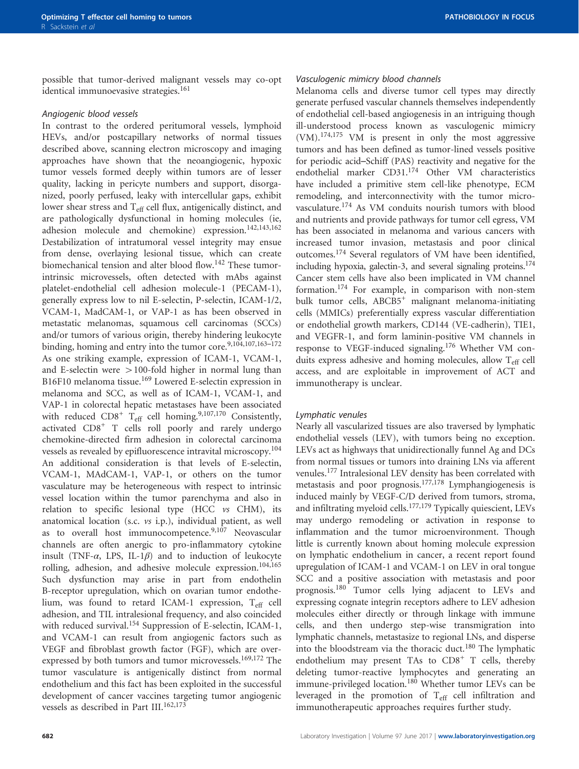possible that tumor-derived malignant vessels may co-opt identical immunoevasive strategies.<sup>[161](#page-26-0)</sup>

#### Angiogenic blood vessels

In contrast to the ordered peritumoral vessels, lymphoid HEVs, and/or postcapillary networks of normal tissues described above, scanning electron microscopy and imaging approaches have shown that the neoangiogenic, hypoxic tumor vessels formed deeply within tumors are of lesser quality, lacking in pericyte numbers and support, disorganized, poorly perfused, leaky with intercellular gaps, exhibit lower shear stress and T<sub>eff</sub> cell flux, antigenically distinct, and are pathologically dysfunctional in homing molecules (ie, adhesion molecule and chemokine) expression.<sup>[142,143](#page-25-0),[162](#page-26-0)</sup> Destabilization of intratumoral vessel integrity may ensue from dense, overlaying lesional tissue, which can create biomechanical tension and alter blood flow.[142](#page-25-0) These tumorintrinsic microvessels, often detected with mAbs against platelet-endothelial cell adhesion molecule-1 (PECAM-1), generally express low to nil E-selectin, P-selectin, ICAM-1/2, VCAM-1, MadCAM-1, or VAP-1 as has been observed in metastatic melanomas, squamous cell carcinomas (SCCs) and/or tumors of various origin, thereby hindering leukocyte binding, homing and entry into the tumor core.<sup>[9](#page-22-0)[,104](#page-24-0),[107,](#page-24-0)[163](#page-26-0)-172</sup> As one striking example, expression of ICAM-1, VCAM-1, and E-selectin were  $>100$ -fold higher in normal lung than B16F10 melanoma tissue.<sup>[169](#page-26-0)</sup> Lowered E-selectin expression in melanoma and SCC, as well as of ICAM-1, VCAM-1, and VAP-1 in colorectal hepatic metastases have been associated with reduced  $CD8^+$  T<sub>eff</sub> cell homing.<sup>[9](#page-22-0)[,107,](#page-24-0)[170](#page-26-0)</sup> Consistently, activated CD8<sup>+</sup> T cells roll poorly and rarely undergo chemokine-directed firm adhesion in colorectal carcinoma vessels as revealed by epifluorescence intravital microscopy.[104](#page-24-0) An additional consideration is that levels of E-selectin, VCAM-1, MAdCAM-1, VAP-1, or others on the tumor vasculature may be heterogeneous with respect to intrinsic vessel location within the tumor parenchyma and also in relation to specific lesional type (HCC  $v_s$  CHM), its anatomical location (s.c. vs i.p.), individual patient, as well as to overall host immunocompetence. $9,107$  $9,107$  Neovascular channels are often anergic to pro-inflammatory cytokine insult (TNF- $\alpha$ , LPS, IL-1 $\beta$ ) and to induction of leukocyte rolling, adhesion, and adhesive molecule expression.<sup>[104](#page-24-0),[165](#page-26-0)</sup> Such dysfunction may arise in part from endothelin B-receptor upregulation, which on ovarian tumor endothelium, was found to retard ICAM-1 expression, T<sub>eff</sub> cell adhesion, and TIL intralesional frequency, and also coincided with reduced survival.<sup>[154](#page-25-0)</sup> Suppression of E-selectin, ICAM-1, and VCAM-1 can result from angiogenic factors such as VEGF and fibroblast growth factor (FGF), which are over-expressed by both tumors and tumor microvessels.<sup>[169,172](#page-26-0)</sup> The tumor vasculature is antigenically distinct from normal endothelium and this fact has been exploited in the successful development of cancer vaccines targeting tumor angiogenic vessels as described in Part III.<sup>[162,173](#page-26-0)</sup>

#### Vasculogenic mimicry blood channels

Melanoma cells and diverse tumor cell types may directly generate perfused vascular channels themselves independently of endothelial cell-based angiogenesis in an intriguing though ill-understood process known as vasculogenic mimicry (VM).[174,175](#page-26-0) VM is present in only the most aggressive tumors and has been defined as tumor-lined vessels positive for periodic acid–Schiff (PAS) reactivity and negative for the endothelial marker CD31.[174](#page-26-0) Other VM characteristics have included a primitive stem cell-like phenotype, ECM remodeling, and interconnectivity with the tumor microvasculature.[174](#page-26-0) As VM conduits nourish tumors with blood and nutrients and provide pathways for tumor cell egress, VM has been associated in melanoma and various cancers with increased tumor invasion, metastasis and poor clinical outcomes[.174](#page-26-0) Several regulators of VM have been identified, including hypoxia, galectin-3, and several signaling proteins[.174](#page-26-0) Cancer stem cells have also been implicated in VM channel formation.[174](#page-26-0) For example, in comparison with non-stem bulk tumor cells, ABCB5<sup>+</sup> malignant melanoma-initiating cells (MMICs) preferentially express vascular differentiation or endothelial growth markers, CD144 (VE-cadherin), TIE1, and VEGFR-1, and form laminin-positive VM channels in response to VEGF-induced signaling.[176](#page-26-0) Whether VM conduits express adhesive and homing molecules, allow T<sub>eff</sub> cell access, and are exploitable in improvement of ACT and immunotherapy is unclear.

#### Lymphatic venules

Nearly all vascularized tissues are also traversed by lymphatic endothelial vessels (LEV), with tumors being no exception. LEVs act as highways that unidirectionally funnel Ag and DCs from normal tissues or tumors into draining LNs via afferent venules.[177](#page-26-0) Intralesional LEV density has been correlated with metastasis and poor prognosis.[177,178](#page-26-0) Lymphangiogenesis is induced mainly by VEGF-C/D derived from tumors, stroma, and infiltrating myeloid cells.<sup>[177,179](#page-26-0)</sup> Typically quiescient, LEVs may undergo remodeling or activation in response to inflammation and the tumor microenvironment. Though little is currently known about homing molecule expression on lymphatic endothelium in cancer, a recent report found upregulation of ICAM-1 and VCAM-1 on LEV in oral tongue SCC and a positive association with metastasis and poor prognosis[.180](#page-26-0) Tumor cells lying adjacent to LEVs and expressing cognate integrin receptors adhere to LEV adhesion molecules either directly or through linkage with immune cells, and then undergo step-wise transmigration into lymphatic channels, metastasize to regional LNs, and disperse into the bloodstream via the thoracic duct.[180](#page-26-0) The lymphatic endothelium may present TAs to  $CD8<sup>+</sup>$  T cells, thereby deleting tumor-reactive lymphocytes and generating an immune-privileged location.<sup>[180](#page-26-0)</sup> Whether tumor LEVs can be leveraged in the promotion of Teff cell infiltration and immunotherapeutic approaches requires further study.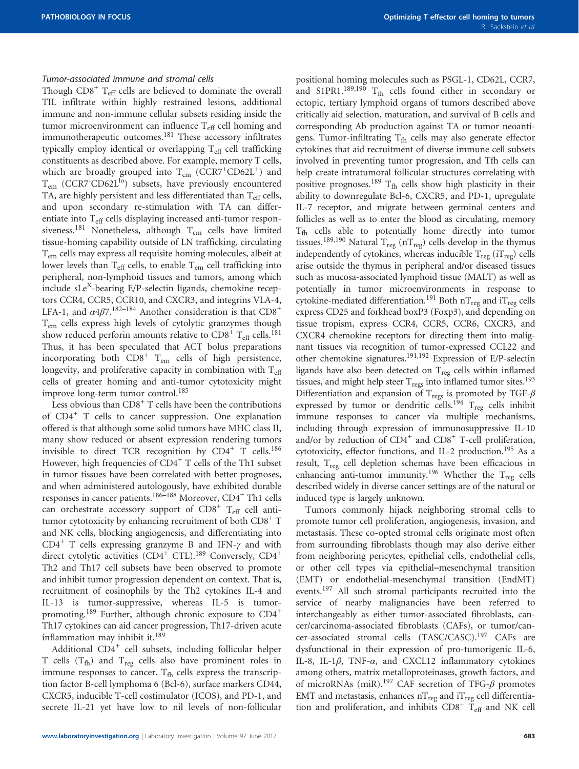#### Tumor-associated immune and stromal cells

Though  $CDS^{+}$  T<sub>eff</sub> cells are believed to dominate the overall TIL infiltrate within highly restrained lesions, additional immune and non-immune cellular subsets residing inside the tumor microenvironment can influence  $T_{\text{eff}}$  cell homing and immunotherapeutic outcomes.<sup>181</sup> These accessory infiltrates typically employ identical or overlapping  $T_{\text{eff}}$  cell trafficking constituents as described above. For example, memory T cells, which are broadly grouped into  $T_{cm}$  (CCR7<sup>+</sup>CD62L<sup>+</sup>) and T<sub>em</sub> (CCR7<sup>-</sup>CD62L<sup>I</sup><sup>o</sup>) subsets, have previously encountered TA, are highly persistent and less differentiated than  $T_{\text{eff}}$  cells, and upon secondary re-stimulation with TA can differentiate into T<sub>eff</sub> cells displaying increased anti-tumor respon-siveness.<sup>[181](#page-26-0)</sup> Nonetheless, although  $T_{cm}$  cells have limited tissue-homing capability outside of LN trafficking, circulating Tem cells may express all requisite homing molecules, albeit at lower levels than  $T_{\text{eff}}$  cells, to enable  $T_{\text{em}}$  cell trafficking into peripheral, non-lymphoid tissues and tumors, among which include sLe<sup>X</sup>-bearing E/P-selectin ligands, chemokine receptors CCR4, CCR5, CCR10, and CXCR3, and integrins VLA-4, LFA-1, and  $\alpha$ 4 $\beta$ 7.<sup>[182](#page-26-0)–184</sup> Another consideration is that CD8<sup>+</sup> Tem cells express high levels of cytolytic granzymes though show reduced perforin amounts relative to  $CD8^+$  T<sub>eff</sub> cells.<sup>[181](#page-26-0)</sup> Thus, it has been speculated that ACT bolus preparations incorporating both  $CDS^+$   $T_{em}$  cells of high persistence, longevity, and proliferative capacity in combination with Teff cells of greater homing and anti-tumor cytotoxicity might improve long-term tumor control.<sup>[185](#page-26-0)</sup>

Less obvious than  $CDS<sup>+</sup> T$  cells have been the contributions of CD4<sup>+</sup> T cells to cancer suppression. One explanation offered is that although some solid tumors have MHC class II, many show reduced or absent expression rendering tumors invisible to direct TCR recognition by  $CD4^+$  T cells.<sup>[186](#page-26-0)</sup> However, high frequencies of  $CD4^+$  T cells of the Th1 subset in tumor tissues have been correlated with better prognoses, and when administered autologously, have exhibited durable responses in cancer patients.<sup>186-[188](#page-26-0)</sup> Moreover, CD4<sup>+</sup> Th1 cells can orchestrate accessory support of  $CD8<sup>+</sup>$  T<sub>eff</sub> cell antitumor cytotoxicity by enhancing recruitment of both  $CD8<sup>+</sup> T$ and NK cells, blocking angiogenesis, and differentiating into CD4<sup>+</sup> T cells expressing granzyme B and IFN- $\gamma$  and with direct cytolytic activities  $(CD4^+$  CTL).<sup>[189](#page-26-0)</sup> Conversely,  $CD4^+$ Th2 and Th17 cell subsets have been observed to promote and inhibit tumor progression dependent on context. That is, recruitment of eosinophils by the Th2 cytokines IL-4 and IL-13 is tumor-suppressive, whereas IL-5 is tumorpromoting.[189](#page-26-0) Further, although chronic exposure to CD4<sup>+</sup> Th17 cytokines can aid cancer progression, Th17-driven acute inflammation may inhibit it.[189](#page-26-0)

Additional  $CD4^+$  cell subsets, including follicular helper T cells  $(T_{fh})$  and  $T_{reg}$  cells also have prominent roles in immune responses to cancer.  $T_{\text{fh}}$  cells express the transcription factor B-cell lymphoma 6 (Bcl-6), surface markers CD44, CXCR5, inducible T-cell costimulator (ICOS), and PD-1, and secrete IL-21 yet have low to nil levels of non-follicular

positional homing molecules such as PSGL-1, CD62L, CCR7, and S1PR1.<sup>[189,190](#page-26-0)</sup>  $T_{\text{fh}}$  cells found either in secondary or ectopic, tertiary lymphoid organs of tumors described above critically aid selection, maturation, and survival of B cells and corresponding Ab production against TA or tumor neoantigens. Tumor-infiltrating  $T_{\text{fh}}$  cells may also generate effector cytokines that aid recruitment of diverse immune cell subsets involved in preventing tumor progression, and Tfh cells can help create intratumoral follicular structures correlating with positive prognoses.<sup>[189](#page-26-0)</sup>  $T_{\text{fh}}$  cells show high plasticity in their ability to downregulate Bcl-6, CXCR5, and PD-1, upregulate IL-7 receptor, and migrate between germinal centers and follicles as well as to enter the blood as circulating, memory  $T_{\text{fh}}$  cells able to potentially home directly into tumor tissues.<sup>[189](#page-26-0),[190](#page-26-0)</sup> Natural T<sub>reg</sub> (nT<sub>reg</sub>) cells develop in the thymus independently of cytokines, whereas inducible  $T_{reg}$  (i $T_{reg}$ ) cells arise outside the thymus in peripheral and/or diseased tissues such as mucosa-associated lymphoid tissue (MALT) as well as potentially in tumor microenvironments in response to cytokine-mediated differentiation.<sup>191</sup> Both  $nT_{reg}$  and  $iT_{reg}$  cells express CD25 and forkhead boxP3 (Foxp3), and depending on tissue tropism, express CCR4, CCR5, CCR6, CXCR3, and CXCR4 chemokine receptors for directing them into malignant tissues via recognition of tumor-expressed CCL22 and other chemokine signatures[.191,192](#page-26-0) Expression of E/P-selectin ligands have also been detected on  $T_{reg}$  cells within inflamed tissues, and might help steer  $\mathrm{T_{regs}}$  into inflamed tumor sites.<sup>193</sup> Differentiation and expansion of  $T_{\text{regs}}$  is promoted by TGF- $\beta$ expressed by tumor or dendritic cells.<sup>194</sup>  $T_{reg}$  cells inhibit immune responses to cancer via multiple mechanisms, including through expression of immunosuppressive IL-10 and/or by reduction of  $CD4^+$  and  $CD8^+$  T-cell proliferation, cytotoxicity, effector functions, and IL-2 production[.195](#page-26-0) As a result, T<sub>reg</sub> cell depletion schemas have been efficacious in enhancing anti-tumor immunity.<sup>[196](#page-26-0)</sup> Whether the T<sub>reg</sub> cells described widely in diverse cancer settings are of the natural or induced type is largely unknown.

Tumors commonly hijack neighboring stromal cells to promote tumor cell proliferation, angiogenesis, invasion, and metastasis. These co-opted stromal cells originate most often from surrounding fibroblasts though may also derive either from neighboring pericytes, epithelial cells, endothelial cells, or other cell types via epithelial–mesenchymal transition (EMT) or endothelial-mesenchymal transition (EndMT) events.[197](#page-26-0) All such stromal participants recruited into the service of nearby malignancies have been referred to interchangeably as either tumor-associated fibroblasts, cancer/carcinoma-associated fibroblasts (CAFs), or tumor/cancer-associated stromal cells (TASC/CASC).[197](#page-26-0) CAFs are dysfunctional in their expression of pro-tumorigenic IL-6, IL-8, IL-1 $\beta$ , TNF- $\alpha$ , and CXCL12 inflammatory cytokines among others, matrix metalloproteinases, growth factors, and of microRNAs (miR).<sup>[197](#page-26-0)</sup> CAF secretion of TFG- $\beta$  promotes EMT and metastasis, enhances  $nT_{reg}$  and  $iT_{reg}$  cell differentiation and proliferation, and inhibits  $CD8^+$  T<sub>eff</sub> and NK cell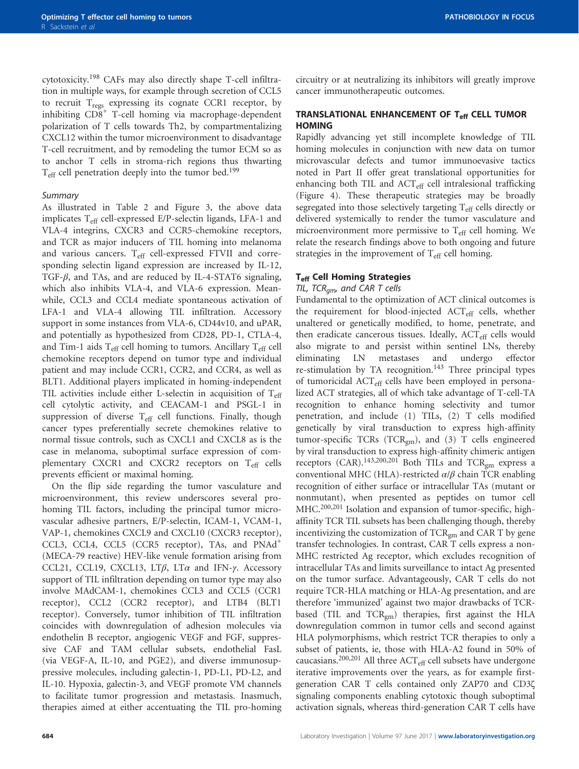cytotoxicity.[198](#page-26-0) CAFs may also directly shape T-cell infiltration in multiple ways, for example through secretion of CCL5 to recruit  $T_{\text{regs}}$  expressing its cognate CCR1 receptor, by inhibiting  $CD8^+$  T-cell homing via macrophage-dependent polarization of T cells towards Th2, by compartmentalizing CXCL12 within the tumor microenvironment to disadvantage T-cell recruitment, and by remodeling the tumor ECM so as to anchor T cells in stroma-rich regions thus thwarting T<sub>eff</sub> cell penetration deeply into the tumor bed.<sup>[199](#page-26-0)</sup>

#### Summary

As illustrated in [Table 2](#page-9-0) and [Figure 3](#page-10-0), the above data implicates  $T_{\text{eff}}$  cell-expressed E/P-selectin ligands, LFA-1 and VLA-4 integrins, CXCR3 and CCR5-chemokine receptors, and TCR as major inducers of TIL homing into melanoma and various cancers. Teff cell-expressed FTVII and corresponding selectin ligand expression are increased by IL-12, TGF- $\beta$ , and TAs, and are reduced by IL-4-STAT6 signaling, which also inhibits VLA-4, and VLA-6 expression. Meanwhile, CCL3 and CCL4 mediate spontaneous activation of LFA-1 and VLA-4 allowing TIL infiltration. Accessory support in some instances from VLA-6, CD44v10, and uPAR, and potentially as hypothesized from CD28, PD-1, CTLA-4, and Tim-1 aids  $T_{\text{eff}}$  cell homing to tumors. Ancillary  $T_{\text{eff}}$  cell chemokine receptors depend on tumor type and individual patient and may include CCR1, CCR2, and CCR4, as well as BLT1. Additional players implicated in homing-independent TIL activities include either L-selectin in acquisition of  $T_{\text{eff}}$ cell cytolytic activity, and CEACAM-1 and PSGL-1 in suppression of diverse  $T_{\text{eff}}$  cell functions. Finally, though cancer types preferentially secrete chemokines relative to normal tissue controls, such as CXCL1 and CXCL8 as is the case in melanoma, suboptimal surface expression of complementary CXCR1 and CXCR2 receptors on  $T_{\text{eff}}$  cells prevents efficient or maximal homing.

On the flip side regarding the tumor vasculature and microenvironment, this review underscores several prohoming TIL factors, including the principal tumor microvascular adhesive partners, E/P-selectin, ICAM-1, VCAM-1, VAP-1, chemokines CXCL9 and CXCL10 (CXCR3 receptor), CCL3, CCL4, CCL5 (CCR5 receptor), TAs, and PNAd<sup>+</sup> (MECA-79 reactive) HEV-like venule formation arising from CCL21, CCL19, CXCL13, LT $\beta$ , LT $\alpha$  and IFN- $\gamma$ . Accessory support of TIL infiltration depending on tumor type may also involve MAdCAM-1, chemokines CCL3 and CCL5 (CCR1 receptor), CCL2 (CCR2 receptor), and LTB4 (BLT1 receptor). Conversely, tumor inhibition of TIL infiltration coincides with downregulation of adhesion molecules via endothelin B receptor, angiogenic VEGF and FGF, suppressive CAF and TAM cellular subsets, endothelial FasL (via VEGF-A, IL-10, and PGE2), and diverse immunosuppressive molecules, including galectin-1, PD-L1, PD-L2, and IL-10. Hypoxia, galectin-3, and VEGF promote VM channels to facilitate tumor progression and metastasis. Inasmuch, therapies aimed at either accentuating the TIL pro-homing circuitry or at neutralizing its inhibitors will greatly improve cancer immunotherapeutic outcomes.

#### TRANSLATIONAL ENHANCEMENT OF Teff CELL TUMOR **HOMING**

Rapidly advancing yet still incomplete knowledge of TIL homing molecules in conjunction with new data on tumor microvascular defects and tumor immunoevasive tactics noted in Part II offer great translational opportunities for enhancing both TIL and ACT<sub>eff</sub> cell intralesional trafficking [\(Figure 4\)](#page-16-0). These therapeutic strategies may be broadly segregated into those selectively targeting  $T_{\text{eff}}$  cells directly or delivered systemically to render the tumor vasculature and microenvironment more permissive to  $T_{\text{eff}}$  cell homing. We relate the research findings above to both ongoing and future strategies in the improvement of  $T_{\text{eff}}$  cell homing.

#### **T<sub>eff</sub> Cell Homing Strategies**

#### TIL,  $TCR_{am}$ , and CAR T cells

Fundamental to the optimization of ACT clinical outcomes is the requirement for blood-injected ACT<sub>eff</sub> cells, whether unaltered or genetically modified, to home, penetrate, and then eradicate cancerous tissues. Ideally,  $ACT_{eff}$  cells would also migrate to and persist within sentinel LNs, thereby eliminating LN metastases and undergo effector re-stimulation by TA recognition.<sup>[143](#page-25-0)</sup> Three principal types of tumoricidal ACT<sub>eff</sub> cells have been employed in personalized ACT strategies, all of which take advantage of T-cell-TA recognition to enhance homing selectivity and tumor penetration, and include (1) TILs, (2) T cells modified genetically by viral transduction to express high-affinity tumor-specific TCRs (TCR<sub>gm</sub>), and (3) T cells engineered by viral transduction to express high-affinity chimeric antigen receptors (CAR).[143,](#page-25-0)[200,201](#page-26-0) Both TILs and TCRgm express a conventional MHC (HLA)-restricted α/β chain TCR enabling recognition of either surface or intracellular TAs (mutant or nonmutant), when presented as peptides on tumor cell MHC.[200,201](#page-26-0) Isolation and expansion of tumor-specific, highaffinity TCR TIL subsets has been challenging though, thereby incentivizing the customization of  $TCR_{gm}$  and  $CAR T$  by gene transfer technologies. In contrast, CAR T cells express a non-MHC restricted Ag receptor, which excludes recognition of intracellular TAs and limits surveillance to intact Ag presented on the tumor surface. Advantageously, CAR T cells do not require TCR-HLA matching or HLA-Ag presentation, and are therefore 'immunized' against two major drawbacks of TCRbased (TIL and TCR<sub>gm</sub>) therapies, first against the HLA downregulation common in tumor cells and second against HLA polymorphisms, which restrict TCR therapies to only a subset of patients, ie, those with HLA-A2 found in 50% of caucasians.<sup>[200](#page-26-0),[201](#page-26-0)</sup> All three  $ACT_{\text{eff}}$  cell subsets have undergone iterative improvements over the years, as for example firstgeneration CAR T cells contained only ZAP70 and CD3ζ signaling components enabling cytotoxic though suboptimal activation signals, whereas third-generation CAR T cells have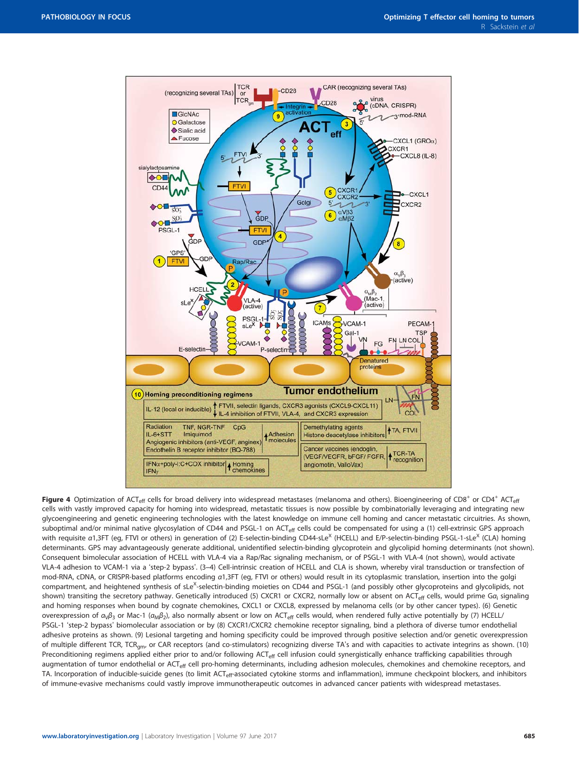<span id="page-16-0"></span>

Figure 4 Optimization of ACT<sub>eff</sub> cells for broad delivery into widespread metastases (melanoma and others). Bioengineering of CD8<sup>+</sup> or CD4<sup>+</sup> ACT<sub>eff</sub> cells with vastly improved capacity for homing into widespread, metastatic tissues is now possible by combinatorially leveraging and integrating new glycoengineering and genetic engineering technologies with the latest knowledge on immune cell homing and cancer metastatic circuitries. As shown, suboptimal and/or minimal native glycosylation of CD44 and PSGL-1 on ACT<sub>eff</sub> cells could be compensated for using a (1) cell-extrinsic GPS approach with requisite a1,3FT (eg, FTVI or others) in generation of (2) E-selectin-binding CD44-sLe<sup>X</sup> (HCELL) and E/P-selectin-binding PSGL-1-sLe<sup>X</sup> (CLA) homing determinants. GPS may advantageously generate additional, unidentified selectin-binding glycoprotein and glycolipid homing determinants (not shown). Consequent bimolecular association of HCELL with VLA-4 via a Rap/Rac signaling mechanism, or of PSGL-1 with VLA-4 (not shown), would activate VLA-4 adhesion to VCAM-1 via a 'step-2 bypass'. (3–4) Cell-intrinsic creation of HCELL and CLA is shown, whereby viral transduction or transfection of mod-RNA, cDNA, or CRISPR-based platforms encoding α1,3FT (eg, FTVI or others) would result in its cytoplasmic translation, insertion into the golgi compartment, and heightened synthesis of sLe<sup>X</sup>-selectin-binding moieties on CD44 and PSGL-1 (and possibly other glycoproteins and glycolipids, not shown) transiting the secretory pathway. Genetically introduced (5) CXCR1 or CXCR2, normally low or absent on ACT<sub>eff</sub> cells, would prime Ga<sub>i</sub> signaling and homing responses when bound by cognate chemokines, CXCL1 or CXCL8, expressed by melanoma cells (or by other cancer types). (6) Genetic overexpression of  $α<sub>ν</sub>β<sub>3</sub>$  or Mac-1 ( $α<sub>ν</sub>β<sub>2</sub>$ ), also normally absent or low on ACT<sub>eff</sub> cells would, when rendered fully active potentially by (7) HCELL/ PSGL-1 'step-2 bypass' biomolecular association or by (8) CXCR1/CXCR2 chemokine receptor signaling, bind a plethora of diverse tumor endothelial adhesive proteins as shown. (9) Lesional targeting and homing specificity could be improved through positive selection and/or genetic overexpression of multiple different TCR, TCR<sub>am</sub>, or CAR receptors (and co-stimulators) recognizing diverse TA's and with capacities to activate integrins as shown. (10) Preconditioning regimens applied either prior to and/or following ACT<sub>eff</sub> cell infusion could synergistically enhance trafficking capabilities through augmentation of tumor endothelial or ACT<sub>eff</sub> cell pro-homing determinants, including adhesion molecules, chemokines and chemokine receptors, and TA. Incorporation of inducible-suicide genes (to limit ACT<sub>eff</sub>-associated cytokine storms and inflammation), immune checkpoint blockers, and inhibitors of immune-evasive mechanisms could vastly improve immunotherapeutic outcomes in advanced cancer patients with widespread metastases.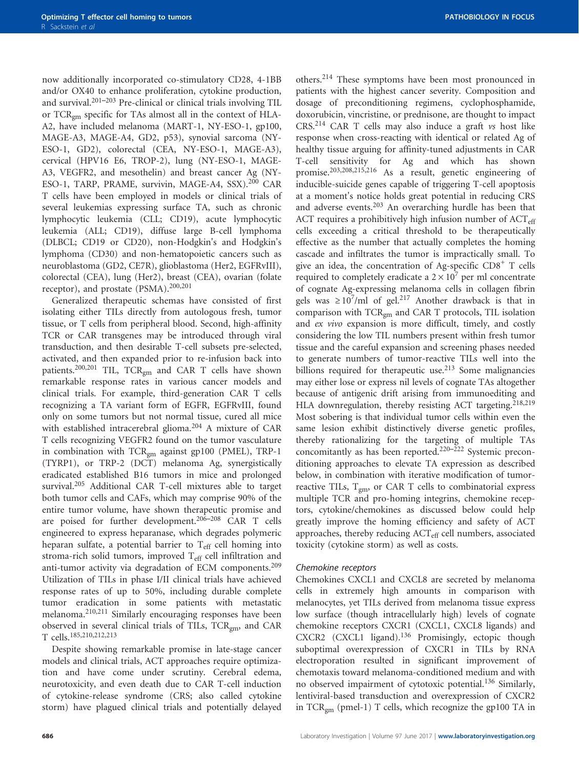now additionally incorporated co-stimulatory CD28, 4-1BB and/or OX40 to enhance proliferation, cytokine production, and survival. $201-203$  $201-203$  Pre-clinical or clinical trials involving TIL or TCRgm specific for TAs almost all in the context of HLA-A2, have included melanoma (MART-1, NY-ESO-1, gp100, MAGE-A3, MAGE-A4, GD2, p53), synovial sarcoma (NY-ESO-1, GD2), colorectal (CEA, NY-ESO-1, MAGE-A3), cervical (HPV16 E6, TROP-2), lung (NY-ESO-1, MAGE-A3, VEGFR2, and mesothelin) and breast cancer Ag (NY-ESO-1, TARP, PRAME, survivin, MAGE-A4, SSX).<sup>[200](#page-26-0)</sup> CAR T cells have been employed in models or clinical trials of several leukemias expressing surface TA, such as chronic lymphocytic leukemia (CLL; CD19), acute lymphocytic leukemia (ALL; CD19), diffuse large B-cell lymphoma (DLBCL; CD19 or CD20), non-Hodgkin's and Hodgkin's lymphoma (CD30) and non-hematopoietic cancers such as neuroblastoma (GD2, CE7R), glioblastoma (Her2, EGFRvIII), colorectal (CEA), lung (Her2), breast (CEA), ovarian (folate receptor), and prostate (PSMA).[200,201](#page-26-0)

Generalized therapeutic schemas have consisted of first isolating either TILs directly from autologous fresh, tumor tissue, or T cells from peripheral blood. Second, high-affinity TCR or CAR transgenes may be introduced through viral transduction, and then desirable T-cell subsets pre-selected, activated, and then expanded prior to re-infusion back into patients.<sup>[200,201](#page-26-0)</sup> TIL, TCR<sub>gm</sub> and CAR T cells have shown remarkable response rates in various cancer models and clinical trials. For example, third-generation CAR T cells recognizing a TA variant form of EGFR, EGFRvIII, found only on some tumors but not normal tissue, cured all mice with established intracerebral glioma.<sup>[204](#page-26-0)</sup> A mixture of CAR T cells recognizing VEGFR2 found on the tumor vasculature in combination with TCR<sub>gm</sub> against gp100 (PMEL), TRP-1 (TYRP1), or TRP-2 (DCT) melanoma Ag, synergistically eradicated established B16 tumors in mice and prolonged survival.<sup>[205](#page-26-0)</sup> Additional CAR T-cell mixtures able to target both tumor cells and CAFs, which may comprise 90% of the entire tumor volume, have shown therapeutic promise and are poised for further development.<sup>206-208</sup> CAR T cells engineered to express heparanase, which degrades polymeric heparan sulfate, a potential barrier to  $T_{\text{eff}}$  cell homing into stroma-rich solid tumors, improved  $T_{\text{eff}}$  cell infiltration and anti-tumor activity via degradation of ECM components.<sup>[209](#page-27-0)</sup> Utilization of TILs in phase I/II clinical trials have achieved response rates of up to 50%, including durable complete tumor eradication in some patients with metastatic melanoma.[210,211](#page-27-0) Similarly encouraging responses have been observed in several clinical trials of TILs, TCRgm, and CAR T cells.[185](#page-26-0)[,210](#page-27-0),[212,213](#page-27-0)

Despite showing remarkable promise in late-stage cancer models and clinical trials, ACT approaches require optimization and have come under scrutiny. Cerebral edema, neurotoxicity, and even death due to CAR T-cell induction of cytokine-release syndrome (CRS; also called cytokine storm) have plagued clinical trials and potentially delayed

others.[214](#page-27-0) These symptoms have been most pronounced in patients with the highest cancer severity. Composition and dosage of preconditioning regimens, cyclophosphamide, doxorubicin, vincristine, or prednisone, are thought to impact CRS.[214](#page-27-0) CAR T cells may also induce a graft vs host like response when cross-reacting with identical or related Ag of healthy tissue arguing for affinity-tuned adjustments in CAR T-cell sensitivity for Ag and which has shown promise[.203,208](#page-26-0)[,215](#page-27-0),[216](#page-27-0) As a result, genetic engineering of inducible-suicide genes capable of triggering T-cell apoptosis at a moment's notice holds great potential in reducing CRS and adverse events.[203](#page-26-0) An overarching hurdle has been that ACT requires a prohibitively high infusion number of  $ACT_{\text{eff}}$ cells exceeding a critical threshold to be therapeutically effective as the number that actually completes the homing cascade and infiltrates the tumor is impractically small. To give an idea, the concentration of Ag-specific  $CD8<sup>+</sup>$  T cells required to completely eradicate a  $2 \times 10^7$  per ml concentrate of cognate Ag-expressing melanoma cells in collagen fibrin gels was  $\geq 10^7$ /ml of gel.<sup>[217](#page-27-0)</sup> Another drawback is that in comparison with TCRgm and CAR T protocols, TIL isolation and ex vivo expansion is more difficult, timely, and costly considering the low TIL numbers present within fresh tumor tissue and the careful expansion and screening phases needed to generate numbers of tumor-reactive TILs well into the billions required for therapeutic use.<sup>[213](#page-27-0)</sup> Some malignancies may either lose or express nil levels of cognate TAs altogether because of antigenic drift arising from immunoediting and HLA downregulation, thereby resisting ACT targeting.<sup>[218](#page-27-0),[219](#page-27-0)</sup> Most sobering is that individual tumor cells within even the same lesion exhibit distinctively diverse genetic profiles, thereby rationalizing for the targeting of multiple TAs concomitantly as has been reported.<sup>[220](#page-27-0)–222</sup> Systemic preconditioning approaches to elevate TA expression as described below, in combination with iterative modification of tumorreactive TILs,  $T_{gm}$ , or CAR T cells to combinatorial express multiple TCR and pro-homing integrins, chemokine receptors, cytokine/chemokines as discussed below could help greatly improve the homing efficiency and safety of ACT approaches, thereby reducing ACT<sub>eff</sub> cell numbers, associated toxicity (cytokine storm) as well as costs.

#### Chemokine receptors

Chemokines CXCL1 and CXCL8 are secreted by melanoma cells in extremely high amounts in comparison with melanocytes, yet TILs derived from melanoma tissue express low surface (though intracellularly high) levels of cognate chemokine receptors CXCR1 (CXCL1, CXCL8 ligands) and CXCR2 (CXCL1 ligand).<sup>[136](#page-25-0)</sup> Promisingly, ectopic though suboptimal overexpression of CXCR1 in TILs by RNA electroporation resulted in significant improvement of chemotaxis toward melanoma-conditioned medium and with no observed impairment of cytotoxic potential.[136](#page-25-0) Similarly, lentiviral-based transduction and overexpression of CXCR2 in TCRgm (pmel-1) T cells, which recognize the gp100 TA in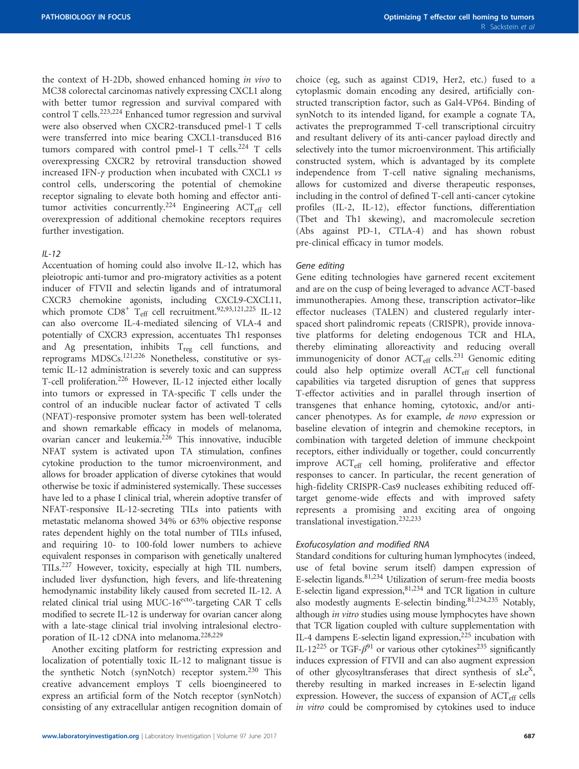the context of H-2Db, showed enhanced homing in vivo to MC38 colorectal carcinomas natively expressing CXCL1 along with better tumor regression and survival compared with control T cells.<sup>[223,224](#page-27-0)</sup> Enhanced tumor regression and survival were also observed when CXCR2-transduced pmel-1 T cells were transferred into mice bearing CXCL1-transduced B16 tumors compared with control pmel-1 T cells.<sup>[224](#page-27-0)</sup> T cells overexpressing CXCR2 by retroviral transduction showed increased IFN-γ production when incubated with CXCL1 vs control cells, underscoring the potential of chemokine receptor signaling to elevate both homing and effector anti-tumor activities concurrently.<sup>[224](#page-27-0)</sup> Engineering ACT<sub>eff</sub> cell overexpression of additional chemokine receptors requires further investigation.

#### $II - 12$

Accentuation of homing could also involve IL-12, which has pleiotropic anti-tumor and pro-migratory activities as a potent inducer of FTVII and selectin ligands and of intratumoral CXCR3 chemokine agonists, including CXCL9-CXCL11, which promote  $CD8^+$  T<sub>eff</sub> cell recruitment.<sup>92,[93](#page-24-0)[,121](#page-25-0),[225](#page-27-0)</sup> IL-12 can also overcome IL-4-mediated silencing of VLA-4 and potentially of CXCR3 expression, accentuates Th1 responses and Ag presentation, inhibits  $T_{reg}$  cell functions, and reprograms MDSCs[.121,](#page-25-0)[226](#page-27-0) Nonetheless, constitutive or systemic IL-12 administration is severely toxic and can suppress T-cell proliferation.<sup>226</sup> However, IL-12 injected either locally into tumors or expressed in TA-specific T cells under the control of an inducible nuclear factor of activated T cells (NFAT)-responsive promoter system has been well-tolerated and shown remarkable efficacy in models of melanoma, ovarian cancer and leukemia.<sup>226</sup> This innovative, inducible NFAT system is activated upon TA stimulation, confines cytokine production to the tumor microenvironment, and allows for broader application of diverse cytokines that would otherwise be toxic if administered systemically. These successes have led to a phase I clinical trial, wherein adoptive transfer of NFAT-responsive IL-12-secreting TILs into patients with metastatic melanoma showed 34% or 63% objective response rates dependent highly on the total number of TILs infused, and requiring 10- to 100-fold lower numbers to achieve equivalent responses in comparison with genetically unaltered TILs[.227](#page-27-0) However, toxicity, especially at high TIL numbers, included liver dysfunction, high fevers, and life-threatening hemodynamic instability likely caused from secreted IL-12. A related clinical trial using MUC-16<sup>ecto</sup>-targeting CAR T cells modified to secrete IL-12 is underway for ovarian cancer along with a late-stage clinical trial involving intralesional electro-poration of IL-12 cDNA into melanoma.<sup>228,[229](#page-27-0)</sup>

Another exciting platform for restricting expression and localization of potentially toxic IL-12 to malignant tissue is the synthetic Notch (synNotch) receptor system.<sup>[230](#page-27-0)</sup> This creative advancement employs T cells bioengineered to express an artificial form of the Notch receptor (synNotch) consisting of any extracellular antigen recognition domain of choice (eg, such as against CD19, Her2, etc.) fused to a cytoplasmic domain encoding any desired, artificially constructed transcription factor, such as Gal4-VP64. Binding of synNotch to its intended ligand, for example a cognate TA, activates the preprogrammed T-cell transcriptional circuitry and resultant delivery of its anti-cancer payload directly and selectively into the tumor microenvironment. This artificially constructed system, which is advantaged by its complete independence from T-cell native signaling mechanisms, allows for customized and diverse therapeutic responses, including in the control of defined T-cell anti-cancer cytokine profiles (IL-2, IL-12), effector functions, differentiation (Tbet and Th1 skewing), and macromolecule secretion (Abs against PD-1, CTLA-4) and has shown robust pre-clinical efficacy in tumor models.

#### Gene editing

Gene editing technologies have garnered recent excitement and are on the cusp of being leveraged to advance ACT-based immunotherapies. Among these, transcription activator–like effector nucleases (TALEN) and clustered regularly interspaced short palindromic repeats (CRISPR), provide innovative platforms for deleting endogenous TCR and HLA, thereby eliminating alloreactivity and reducing overall immunogenicity of donor  $ACT_{eff}$  cells.<sup>[231](#page-27-0)</sup> Genomic editing could also help optimize overall ACT<sub>eff</sub> cell functional capabilities via targeted disruption of genes that suppress T-effector activities and in parallel through insertion of transgenes that enhance homing, cytotoxic, and/or anticancer phenotypes. As for example, de novo expression or baseline elevation of integrin and chemokine receptors, in combination with targeted deletion of immune checkpoint receptors, either individually or together, could concurrently improve  $\text{ACT}_{\text{eff}}$  cell homing, proliferative and effector responses to cancer. In particular, the recent generation of high-fidelity CRISPR-Cas9 nucleases exhibiting reduced offtarget genome-wide effects and with improved safety represents a promising and exciting area of ongoing translational investigation.[232,233](#page-27-0)

#### Exofucosylation and modified RNA

Standard conditions for culturing human lymphocytes (indeed, use of fetal bovine serum itself) dampen expression of E-selectin ligands.[81,](#page-24-0)[234](#page-27-0) Utilization of serum-free media boosts E-selectin ligand expression[,81](#page-24-0)[,234](#page-27-0) and TCR ligation in culture also modestly augments E-selectin binding[.81](#page-24-0),[234,235](#page-27-0) Notably, although in vitro studies using mouse lymphocytes have shown that TCR ligation coupled with culture supplementation with IL-4 dampens E-selectin ligand expression,<sup>225</sup> incubation with IL-12<sup>[225](#page-27-0)</sup> or TGF- $\beta$ <sup>[91](#page-24-0)</sup> or various other cytokines<sup>235</sup> significantly induces expression of FTVII and can also augment expression of other glycosyltransferases that direct synthesis of sLe<sup>X</sup>, thereby resulting in marked increases in E-selectin ligand expression. However, the success of expansion of  $ACT_{\text{eff}}$  cells in vitro could be compromised by cytokines used to induce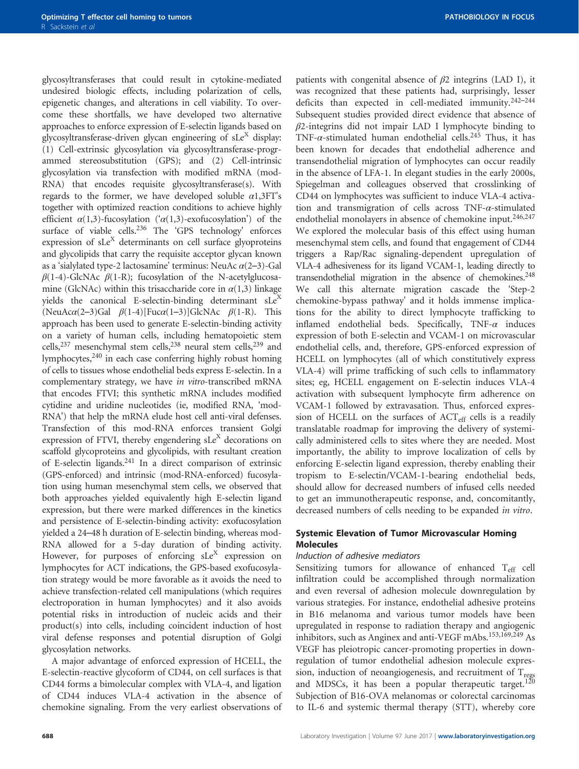glycosyltransferases that could result in cytokine-mediated undesired biologic effects, including polarization of cells, epigenetic changes, and alterations in cell viability. To overcome these shortfalls, we have developed two alternative approaches to enforce expression of E-selectin ligands based on glycosyltransferase-driven glycan engineering of  $sLe^{X}$  display: (1) Cell-extrinsic glycosylation via glycosyltransferase-programmed stereosubstitution (GPS); and (2) Cell-intrinsic glycosylation via transfection with modified mRNA (mod-RNA) that encodes requisite glycosyltransferase(s). With regards to the former, we have developed soluble  $\alpha$ 1,3FT's together with optimized reaction conditions to achieve highly efficient  $\alpha(1,3)$ -fucosylation (' $\alpha(1,3)$ -exofucosylation') of the surface of viable cells.<sup>236</sup> The 'GPS technology' enforces expression of sLe<sup>X</sup> determinants on cell surface glyoproteins and glycolipids that carry the requisite acceptor glycan known as a 'sialylated type-2 lactosamine' terminus: NeuAc  $\alpha$ (2-3)-Gal  $\beta$ (1-4)-GlcNAc  $\beta$ (1-R); fucosylation of the N-acetylglucosamine (GlcNAc) within this trisaccharide core in  $\alpha(1,3)$  linkage yields the canonical E-selectin-binding determinant  $sLe<sup>X</sup>$ (NeuAc $\alpha$ (2–3)Gal  $\beta$ (1-4)[Fuc $\alpha$ (1–3)]GlcNAc  $\beta$ (1-R). This approach has been used to generate E-selectin-binding activity on a variety of human cells, including hematopoietic stem cells,<sup>237</sup> mesenchymal stem cells,<sup>238</sup> neural stem cells,<sup>239</sup> and lymphocytes, $240$  in each case conferring highly robust homing of cells to tissues whose endothelial beds express E-selectin. In a complementary strategy, we have in vitro-transcribed mRNA that encodes FTVI; this synthetic mRNA includes modified cytidine and uridine nucleotides (ie, modified RNA, 'mod-RNA') that help the mRNA elude host cell anti-viral defenses. Transfection of this mod-RNA enforces transient Golgi expression of FTVI, thereby engendering  $sLe^{X}$  decorations on scaffold glycoproteins and glycolipids, with resultant creation of E-selectin ligands[.241](#page-27-0) In a direct comparison of extrinsic (GPS-enforced) and intrinsic (mod-RNA-enforced) fucosylation using human mesenchymal stem cells, we observed that both approaches yielded equivalently high E-selectin ligand expression, but there were marked differences in the kinetics and persistence of E-selectin-binding activity: exofucosylation yielded a 24–48 h duration of E-selectin binding, whereas mod-RNA allowed for a 5-day duration of binding activity. However, for purposes of enforcing  $sLe^{X}$  expression on lymphocytes for ACT indications, the GPS-based exofucosylation strategy would be more favorable as it avoids the need to achieve transfection-related cell manipulations (which requires electroporation in human lymphocytes) and it also avoids potential risks in introduction of nucleic acids and their product(s) into cells, including coincident induction of host viral defense responses and potential disruption of Golgi glycosylation networks.

A major advantage of enforced expression of HCELL, the E-selectin-reactive glycoform of CD44, on cell surfaces is that CD44 forms a bimolecular complex with VLA-4, and ligation of CD44 induces VLA-4 activation in the absence of chemokine signaling. From the very earliest observations of patients with congenital absence of  $\beta$ 2 integrins (LAD I), it was recognized that these patients had, surprisingly, lesser deficits than expected in cell-mediated immunity.[242](#page-27-0)–<sup>244</sup> Subsequent studies provided direct evidence that absence of  $\beta$ 2-integrins did not impair LAD I lymphocyte binding to TNF- $\alpha$ -stimulated human endothelial cells.<sup>[245](#page-27-0)</sup> Thus, it has been known for decades that endothelial adherence and transendothelial migration of lymphocytes can occur readily in the absence of LFA-1. In elegant studies in the early 2000s, Spiegelman and colleagues observed that crosslinking of CD44 on lymphocytes was sufficient to induce VLA-4 activation and transmigration of cells across TNF-α-stimulated endothelial monolayers in absence of chemokine input.<sup>[246](#page-27-0),[247](#page-27-0)</sup> We explored the molecular basis of this effect using human mesenchymal stem cells, and found that engagement of CD44 triggers a Rap/Rac signaling-dependent upregulation of VLA-4 adhesiveness for its ligand VCAM-1, leading directly to transendothelial migration in the absence of chemokines.<sup>248</sup> We call this alternate migration cascade the 'Step-2 chemokine-bypass pathway' and it holds immense implications for the ability to direct lymphocyte trafficking to inflamed endothelial beds. Specifically, TNF- $\alpha$  induces expression of both E-selectin and VCAM-1 on microvascular endothelial cells, and, therefore, GPS-enforced expression of HCELL on lymphocytes (all of which constitutively express VLA-4) will prime trafficking of such cells to inflammatory sites; eg, HCELL engagement on E-selectin induces VLA-4 activation with subsequent lymphocyte firm adherence on VCAM-1 followed by extravasation. Thus, enforced expression of HCELL on the surfaces of  $ACT_{\text{eff}}$  cells is a readily translatable roadmap for improving the delivery of systemically administered cells to sites where they are needed. Most importantly, the ability to improve localization of cells by enforcing E-selectin ligand expression, thereby enabling their tropism to E-selectin/VCAM-1-bearing endothelial beds, should allow for decreased numbers of infused cells needed to get an immunotherapeutic response, and, concomitantly, decreased numbers of cells needing to be expanded in vitro.

#### Systemic Elevation of Tumor Microvascular Homing Molecules

#### Induction of adhesive mediators

Sensitizing tumors for allowance of enhanced  $T_{\text{eff}}$  cell infiltration could be accomplished through normalization and even reversal of adhesion molecule downregulation by various strategies. For instance, endothelial adhesive proteins in B16 melanoma and various tumor models have been upregulated in response to radiation therapy and angiogenic inhibitors, such as Anginex and anti-VEGF mAbs.[153](#page-25-0)[,169,](#page-26-0)[249](#page-27-0) As VEGF has pleiotropic cancer-promoting properties in downregulation of tumor endothelial adhesion molecule expression, induction of neoangiogenesis, and recruitment of  $T_{\text{regs}}$ and MDSCs, it has been a popular therapeutic target.<sup>[120](#page-25-0)</sup> Subjection of B16-OVA melanomas or colorectal carcinomas to IL-6 and systemic thermal therapy (STT), whereby core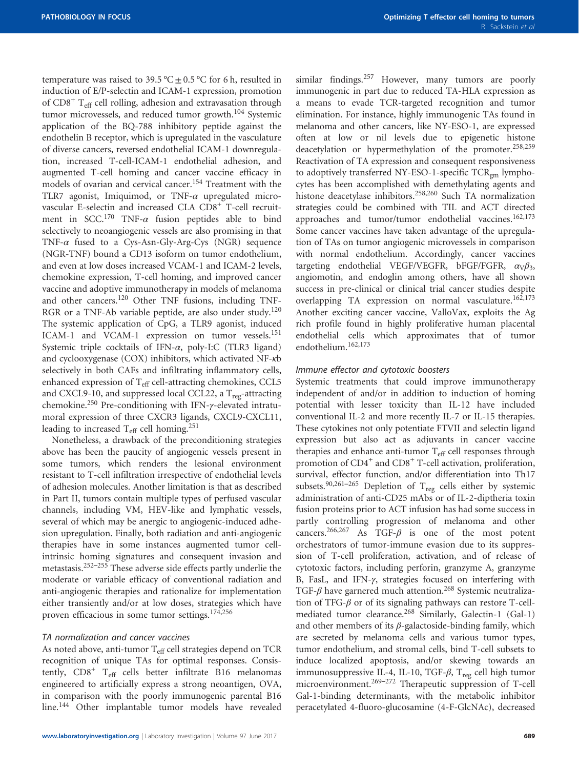temperature was raised to 39.5 °C  $\pm$  0.5 °C for 6 h, resulted in induction of E/P-selectin and ICAM-1 expression, promotion of  $CD8<sup>+</sup>$  T<sub>eff</sub> cell rolling, adhesion and extravasation through tumor microvessels, and reduced tumor growth.<sup>[104](#page-24-0)</sup> Systemic application of the BQ-788 inhibitory peptide against the endothelin B receptor, which is upregulated in the vasculature of diverse cancers, reversed endothelial ICAM-1 downregulation, increased T-cell-ICAM-1 endothelial adhesion, and augmented T-cell homing and cancer vaccine efficacy in models of ovarian and cervical cancer.<sup>[154](#page-25-0)</sup> Treatment with the TLR7 agonist, Imiquimod, or TNF- $\alpha$  upregulated microvascular E-selectin and increased CLA CD8<sup>+</sup> T-cell recruit-ment in SCC.<sup>[170](#page-26-0)</sup> TNF- $\alpha$  fusion peptides able to bind selectively to neoangiogenic vessels are also promising in that TNF- $\alpha$  fused to a Cys-Asn-Gly-Arg-Cys (NGR) sequence (NGR-TNF) bound a CD13 isoform on tumor endothelium, and even at low doses increased VCAM-1 and ICAM-2 levels, chemokine expression, T-cell homing, and improved cancer vaccine and adoptive immunotherapy in models of melanoma and other cancers.[120](#page-25-0) Other TNF fusions, including TNF-RGR or a TNF-Ab variable peptide, are also under study.<sup>[120](#page-25-0)</sup> The systemic application of CpG, a TLR9 agonist, induced ICAM-1 and VCAM-1 expression on tumor vessels.<sup>[151](#page-25-0)</sup> Systemic triple cocktails of IFN- $\alpha$ , poly-I:C (TLR3 ligand) and cyclooxygenase (COX) inhibitors, which activated NF-κb selectively in both CAFs and infiltrating inflammatory cells, enhanced expression of T<sub>eff</sub> cell-attracting chemokines, CCL5 and CXCL9-10, and suppressed local CCL22, a  $T_{reg}$ -attracting chemokine.[250](#page-27-0) Pre-conditioning with IFN-γ-elevated intratumoral expression of three CXCR3 ligands, CXCL9-CXCL11, leading to increased T<sub>eff</sub> cell homing.<sup>[251](#page-27-0)</sup>

Nonetheless, a drawback of the preconditioning strategies above has been the paucity of angiogenic vessels present in some tumors, which renders the lesional environment resistant to T-cell infiltration irrespective of endothelial levels of adhesion molecules. Another limitation is that as described in Part II, tumors contain multiple types of perfused vascular channels, including VM, HEV-like and lymphatic vessels, several of which may be anergic to angiogenic-induced adhesion upregulation. Finally, both radiation and anti-angiogenic therapies have in some instances augmented tumor cellintrinsic homing signatures and consequent invasion and metastasis.252–[255](#page-27-0) These adverse side effects partly underlie the moderate or variable efficacy of conventional radiation and anti-angiogenic therapies and rationalize for implementation either transiently and/or at low doses, strategies which have proven efficacious in some tumor settings.[174,](#page-26-0)[256](#page-28-0)

#### TA normalization and cancer vaccines

As noted above, anti-tumor  $T_{\text{eff}}$  cell strategies depend on TCR recognition of unique TAs for optimal responses. Consistently,  $CD8<sup>+</sup>$  T<sub>eff</sub> cells better infiltrate B16 melanomas engineered to artificially express a strong neoantigen, OVA, in comparison with the poorly immunogenic parental B16 line.[144](#page-25-0) Other implantable tumor models have revealed similar findings.<sup>[257](#page-28-0)</sup> However, many tumors are poorly immunogenic in part due to reduced TA-HLA expression as a means to evade TCR-targeted recognition and tumor elimination. For instance, highly immunogenic TAs found in melanoma and other cancers, like NY-ESO-1, are expressed often at low or nil levels due to epigenetic histone deacetylation or hypermethylation of the promoter.<sup>[258](#page-28-0),[259](#page-28-0)</sup> Reactivation of TA expression and consequent responsiveness to adoptively transferred NY-ESO-1-specific TCR<sub>gm</sub> lymphocytes has been accomplished with demethylating agents and histone deacetylase inhibitors.[258,260](#page-28-0) Such TA normalization strategies could be combined with TIL and ACT directed approaches and tumor/tumor endothelial vaccines.<sup>[162](#page-26-0),[173](#page-26-0)</sup> Some cancer vaccines have taken advantage of the upregulation of TAs on tumor angiogenic microvessels in comparison with normal endothelium. Accordingly, cancer vaccines targeting endothelial VEGF/VEGFR, bFGF/FGFR,  $\alpha_{\rm V}\beta_3$ , angiomotin, and endoglin among others, have all shown success in pre-clinical or clinical trial cancer studies despite overlapping TA expression on normal vasculature.<sup>[162](#page-26-0),[173](#page-26-0)</sup> Another exciting cancer vaccine, ValloVax, exploits the Ag rich profile found in highly proliferative human placental endothelial cells which approximates that of tumor endothelium.[162,173](#page-26-0)

#### Immune effector and cytotoxic boosters

Systemic treatments that could improve immunotherapy independent of and/or in addition to induction of homing potential with lesser toxicity than IL-12 have included conventional IL-2 and more recently IL-7 or IL-15 therapies. These cytokines not only potentiate FTVII and selectin ligand expression but also act as adjuvants in cancer vaccine therapies and enhance anti-tumor  $T_{\text{eff}}$  cell responses through promotion of  $CD4^+$  and  $CD8^+$  T-cell activation, proliferation, survival, effector function, and/or differentiation into Th17 subsets.<sup>[90](#page-24-0),[261](#page-28-0)–265</sup> Depletion of T<sub>reg</sub> cells either by systemic administration of anti-CD25 mAbs or of IL-2-diptheria toxin fusion proteins prior to ACT infusion has had some success in partly controlling progression of melanoma and other cancers.<sup>266,267</sup> As TGF- $\beta$  is one of the most potent orchestrators of tumor-immune evasion due to its suppression of T-cell proliferation, activation, and of release of cytotoxic factors, including perforin, granzyme A, granzyme B, FasL, and IFN-γ, strategies focused on interfering with TGF- $\beta$  have garnered much attention.<sup>[268](#page-28-0)</sup> Systemic neutralization of TFG- $\beta$  or of its signaling pathways can restore T-cell-mediated tumor clearance.<sup>[268](#page-28-0)</sup> Similarly, Galectin-1 (Gal-1) and other members of its  $\beta$ -galactoside-binding family, which are secreted by melanoma cells and various tumor types, tumor endothelium, and stromal cells, bind T-cell subsets to induce localized apoptosis, and/or skewing towards an immunosuppressive IL-4, IL-10, TGF- $\beta$ , T<sub>reg</sub> cell high tumor microenvironment.<sup>[269](#page-28-0)–272</sup> Therapeutic suppression of T-cell Gal-1-binding determinants, with the metabolic inhibitor peracetylated 4-fluoro-glucosamine (4-F-GlcNAc), decreased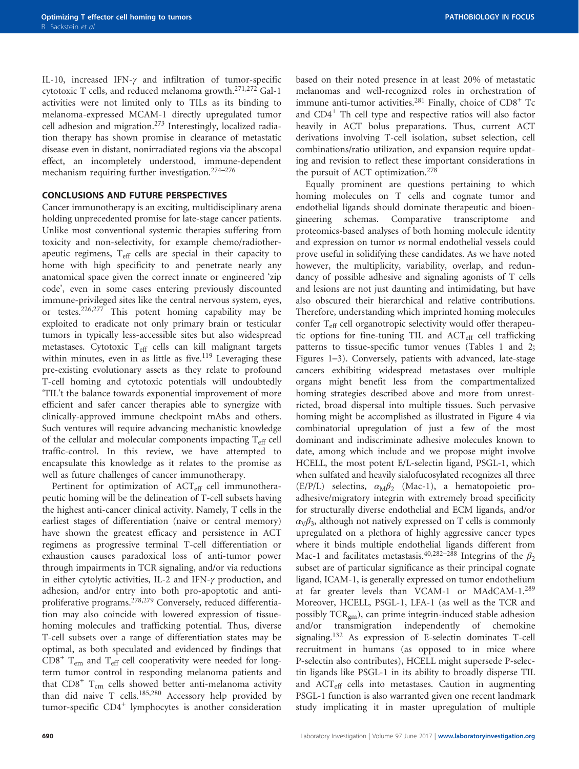IL-10, increased IFN-γ and infiltration of tumor-specific cytotoxic T cells, and reduced melanoma growth.[271](#page-28-0),[272](#page-28-0) Gal-1 activities were not limited only to TILs as its binding to melanoma-expressed MCAM-1 directly upregulated tumor cell adhesion and migration.[273](#page-28-0) Interestingly, localized radiation therapy has shown promise in clearance of metastatic disease even in distant, nonirradiated regions via the abscopal effect, an incompletely understood, immune-dependent mechanism requiring further investigation.[274](#page-28-0)–<sup>276</sup>

#### CONCLUSIONS AND FUTURE PERSPECTIVES

Cancer immunotherapy is an exciting, multidisciplinary arena holding unprecedented promise for late-stage cancer patients. Unlike most conventional systemic therapies suffering from toxicity and non-selectivity, for example chemo/radiotherapeutic regimens, T<sub>eff</sub> cells are special in their capacity to home with high specificity to and penetrate nearly any anatomical space given the correct innate or engineered 'zip code', even in some cases entering previously discounted immune-privileged sites like the central nervous system, eyes, or testes.[226](#page-27-0),[277](#page-28-0) This potent homing capability may be exploited to eradicate not only primary brain or testicular tumors in typically less-accessible sites but also widespread metastases. Cytotoxic T<sub>eff</sub> cells can kill malignant targets within minutes, even in as little as five.<sup>[119](#page-25-0)</sup> Leveraging these pre-existing evolutionary assets as they relate to profound T-cell homing and cytotoxic potentials will undoubtedly 'TIL't the balance towards exponential improvement of more efficient and safer cancer therapies able to synergize with clinically-approved immune checkpoint mAbs and others. Such ventures will require advancing mechanistic knowledge of the cellular and molecular components impacting  $T_{\text{eff}}$  cell traffic-control. In this review, we have attempted to encapsulate this knowledge as it relates to the promise as well as future challenges of cancer immunotherapy.

Pertinent for optimization of ACT<sub>eff</sub> cell immunotherapeutic homing will be the delineation of T-cell subsets having the highest anti-cancer clinical activity. Namely, T cells in the earliest stages of differentiation (naive or central memory) have shown the greatest efficacy and persistence in ACT regimens as progressive terminal T-cell differentiation or exhaustion causes paradoxical loss of anti-tumor power through impairments in TCR signaling, and/or via reductions in either cytolytic activities, IL-2 and IFN-γ production, and adhesion, and/or entry into both pro-apoptotic and anti-proliferative programs.<sup>[278,279](#page-28-0)</sup> Conversely, reduced differentiation may also coincide with lowered expression of tissuehoming molecules and trafficking potential. Thus, diverse T-cell subsets over a range of differentiation states may be optimal, as both speculated and evidenced by findings that  $CDS<sup>+</sup>$  T<sub>em</sub> and T<sub>eff</sub> cell cooperativity were needed for longterm tumor control in responding melanoma patients and that  $CD8<sup>+</sup>$  T<sub>cm</sub> cells showed better anti-melanoma activity than did naive T cells.<sup>[185,](#page-26-0)[280](#page-28-0)</sup> Accessory help provided by tumor-specific CD4<sup>+</sup> lymphocytes is another consideration

based on their noted presence in at least 20% of metastatic melanomas and well-recognized roles in orchestration of immune anti-tumor activities.<sup>[281](#page-28-0)</sup> Finally, choice of CD8<sup>+</sup> Tc and CD4<sup>+</sup> Th cell type and respective ratios will also factor heavily in ACT bolus preparations. Thus, current ACT derivations involving T-cell isolation, subset selection, cell combinations/ratio utilization, and expansion require updating and revision to reflect these important considerations in the pursuit of ACT optimization.<sup>[278](#page-28-0)</sup>

Equally prominent are questions pertaining to which homing molecules on T cells and cognate tumor and endothelial ligands should dominate therapeutic and bioengineering schemas. Comparative transcriptome and proteomics-based analyses of both homing molecule identity and expression on tumor vs normal endothelial vessels could prove useful in solidifying these candidates. As we have noted however, the multiplicity, variability, overlap, and redundancy of possible adhesive and signaling agonists of T cells and lesions are not just daunting and intimidating, but have also obscured their hierarchical and relative contributions. Therefore, understanding which imprinted homing molecules confer T<sub>eff</sub> cell organotropic selectivity would offer therapeutic options for fine-tuning TIL and  $ACT_{eff}$  cell trafficking patterns to tissue-specific tumor venues [\(Tables 1 and 2](#page-2-0); [Figures 1](#page-3-0)–3). Conversely, patients with advanced, late-stage cancers exhibiting widespread metastases over multiple organs might benefit less from the compartmentalized homing strategies described above and more from unrestricted, broad dispersal into multiple tissues. Such pervasive homing might be accomplished as illustrated in [Figure 4](#page-16-0) via combinatorial upregulation of just a few of the most dominant and indiscriminate adhesive molecules known to date, among which include and we propose might involve HCELL, the most potent E/L-selectin ligand, PSGL-1, which when sulfated and heavily sialofucosylated recognizes all three (E/P/L) selectins,  $\alpha_M \beta_2$  (Mac-1), a hematopoietic proadhesive/migratory integrin with extremely broad specificity for structurally diverse endothelial and ECM ligands, and/or  $\alpha_{V}\beta_{3}$ , although not natively expressed on T cells is commonly upregulated on a plethora of highly aggressive cancer types where it binds multiple endothelial ligands different from Mac-1 and facilitates metastasis.<sup>[40](#page-23-0)[,282](#page-28-0)–288</sup> Integrins of the  $\beta_2$ subset are of particular significance as their principal cognate ligand, ICAM-1, is generally expressed on tumor endothelium at far greater levels than VCAM-1 or MAdCAM-1.[289](#page-28-0) Moreover, HCELL, PSGL-1, LFA-1 (as well as the TCR and possibly TCRgm), can prime integrin-induced stable adhesion and/or transmigration independently of chemokine signaling.[132](#page-25-0) As expression of E-selectin dominates T-cell recruitment in humans (as opposed to in mice where P-selectin also contributes), HCELL might supersede P-selectin ligands like PSGL-1 in its ability to broadly disperse TIL and ACTeff cells into metastases. Caution in augmenting PSGL-1 function is also warranted given one recent landmark study implicating it in master upregulation of multiple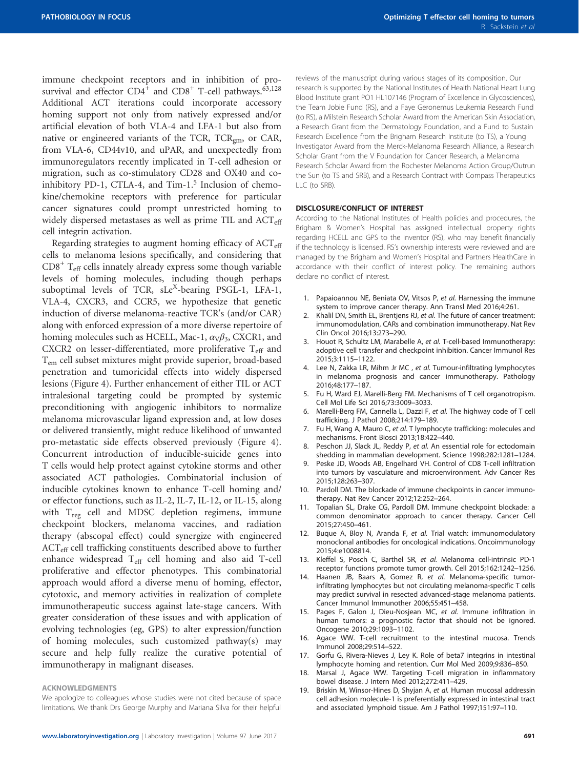<span id="page-22-0"></span>immune checkpoint receptors and in inhibition of prosurvival and effector  $CD4^+$  and  $CD8^+$  T-cell pathways.<sup>[63](#page-23-0),[128](#page-25-0)</sup> Additional ACT iterations could incorporate accessory homing support not only from natively expressed and/or artificial elevation of both VLA-4 and LFA-1 but also from native or engineered variants of the TCR,  $TCR<sub>gm</sub>$ , or CAR, from VLA-6, CD44v10, and uPAR, and unexpectedly from immunoregulators recently implicated in T-cell adhesion or migration, such as co-stimulatory CD28 and OX40 and coinhibitory PD-1, CTLA-4, and Tim- $1<sup>5</sup>$  Inclusion of chemokine/chemokine receptors with preference for particular cancer signatures could prompt unrestricted homing to widely dispersed metastases as well as prime TIL and  $ACT_{eff}$ cell integrin activation.

Regarding strategies to augment homing efficacy of  $ACT_{\text{eff}}$ cells to melanoma lesions specifically, and considering that  $CD8<sup>+</sup>$  T<sub>eff</sub> cells innately already express some though variable levels of homing molecules, including though perhaps suboptimal levels of TCR, sLe<sup>X</sup>-bearing PSGL-1, LFA-1, VLA-4, CXCR3, and CCR5, we hypothesize that genetic induction of diverse melanoma-reactive TCR's (and/or CAR) along with enforced expression of a more diverse repertoire of homing molecules such as HCELL, Mac-1,  $\alpha_{V}\beta_{3}$ , CXCR1, and CXCR2 on lesser-differentiated, more proliferative  $T_{\text{eff}}$  and Tem cell subset mixtures might provide superior, broad-based penetration and tumoricidal effects into widely dispersed lesions [\(Figure 4\)](#page-16-0). Further enhancement of either TIL or ACT intralesional targeting could be prompted by systemic preconditioning with angiogenic inhibitors to normalize melanoma microvascular ligand expression and, at low doses or delivered transiently, might reduce likelihood of unwanted pro-metastatic side effects observed previously [\(Figure 4\)](#page-16-0). Concurrent introduction of inducible-suicide genes into T cells would help protect against cytokine storms and other associated ACT pathologies. Combinatorial inclusion of inducible cytokines known to enhance T-cell homing and/ or effector functions, such as IL-2, IL-7, IL-12, or IL-15, along with  $T_{\text{reg}}$  cell and MDSC depletion regimens, immune checkpoint blockers, melanoma vaccines, and radiation therapy (abscopal effect) could synergize with engineered ACT<sub>eff</sub> cell trafficking constituents described above to further enhance widespread T<sub>eff</sub> cell homing and also aid T-cell proliferative and effector phenotypes. This combinatorial approach would afford a diverse menu of homing, effector, cytotoxic, and memory activities in realization of complete immunotherapeutic success against late-stage cancers. With greater consideration of these issues and with application of evolving technologies (eg, GPS) to alter expression/function of homing molecules, such customized pathway(s) may secure and help fully realize the curative potential of immunotherapy in malignant diseases.

#### ACKNOWLEDGMENTS

We apologize to colleagues whose studies were not cited because of space limitations. We thank Drs George Murphy and Mariana Silva for their helpful reviews of the manuscript during various stages of its composition. Our research is supported by the National Institutes of Health National Heart Lung Blood Institute grant PO1 HL107146 (Program of Excellence in Glycosciences), the Team Jobie Fund (RS), and a Faye Geronemus Leukemia Research Fund (to RS), a Milstein Research Scholar Award from the American Skin Association, a Research Grant from the Dermatology Foundation, and a Fund to Sustain Research Excellence from the Brigham Research Institute (to TS), a Young Investigator Award from the Merck-Melanoma Research Alliance, a Research Scholar Grant from the V Foundation for Cancer Research, a Melanoma Research Scholar Award from the Rochester Melanoma Action Group/Outrun the Sun (to TS and SRB), and a Research Contract with Compass Therapeutics LLC (to SRB).

#### DISCLOSURE/CONFLICT OF INTEREST

According to the National Institutes of Health policies and procedures, the Brigham & Women's Hospital has assigned intellectual property rights regarding HCELL and GPS to the inventor (RS), who may benefit financially if the technology is licensed. RS's ownership interests were reviewed and are managed by the Brigham and Women's Hospital and Partners HealthCare in accordance with their conflict of interest policy. The remaining authors declare no conflict of interest.

- 1. Papaioannou NE, Beniata OV, Vitsos P, et al. Harnessing the immune system to improve cancer therapy. Ann Transl Med 2016;4:261.
- Khalil DN, Smith EL, Brentiens RJ, et al. The future of cancer treatment: immunomodulation, CARs and combination immunotherapy. Nat Rev Clin Oncol 2016;13:273–290.
- 3. Houot R, Schultz LM, Marabelle A, et al. T-cell-based Immunotherapy: adoptive cell transfer and checkpoint inhibition. Cancer Immunol Res 2015;3:1115–1122.
- 4. Lee N, Zakka LR, Mihm Jr MC , et al. Tumour-infiltrating lymphocytes in melanoma prognosis and cancer immunotherapy. Pathology 2016;48:177–187.
- 5. Fu H, Ward EJ, Marelli-Berg FM. Mechanisms of T cell organotropism. Cell Mol Life Sci 2016;73:3009–3033.
- Marelli-Berg FM, Cannella L, Dazzi F, et al. The highway code of T cell trafficking. J Pathol 2008;214:179–189.
- 7. Fu H, Wang A, Mauro C, et al. T lymphocyte trafficking: molecules and mechanisms. Front Biosci 2013;18:422–440.
- Peschon JJ, Slack JL, Reddy P, et al. An essential role for ectodomain shedding in mammalian development. Science 1998;282:1281–1284.
- 9. Peske JD, Woods AB, Engelhard VH. Control of CD8 T-cell infiltration into tumors by vasculature and microenvironment. Adv Cancer Res 2015;128:263–307.
- 10. Pardoll DM. The blockade of immune checkpoints in cancer immunotherapy. Nat Rev Cancer 2012;12:252–264.
- 11. Topalian SL, Drake CG, Pardoll DM. Immune checkpoint blockade: a common denominator approach to cancer therapy. Cancer Cell 2015;27:450–461.
- 12. Buque A, Bloy N, Aranda F, et al. Trial watch: immunomodulatory monoclonal antibodies for oncological indications. Oncoimmunology 2015;4:e1008814.
- 13. Kleffel S, Posch C, Barthel SR, et al. Melanoma cell-intrinsic PD-1 receptor functions promote tumor growth. Cell 2015;162:1242–1256.
- 14. Haanen JB, Baars A, Gomez R, et al. Melanoma-specific tumorinfiltrating lymphocytes but not circulating melanoma-specific T cells may predict survival in resected advanced-stage melanoma patients. Cancer Immunol Immunother 2006;55:451–458.
- 15. Pages F, Galon J, Dieu-Nosjean MC, et al. Immune infiltration in human tumors: a prognostic factor that should not be ignored. Oncogene 2010;29:1093–1102.
- 16. Agace WW. T-cell recruitment to the intestinal mucosa. Trends Immunol 2008;29:514–522.
- 17. Gorfu G, Rivera-Nieves J, Ley K. Role of beta7 integrins in intestinal lymphocyte homing and retention. Curr Mol Med 2009;9:836–850.
- 18. Marsal J, Agace WW. Targeting T-cell migration in inflammatory bowel disease. J Intern Med 2012;272:411–429.
- 19. Briskin M, Winsor-Hines D, Shyjan A, et al. Human mucosal addressin cell adhesion molecule-1 is preferentially expressed in intestinal tract and associated lymphoid tissue. Am J Pathol 1997;151:97–110.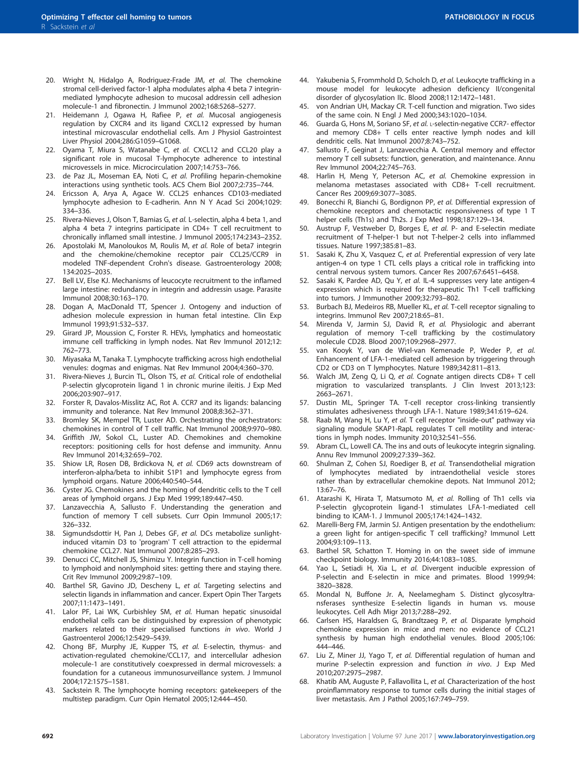- <span id="page-23-0"></span>20. Wright N, Hidalgo A, Rodriguez-Frade JM, et al. The chemokine stromal cell-derived factor-1 alpha modulates alpha 4 beta 7 integrinmediated lymphocyte adhesion to mucosal addressin cell adhesion molecule-1 and fibronectin. J Immunol 2002;168:5268–5277.
- 21. Heidemann J, Ogawa H, Rafiee P, et al. Mucosal angiogenesis regulation by CXCR4 and its ligand CXCL12 expressed by human intestinal microvascular endothelial cells. Am J Physiol Gastrointest Liver Physiol 2004;286:G1059–G1068.
- 22. Oyama T, Miura S, Watanabe C, et al. CXCL12 and CCL20 play a significant role in mucosal T-lymphocyte adherence to intestinal microvessels in mice. Microcirculation 2007;14:753–766.
- 23. de Paz JL, Moseman EA, Noti C, et al. Profiling heparin-chemokine interactions using synthetic tools. ACS Chem Biol 2007;2:735–744.
- 24. Ericsson A, Arya A, Agace W. CCL25 enhances CD103-mediated lymphocyte adhesion to E-cadherin. Ann N Y Acad Sci 2004;1029: 334–336.
- 25. Rivera-Nieves J, Olson T, Bamias G, et al. L-selectin, alpha 4 beta 1, and alpha 4 beta 7 integrins participate in CD4+ T cell recruitment to chronically inflamed small intestine. J Immunol 2005;174:2343–2352.
- 26. Apostolaki M, Manoloukos M, Roulis M, et al. Role of beta7 integrin and the chemokine/chemokine receptor pair CCL25/CCR9 in modeled TNF-dependent Crohn's disease. Gastroenterology 2008; 134:2025–2035.
- 27. Bell LV, Else KJ. Mechanisms of leucocyte recruitment to the inflamed large intestine: redundancy in integrin and addressin usage. Parasite Immunol 2008;30:163–170.
- 28. Dogan A, MacDonald TT, Spencer J. Ontogeny and induction of adhesion molecule expression in human fetal intestine. Clin Exp Immunol 1993;91:532–537.
- 29. Girard JP, Moussion C, Forster R. HEVs, lymphatics and homeostatic immune cell trafficking in lymph nodes. Nat Rev Immunol 2012;12: 762–773.
- 30. Miyasaka M, Tanaka T. Lymphocyte trafficking across high endothelial venules: dogmas and enigmas. Nat Rev Immunol 2004;4:360–370.
- 31. Rivera-Nieves J, Burcin TL, Olson TS, et al. Critical role of endothelial P-selectin glycoprotein ligand 1 in chronic murine ileitis. J Exp Med 2006;203:907–917.
- 32. Forster R, Davalos-Misslitz AC, Rot A. CCR7 and its ligands: balancing immunity and tolerance. Nat Rev Immunol 2008;8:362–371.
- 33. Bromley SK, Mempel TR, Luster AD. Orchestrating the orchestrators: chemokines in control of T cell traffic. Nat Immunol 2008;9:970–980.
- 34. Griffith JW, Sokol CL, Luster AD. Chemokines and chemokine receptors: positioning cells for host defense and immunity. Annu Rev Immunol 2014;32:659–702.
- 35. Shiow LR, Rosen DB, Brdickova N, et al. CD69 acts downstream of interferon-alpha/beta to inhibit S1P1 and lymphocyte egress from lymphoid organs. Nature 2006;440:540–544.
- 36. Cyster JG. Chemokines and the homing of dendritic cells to the T cell areas of lymphoid organs. J Exp Med 1999;189:447–450.
- 37. Lanzavecchia A, Sallusto F. Understanding the generation and function of memory T cell subsets. Curr Opin Immunol 2005;17: 326–332.
- 38. Sigmundsdottir H, Pan J, Debes GF, et al. DCs metabolize sunlightinduced vitamin D3 to 'program' T cell attraction to the epidermal chemokine CCL27. Nat Immunol 2007;8:285–293.
- 39. Denucci CC, Mitchell JS, Shimizu Y. Integrin function in T-cell homing to lymphoid and nonlymphoid sites: getting there and staying there. Crit Rev Immunol 2009;29:87–109.
- 40. Barthel SR, Gavino JD, Descheny L, et al. Targeting selectins and selectin ligands in inflammation and cancer. Expert Opin Ther Targets 2007;11:1473–1491.
- 41. Lalor PF, Lai WK, Curbishley SM, et al. Human hepatic sinusoidal endothelial cells can be distinguished by expression of phenotypic markers related to their specialised functions in vivo. World J Gastroenterol 2006;12:5429–5439.
- 42. Chong BF, Murphy JE, Kupper TS, et al. E-selectin, thymus- and activation-regulated chemokine/CCL17, and intercellular adhesion molecule-1 are constitutively coexpressed in dermal microvessels: a foundation for a cutaneous immunosurveillance system. J Immunol 2004;172:1575–1581.
- 43. Sackstein R. The lymphocyte homing receptors: gatekeepers of the multistep paradigm. Curr Opin Hematol 2005;12:444–450.
- 44. Yakubenia S, Frommhold D, Scholch D, et al. Leukocyte trafficking in a mouse model for leukocyte adhesion deficiency II/congenital disorder of glycosylation IIc. Blood 2008;112:1472–1481.
- 45. von Andrian UH, Mackay CR. T-cell function and migration. Two sides of the same coin. N Engl J Med 2000;343:1020–1034.
- 46. Guarda G, Hons M, Soriano SF, et al. L-selectin-negative CCR7- effector and memory CD8+ T cells enter reactive lymph nodes and kill dendritic cells. Nat Immunol 2007;8:743–752.
- 47. Sallusto F, Geginat J, Lanzavecchia A. Central memory and effector memory T cell subsets: function, generation, and maintenance. Annu Rev Immunol 2004;22:745–763.
- 48. Harlin H, Meng Y, Peterson AC, et al. Chemokine expression in melanoma metastases associated with CD8+ T-cell recruitment. Cancer Res 2009;69:3077–3085.
- 49. Bonecchi R, Bianchi G, Bordignon PP, et al. Differential expression of chemokine receptors and chemotactic responsiveness of type 1 T helper cells (Th1s) and Th2s. J Exp Med 1998;187:129–134.
- 50. Austrup F, Vestweber D, Borges E, et al. P- and E-selectin mediate recruitment of T-helper-1 but not T-helper-2 cells into inflammed tissues. Nature 1997;385:81–83.
- 51. Sasaki K, Zhu X, Vasquez C, et al. Preferential expression of very late antigen-4 on type 1 CTL cells plays a critical role in trafficking into central nervous system tumors. Cancer Res 2007;67:6451–6458.
- 52. Sasaki K, Pardee AD, Qu Y, et al. IL-4 suppresses very late antigen-4 expression which is required for therapeutic Th1 T-cell trafficking into tumors. J Immunother 2009;32:793–802.
- 53. Burbach BJ, Medeiros RB, Mueller KL, et al. T-cell receptor signaling to integrins. Immunol Rev 2007;218:65–81.
- 54. Mirenda V, Jarmin SJ, David R, et al. Physiologic and aberrant regulation of memory T-cell trafficking by the costimulatory molecule CD28. Blood 2007;109:2968–2977.
- 55. van Kooyk Y, van de Wiel-van Kemenade P, Weder P, et al. Enhancement of LFA-1-mediated cell adhesion by triggering through CD2 or CD3 on T lymphocytes. Nature 1989;342:811–813.
- 56. Walch JM, Zeng Q, Li Q, et al. Cognate antigen directs CD8+ T cell migration to vascularized transplants. J Clin Invest 2013;123: 2663–2671.
- 57. Dustin ML, Springer TA. T-cell receptor cross-linking transiently stimulates adhesiveness through LFA-1. Nature 1989;341:619–624.
- Raab M, Wang H, Lu Y, et al. T cell receptor "inside-out" pathway via signaling module SKAP1-RapL regulates T cell motility and interactions in lymph nodes. Immunity 2010;32:541–556.
- 59. Abram CL, Lowell CA. The ins and outs of leukocyte integrin signaling. Annu Rev Immunol 2009;27:339–362.
- Shulman Z, Cohen SJ, Roediger B, et al. Transendothelial migration of lymphocytes mediated by intraendothelial vesicle stores rather than by extracellular chemokine depots. Nat Immunol 2012; 13:67–76.
- 61. Atarashi K, Hirata T, Matsumoto M, et al. Rolling of Th1 cells via P-selectin glycoprotein ligand-1 stimulates LFA-1-mediated cell binding to ICAM-1. J Immunol 2005;174:1424–1432.
- 62. Marelli-Berg FM, Jarmin SJ. Antigen presentation by the endothelium: a green light for antigen-specific T cell trafficking? Immunol Lett 2004;93:109–113.
- 63. Barthel SR, Schatton T. Homing in on the sweet side of immune checkpoint biology. Immunity 2016;44:1083–1085.
- Yao L, Setiadi H, Xia L, et al. Divergent inducible expression of P-selectin and E-selectin in mice and primates. Blood 1999;94: 3820–3828.
- 65. Mondal N, Buffone Jr. A, Neelamegham S. Distinct glycosyltransferases synthesize E-selectin ligands in human vs. mouse leukocytes. Cell Adh Migr 2013;7:288–292.
- 66. Carlsen HS, Haraldsen G, Brandtzaeg P, et al. Disparate lymphoid chemokine expression in mice and men: no evidence of CCL21 synthesis by human high endothelial venules. Blood 2005;106: 444–446.
- 67. Liu Z, Miner JJ, Yago T, et al. Differential regulation of human and murine P-selectin expression and function in vivo. J Exp Med 2010;207:2975–2987.
- 68. Khatib AM, Auguste P, Fallavollita L, et al. Characterization of the host proinflammatory response to tumor cells during the initial stages of liver metastasis. Am J Pathol 2005;167:749–759.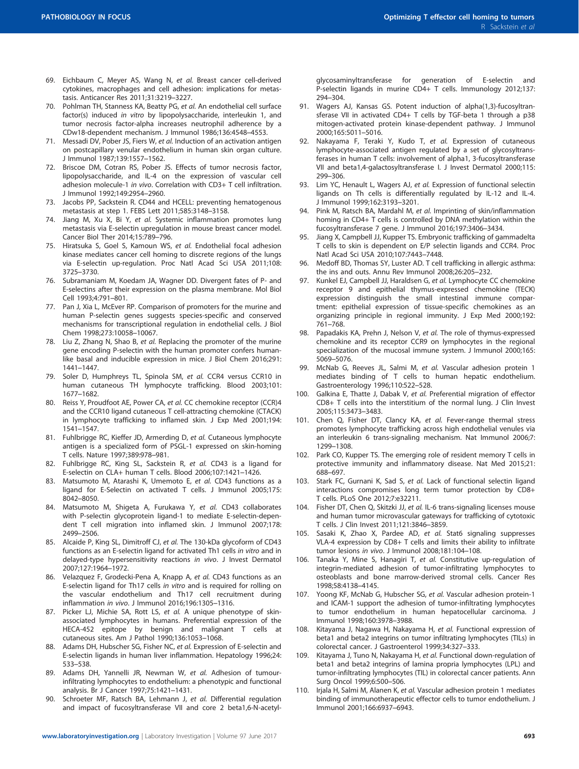- <span id="page-24-0"></span>69. Eichbaum C, Meyer AS, Wang N, et al. Breast cancer cell-derived cytokines, macrophages and cell adhesion: implications for metastasis. Anticancer Res 2011;31:3219–3227.
- 70. Pohlman TH, Stanness KA, Beatty PG, et al. An endothelial cell surface factor(s) induced in vitro by lipopolysaccharide, interleukin 1, and tumor necrosis factor-alpha increases neutrophil adherence by a CDw18-dependent mechanism. J Immunol 1986;136:4548–4553.
- 71. Messadi DV, Pober JS, Fiers W, et al. Induction of an activation antigen on postcapillary venular endothelium in human skin organ culture. J Immunol 1987;139:1557–1562.
- 72. Briscoe DM, Cotran RS, Pober JS. Effects of tumor necrosis factor, lipopolysaccharide, and IL-4 on the expression of vascular cell adhesion molecule-1 in vivo. Correlation with CD3+ T cell infiltration. J Immunol 1992;149:2954–2960.
- 73. Jacobs PP, Sackstein R. CD44 and HCELL: preventing hematogenous metastasis at step 1. FEBS Lett 2011;585:3148–3158.
- 74. Jiang M, Xu X, Bi Y, et al. Systemic inflammation promotes lung metastasis via E-selectin upregulation in mouse breast cancer model. Cancer Biol Ther 2014;15:789–796.
- 75. Hiratsuka S, Goel S, Kamoun WS, et al. Endothelial focal adhesion kinase mediates cancer cell homing to discrete regions of the lungs via E-selectin up-regulation. Proc Natl Acad Sci USA 2011;108: 3725–3730.
- 76. Subramaniam M, Koedam JA, Wagner DD. Divergent fates of P- and E-selectins after their expression on the plasma membrane. Mol Biol Cell 1993;4:791–801.
- 77. Pan J, Xia L, McEver RP. Comparison of promoters for the murine and human P-selectin genes suggests species-specific and conserved mechanisms for transcriptional regulation in endothelial cells. J Biol Chem 1998;273:10058–10067.
- 78. Liu Z, Zhang N, Shao B, et al. Replacing the promoter of the murine gene encoding P-selectin with the human promoter confers humanlike basal and inducible expression in mice. J Biol Chem 2016;291: 1441–1447.
- 79. Soler D, Humphreys TL, Spinola SM, et al. CCR4 versus CCR10 in human cutaneous TH lymphocyte trafficking. Blood 2003;101: 1677–1682.
- 80. Reiss Y, Proudfoot AE, Power CA, et al. CC chemokine receptor (CCR)4 and the CCR10 ligand cutaneous T cell-attracting chemokine (CTACK) in lymphocyte trafficking to inflamed skin. J Exp Med 2001;194: 1541–1547.
- 81. Fuhlbrigge RC, Kieffer JD, Armerding D, et al. Cutaneous lymphocyte antigen is a specialized form of PSGL-1 expressed on skin-homing T cells. Nature 1997;389:978–981.
- 82. Fuhlbrigge RC, King SL, Sackstein R, et al. CD43 is a ligand for E-selectin on CLA+ human T cells. Blood 2006;107:1421–1426.
- 83. Matsumoto M, Atarashi K, Umemoto E, et al. CD43 functions as a ligand for E-Selectin on activated T cells. J Immunol 2005;175: 8042–8050.
- 84. Matsumoto M, Shigeta A, Furukawa Y, et al. CD43 collaborates with P-selectin glycoprotein ligand-1 to mediate E-selectin-dependent T cell migration into inflamed skin. J Immunol 2007;178: 2499–2506.
- 85. Alcaide P, King SL, Dimitroff CJ, et al. The 130-kDa glycoform of CD43 functions as an E-selectin ligand for activated Th1 cells in vitro and in delayed-type hypersensitivity reactions in vivo. J Invest Dermatol 2007;127:1964–1972.
- 86. Velazquez F, Grodecki-Pena A, Knapp A, et al. CD43 functions as an E-selectin ligand for Th17 cells in vitro and is required for rolling on the vascular endothelium and Th17 cell recruitment during inflammation in vivo. J Immunol 2016;196:1305–1316.
- 87. Picker LJ, Michie SA, Rott LS, et al. A unique phenotype of skinassociated lymphocytes in humans. Preferential expression of the HECA-452 epitope by benign and malignant T cells at cutaneous sites. Am J Pathol 1990;136:1053–1068.
- 88. Adams DH, Hubscher SG, Fisher NC, et al. Expression of E-selectin and E-selectin ligands in human liver inflammation. Hepatology 1996;24: 533–538.
- 89. Adams DH, Yannelli JR, Newman W, et al. Adhesion of tumourinfiltrating lymphocytes to endothelium: a phenotypic and functional analysis. Br J Cancer 1997;75:1421–1431.
- 90. Schroeter MF, Ratsch BA, Lehmann J, et al. Differential regulation and impact of fucosyltransferase VII and core 2 beta1,6-N-acetyl-
- 91. Wagers AJ, Kansas GS. Potent induction of alpha(1,3)-fucosyltransferase VII in activated CD4+ T cells by TGF-beta 1 through a p38 mitogen-activated protein kinase-dependent pathway. J Immunol 2000;165:5011–5016.
- Nakayama F, Teraki Y, Kudo T, et al. Expression of cutaneous lymphocyte-associated antigen regulated by a set of glycosyltransferases in human T cells: involvement of alpha1, 3-fucosyltransferase VII and beta1,4-galactosyltransferase I. J Invest Dermatol 2000;115: 299–306.
- 93. Lim YC, Henault L, Wagers AJ, et al. Expression of functional selectin ligands on Th cells is differentially regulated by IL-12 and IL-4. J Immunol 1999;162:3193–3201.
- 94. Pink M, Ratsch BA, Mardahl M, et al. Imprinting of skin/inflammation homing in CD4+ T cells is controlled by DNA methylation within the fucosyltransferase 7 gene. J Immunol 2016;197:3406–3434.
- 95. Jiang X, Campbell JJ, Kupper TS. Embryonic trafficking of gammadelta T cells to skin is dependent on E/P selectin ligands and CCR4. Proc Natl Acad Sci USA 2010;107:7443–7448.
- 96. Medoff BD, Thomas SY, Luster AD. T cell trafficking in allergic asthma: the ins and outs. Annu Rev Immunol 2008;26:205–232.
- 97. Kunkel EJ, Campbell JJ, Haraldsen G, et al. Lymphocyte CC chemokine receptor 9 and epithelial thymus-expressed chemokine (TECK) expression distinguish the small intestinal immune compartment: epithelial expression of tissue-specific chemokines as an organizing principle in regional immunity. J Exp Med 2000;192: 761–768.
- 98. Papadakis KA, Prehn J, Nelson V, et al. The role of thymus-expressed chemokine and its receptor CCR9 on lymphocytes in the regional specialization of the mucosal immune system. J Immunol 2000;165: 5069–5076.
- 99. McNab G, Reeves JL, Salmi M, et al. Vascular adhesion protein 1 mediates binding of T cells to human hepatic endothelium. Gastroenterology 1996;110:522–528.
- 100. Galkina E, Thatte J, Dabak V, et al. Preferential migration of effector CD8+ T cells into the interstitium of the normal lung. J Clin Invest 2005;115:3473–3483.
- 101. Chen Q, Fisher DT, Clancy KA, et al. Fever-range thermal stress promotes lymphocyte trafficking across high endothelial venules via an interleukin 6 trans-signaling mechanism. Nat Immunol 2006;7: 1299–1308.
- 102. Park CO, Kupper TS. The emerging role of resident memory T cells in protective immunity and inflammatory disease. Nat Med 2015;21: 688–697.
- 103. Stark FC, Gurnani K, Sad S, et al. Lack of functional selectin ligand interactions compromises long term tumor protection by CD8+ T cells. PLoS One 2012;7:e32211.
- 104. Fisher DT, Chen Q, Skitzki JJ, et al. IL-6 trans-signaling licenses mouse and human tumor microvascular gateways for trafficking of cytotoxic T cells. J Clin Invest 2011;121:3846–3859.
- 105. Sasaki K, Zhao X, Pardee AD, et al. Stat6 signaling suppresses VLA-4 expression by CD8+ T cells and limits their ability to infiltrate tumor lesions in vivo. J Immunol 2008;181:104–108.
- 106. Tanaka Y, Mine S, Hanagiri T, et al. Constitutive up-regulation of integrin-mediated adhesion of tumor-infiltrating lymphocytes to osteoblasts and bone marrow-derived stromal cells. Cancer Res 1998;58:4138–4145.
- 107. Yoong KF, McNab G, Hubscher SG, et al. Vascular adhesion protein-1 and ICAM-1 support the adhesion of tumor-infiltrating lymphocytes to tumor endothelium in human hepatocellular carcinoma. J Immunol 1998;160:3978–3988.
- 108. Kitayama J, Nagawa H, Nakayama H, et al. Functional expression of beta1 and beta2 integrins on tumor infiltrating lymphocytes (TILs) in colorectal cancer. J Gastroenterol 1999;34:327–333.
- 109. Kitayama J, Tuno N, Nakayama H, et al. Functional down-regulation of beta1 and beta2 integrins of lamina propria lymphocytes (LPL) and tumor-infiltrating lymphocytes (TIL) in colorectal cancer patients. Ann Surg Oncol 1999;6:500–506.
- 110. Irjala H, Salmi M, Alanen K, et al. Vascular adhesion protein 1 mediates binding of immunotherapeutic effector cells to tumor endothelium. J Immunol 2001;166:6937–6943.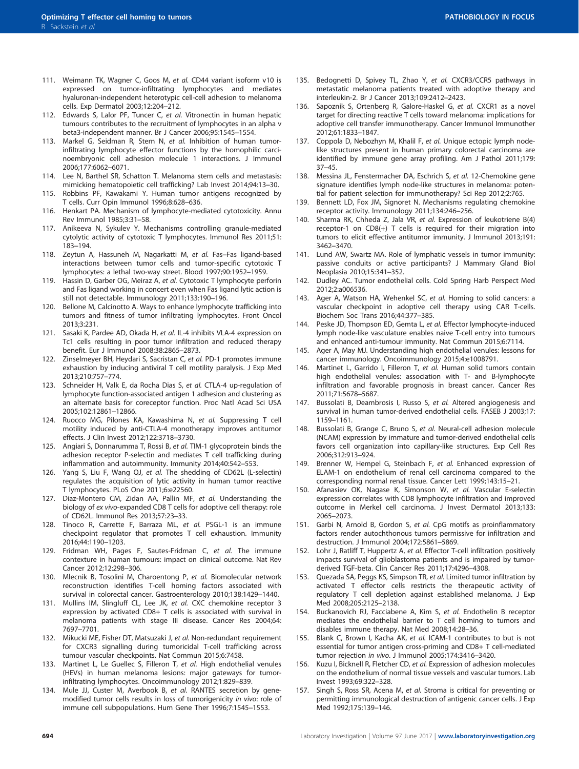- <span id="page-25-0"></span>111. Weimann TK, Wagner C, Goos M, et al. CD44 variant isoform v10 is expressed on tumor-infiltrating lymphocytes and mediates hyaluronan-independent heterotypic cell-cell adhesion to melanoma cells. Exp Dermatol 2003;12:204–212.
- 112. Edwards S, Lalor PF, Tuncer C, et al. Vitronectin in human hepatic tumours contributes to the recruitment of lymphocytes in an alpha v beta3-independent manner. Br J Cancer 2006;95:1545–1554.
- 113. Markel G, Seidman R, Stern N, et al. Inhibition of human tumorinfiltrating lymphocyte effector functions by the homophilic carcinoembryonic cell adhesion molecule 1 interactions. J Immunol 2006;177:6062–6071.
- 114. Lee N, Barthel SR, Schatton T. Melanoma stem cells and metastasis: mimicking hematopoietic cell trafficking? Lab Invest 2014;94:13–30.
- 115. Robbins PF, Kawakami Y. Human tumor antigens recognized by T cells. Curr Opin Immunol 1996;8:628–636.
- 116. Henkart PA. Mechanism of lymphocyte-mediated cytotoxicity. Annu Rev Immunol 1985;3:31–58.
- 117. Anikeeva N, Sykulev Y. Mechanisms controlling granule-mediated cytolytic activity of cytotoxic T lymphocytes. Immunol Res 2011;51: 183–194.
- 118. Zeytun A, Hassuneh M, Nagarkatti M, et al. Fas–Fas ligand-based interactions between tumor cells and tumor-specific cytotoxic T lymphocytes: a lethal two-way street. Blood 1997;90:1952–1959.
- 119. Hassin D, Garber OG, Meiraz A, et al. Cytotoxic T lymphocyte perforin and Fas ligand working in concert even when Fas ligand lytic action is still not detectable. Immunology 2011;133:190–196.
- 120. Bellone M, Calcinotto A. Ways to enhance lymphocyte trafficking into tumors and fitness of tumor infiltrating lymphocytes. Front Oncol 2013;3:231.
- 121. Sasaki K, Pardee AD, Okada H, et al. IL-4 inhibits VLA-4 expression on Tc1 cells resulting in poor tumor infiltration and reduced therapy benefit. Eur J Immunol 2008;38:2865–2873.
- 122. Zinselmeyer BH, Heydari S, Sacristan C, et al. PD-1 promotes immune exhaustion by inducing antiviral T cell motility paralysis. J Exp Med 2013;210:757–774.
- 123. Schneider H, Valk E, da Rocha Dias S, et al. CTLA-4 up-regulation of lymphocyte function-associated antigen 1 adhesion and clustering as an alternate basis for coreceptor function. Proc Natl Acad Sci USA 2005;102:12861–12866.
- 124. Ruocco MG, Pilones KA, Kawashima N, et al. Suppressing T cell motility induced by anti-CTLA-4 monotherapy improves antitumor effects. J Clin Invest 2012;122:3718–3730.
- 125. Angiari S, Donnarumma T, Rossi B, et al. TIM-1 glycoprotein binds the adhesion receptor P-selectin and mediates T cell trafficking during inflammation and autoimmunity. Immunity 2014;40:542–553.
- 126. Yang S, Liu F, Wang QJ, et al. The shedding of CD62L (L-selectin) regulates the acquisition of lytic activity in human tumor reactive T lymphocytes. PLoS One 2011;6:e22560.
- 127. Diaz-Montero CM, Zidan AA, Pallin MF, et al. Understanding the biology of ex vivo-expanded CD8 T cells for adoptive cell therapy: role of CD62L. Immunol Res 2013;57:23–33.
- 128. Tinoco R, Carrette F, Barraza ML, et al. PSGL-1 is an immune checkpoint regulator that promotes T cell exhaustion. Immunity 2016;44:1190–1203.
- 129. Fridman WH, Pages F, Sautes-Fridman C, et al. The immune contexture in human tumours: impact on clinical outcome. Nat Rev Cancer 2012;12:298–306.
- 130. Mlecnik B, Tosolini M, Charoentong P, et al. Biomolecular network reconstruction identifies T-cell homing factors associated with survival in colorectal cancer. Gastroenterology 2010;138:1429–1440.
- 131. Mullins IM, Slingluff CL, Lee JK, et al. CXC chemokine receptor 3 expression by activated CD8+ T cells is associated with survival in melanoma patients with stage III disease. Cancer Res 2004;64: 7697–7701.
- 132. Mikucki ME, Fisher DT, Matsuzaki J, et al. Non-redundant requirement for CXCR3 signalling during tumoricidal T-cell trafficking across tumour vascular checkpoints. Nat Commun 2015;6:7458.
- 133. Martinet L, Le Guellec S, Filleron T, et al. High endothelial venules (HEVs) in human melanoma lesions: major gateways for tumorinfiltrating lymphocytes. Oncoimmunology 2012;1:829–839.
- 134. Mule JJ, Custer M, Averbook B, et al. RANTES secretion by genemodified tumor cells results in loss of tumorigenicity in vivo: role of immune cell subpopulations. Hum Gene Ther 1996;7:1545–1553.
- 135. Bedognetti D, Spivey TL, Zhao Y, et al. CXCR3/CCR5 pathways in metastatic melanoma patients treated with adoptive therapy and interleukin-2. Br J Cancer 2013;109:2412–2423.
- 136. Sapoznik S, Ortenberg R, Galore-Haskel G, et al. CXCR1 as a novel target for directing reactive T cells toward melanoma: implications for adoptive cell transfer immunotherapy. Cancer Immunol Immunother 2012;61:1833–1847.
- 137. Coppola D, Nebozhyn M, Khalil F, et al. Unique ectopic lymph nodelike structures present in human primary colorectal carcinoma are identified by immune gene array profiling. Am J Pathol 2011;179: 37–45.
- 138. Messina JL, Fenstermacher DA, Eschrich S, et al. 12-Chemokine gene signature identifies lymph node-like structures in melanoma: potential for patient selection for immunotherapy? Sci Rep 2012;2:765.
- 139. Bennett LD, Fox JM, Signoret N. Mechanisms regulating chemokine receptor activity. Immunology 2011;134:246–256.
- 140. Sharma RK, Chheda Z, Jala VR, et al. Expression of leukotriene B(4) receptor-1 on CD8(+) T cells is required for their migration into tumors to elicit effective antitumor immunity. J Immunol 2013;191: 3462–3470.
- 141. Lund AW, Swartz MA. Role of lymphatic vessels in tumor immunity: passive conduits or active participants? J Mammary Gland Biol Neoplasia 2010;15:341–352.
- 142. Dudley AC. Tumor endothelial cells. Cold Spring Harb Perspect Med 2012;2:a006536.
- 143. Ager A, Watson HA, Wehenkel SC, et al. Homing to solid cancers: a vascular checkpoint in adoptive cell therapy using CAR T-cells. Biochem Soc Trans 2016;44:377–385.
- 144. Peske JD, Thompson ED, Gemta L, et al. Effector lymphocyte-induced lymph node-like vasculature enables naive T-cell entry into tumours and enhanced anti-tumour immunity. Nat Commun 2015;6:7114.
- 145. Ager A, May MJ. Understanding high endothelial venules: lessons for cancer immunology. Oncoimmunology 2015;4:e1008791.
- 146. Martinet L, Garrido I, Filleron T, et al. Human solid tumors contain high endothelial venules: association with T- and B-lymphocyte infiltration and favorable prognosis in breast cancer. Cancer Res 2011;71:5678–5687.
- 147. Bussolati B, Deambrosis I, Russo S, et al. Altered angiogenesis and survival in human tumor-derived endothelial cells. FASEB J 2003;17: 1159–1161.
- 148. Bussolati B, Grange C, Bruno S, et al. Neural-cell adhesion molecule (NCAM) expression by immature and tumor-derived endothelial cells favors cell organization into capillary-like structures. Exp Cell Res 2006;312:913–924.
- 149. Brenner W, Hempel G, Steinbach F, et al. Enhanced expression of ELAM-1 on endothelium of renal cell carcinoma compared to the corresponding normal renal tissue. Cancer Lett 1999;143:15–21.
- 150. Afanasiev OK, Nagase K, Simonson W, et al. Vascular E-selectin expression correlates with CD8 lymphocyte infiltration and improved outcome in Merkel cell carcinoma. J Invest Dermatol 2013;133: 2065–2073.
- 151. Garbi N, Arnold B, Gordon S, et al. CpG motifs as proinflammatory factors render autochthonous tumors permissive for infiltration and destruction. J Immunol 2004;172:5861–5869.
- 152. Lohr J, Ratliff T, Huppertz A, et al. Effector T-cell infiltration positively impacts survival of glioblastoma patients and is impaired by tumorderived TGF-beta. Clin Cancer Res 2011;17:4296–4308.
- 153. Quezada SA, Peggs KS, Simpson TR, et al. Limited tumor infiltration by activated T effector cells restricts the therapeutic activity of regulatory T cell depletion against established melanoma. J Exp Med 2008;205:2125–2138.
- 154. Buckanovich RJ, Facciabene A, Kim S, et al. Endothelin B receptor mediates the endothelial barrier to T cell homing to tumors and disables immune therapy. Nat Med 2008;14:28–36.
- 155. Blank C, Brown I, Kacha AK, et al. ICAM-1 contributes to but is not essential for tumor antigen cross-priming and CD8+ T cell-mediated tumor rejection in vivo. J Immunol 2005;174:3416–3420.
- 156. Kuzu I, Bicknell R, Fletcher CD, et al. Expression of adhesion molecules on the endothelium of normal tissue vessels and vascular tumors. Lab Invest 1993;69:322–328.
- 157. Singh S, Ross SR, Acena M, et al. Stroma is critical for preventing or permitting immunological destruction of antigenic cancer cells. J Exp Med 1992;175:139–146.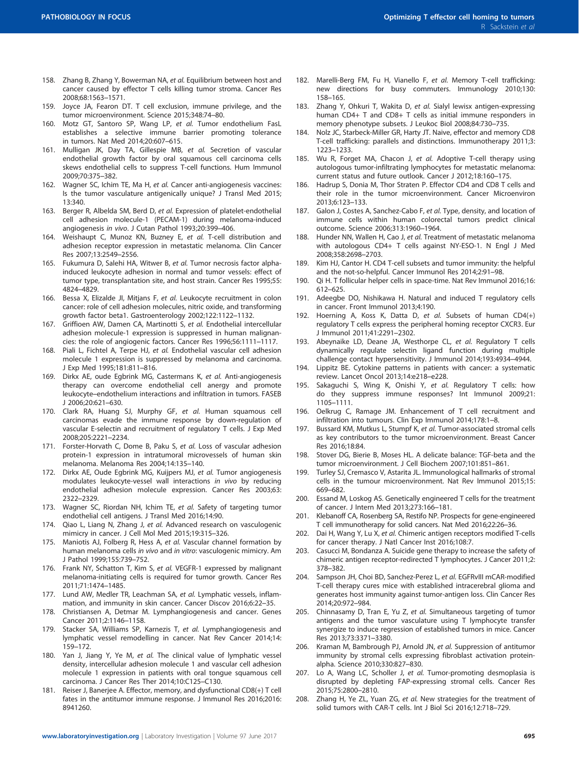- <span id="page-26-0"></span>158. Zhang B, Zhang Y, Bowerman NA, et al. Equilibrium between host and cancer caused by effector T cells killing tumor stroma. Cancer Res 2008;68:1563–1571.
- 159. Joyce JA, Fearon DT. T cell exclusion, immune privilege, and the tumor microenvironment. Science 2015;348:74–80.
- 160. Motz GT, Santoro SP, Wang LP, et al. Tumor endothelium FasL establishes a selective immune barrier promoting tolerance in tumors. Nat Med 2014;20:607–615.
- 161. Mulligan JK, Day TA, Gillespie MB, et al. Secretion of vascular endothelial growth factor by oral squamous cell carcinoma cells skews endothelial cells to suppress T-cell functions. Hum Immunol 2009;70:375–382.
- 162. Wagner SC, Ichim TE, Ma H, et al. Cancer anti-angiogenesis vaccines: Is the tumor vasculature antigenically unique? J Transl Med 2015; 13:340.
- 163. Berger R, Albelda SM, Berd D, et al. Expression of platelet-endothelial cell adhesion molecule-1 (PECAM-1) during melanoma-induced angiogenesis in vivo. J Cutan Pathol 1993;20:399–406.
- 164. Weishaupt C, Munoz KN, Buzney E, et al. T-cell distribution and adhesion receptor expression in metastatic melanoma. Clin Cancer Res 2007;13:2549–2556.
- 165. Fukumura D, Salehi HA, Witwer B, et al. Tumor necrosis factor alphainduced leukocyte adhesion in normal and tumor vessels: effect of tumor type, transplantation site, and host strain. Cancer Res 1995;55: 4824–4829.
- 166. Bessa X, Elizalde JI, Mitjans F, et al. Leukocyte recruitment in colon cancer: role of cell adhesion molecules, nitric oxide, and transforming growth factor beta1. Gastroenterology 2002;122:1122–1132.
- 167. Griffioen AW, Damen CA, Martinotti S, et al. Endothelial intercellular adhesion molecule-1 expression is suppressed in human malignancies: the role of angiogenic factors. Cancer Res 1996;56:1111–1117.
- 168. Piali L, Fichtel A, Terpe HJ, et al. Endothelial vascular cell adhesion molecule 1 expression is suppressed by melanoma and carcinoma. J Exp Med 1995;181:811–816.
- 169. Dirkx AE, oude Egbrink MG, Castermans K, et al. Anti-angiogenesis therapy can overcome endothelial cell anergy and promote leukocyte–endothelium interactions and infiltration in tumors. FASEB J 2006;20:621–630.
- 170. Clark RA, Huang SJ, Murphy GF, et al. Human squamous cell carcinomas evade the immune response by down-regulation of vascular E-selectin and recruitment of regulatory T cells. J Exp Med 2008;205:2221–2234.
- 171. Forster-Horvath C, Dome B, Paku S, et al. Loss of vascular adhesion protein-1 expression in intratumoral microvessels of human skin melanoma. Melanoma Res 2004;14:135–140.
- 172. Dirkx AE, Oude Egbrink MG, Kuijpers MJ, et al. Tumor angiogenesis modulates leukocyte-vessel wall interactions in vivo by reducing endothelial adhesion molecule expression. Cancer Res 2003;63: 2322–2329.
- 173. Wagner SC, Riordan NH, Ichim TE, et al. Safety of targeting tumor endothelial cell antigens. J Transl Med 2016;14:90.
- 174. Qiao L, Liang N, Zhang J, et al. Advanced research on vasculogenic mimicry in cancer. J Cell Mol Med 2015;19:315–326.
- 175. Maniotis AJ, Folberg R, Hess A, et al. Vascular channel formation by human melanoma cells in vivo and in vitro: vasculogenic mimicry. Am J Pathol 1999;155:739–752.
- 176. Frank NY, Schatton T, Kim S, et al. VEGFR-1 expressed by malignant melanoma-initiating cells is required for tumor growth. Cancer Res 2011;71:1474–1485.
- 177. Lund AW, Medler TR, Leachman SA, et al. Lymphatic vessels, inflammation, and immunity in skin cancer. Cancer Discov 2016;6:22–35.
- 178. Christiansen A, Detmar M. Lymphangiogenesis and cancer. Genes Cancer 2011;2:1146–1158.
- 179. Stacker SA, Williams SP, Karnezis T, et al. Lymphangiogenesis and lymphatic vessel remodelling in cancer. Nat Rev Cancer 2014;14: 159–172.
- 180. Yan J, Jiang Y, Ye M, et al. The clinical value of lymphatic vessel density, intercellular adhesion molecule 1 and vascular cell adhesion molecule 1 expression in patients with oral tongue squamous cell carcinoma. J Cancer Res Ther 2014;10:C125–C130.
- 181. Reiser J, Banerjee A. Effector, memory, and dysfunctional CD8(+) T cell fates in the antitumor immune response. J Immunol Res 2016;2016: 8941260.
- 182. Marelli-Berg FM, Fu H, Vianello F, et al. Memory T-cell trafficking: new directions for busy commuters. Immunology 2010;130: 158–165.
- 183. Zhang Y, Ohkuri T, Wakita D, et al. Sialyl lewisx antigen-expressing human CD4+ T and CD8+ T cells as initial immune responders in memory phenotype subsets. J Leukoc Biol 2008;84:730–735.
- 184. Nolz JC, Starbeck-Miller GR, Harty JT. Naive, effector and memory CD8 T-cell trafficking: parallels and distinctions. Immunotherapy 2011;3: 1223–1233.
- 185. Wu R, Forget MA, Chacon J, et al. Adoptive T-cell therapy using autologous tumor-infiltrating lymphocytes for metastatic melanoma: current status and future outlook. Cancer J 2012;18:160–175.
- 186. Hadrup S, Donia M, Thor Straten P. Effector CD4 and CD8 T cells and their role in the tumor microenvironment. Cancer Microenviron 2013;6:123–133.
- 187. Galon J, Costes A, Sanchez-Cabo F, et al. Type, density, and location of immune cells within human colorectal tumors predict clinical outcome. Science 2006;313:1960–1964.
- 188. Hunder NN, Wallen H, Cao J, et al. Treatment of metastatic melanoma with autologous CD4+ T cells against NY-ESO-1. N Engl J Med 2008;358:2698–2703.
- 189. Kim HJ, Cantor H. CD4 T-cell subsets and tumor immunity: the helpful and the not-so-helpful. Cancer Immunol Res 2014;2:91–98.
- 190. Qi H. T follicular helper cells in space-time. Nat Rev Immunol 2016;16: 612–625.
- 191. Adeegbe DO, Nishikawa H. Natural and induced T regulatory cells in cancer. Front Immunol 2013;4:190.
- 192. Hoerning A, Koss K, Datta D, et al. Subsets of human  $CD4(+)$ regulatory T cells express the peripheral homing receptor CXCR3. Eur J Immunol 2011;41:2291–2302.
- 193. Abeynaike LD, Deane JA, Westhorpe CL, et al. Regulatory T cells dynamically regulate selectin ligand function during multiple challenge contact hypersensitivity. J Immunol 2014;193:4934–4944.
- 194. Lippitz BE. Cytokine patterns in patients with cancer: a systematic review. Lancet Oncol 2013;14:e218–e228.
- 195. Sakaguchi S, Wing K, Onishi Y, et al. Regulatory T cells: how do they suppress immune responses? Int Immunol 2009;21: 1105–1111.
- 196. Oelkrug C, Ramage JM. Enhancement of T cell recruitment and infiltration into tumours. Clin Exp Immunol 2014;178:1–8.
- 197. Bussard KM, Mutkus L, Stumpf K, et al. Tumor-associated stromal cells as key contributors to the tumor microenvironment. Breast Cancer Res 2016;18:84.
- 198. Stover DG, Bierie B, Moses HL. A delicate balance: TGF-beta and the tumor microenvironment. J Cell Biochem 2007;101:851–861.
- 199. Turley SJ, Cremasco V, Astarita JL. Immunological hallmarks of stromal cells in the tumour microenvironment. Nat Rev Immunol 2015;15: 669–682.
- 200. Essand M, Loskog AS. Genetically engineered T cells for the treatment of cancer. J Intern Med 2013;273:166–181.
- 201. Klebanoff CA, Rosenberg SA, Restifo NP. Prospects for gene-engineered T cell immunotherapy for solid cancers. Nat Med 2016;22:26–36.
- 202. Dai H, Wang Y, Lu X, et al. Chimeric antigen receptors modified T-cells for cancer therapy. J Natl Cancer Inst 2016;108:7.
- 203. Casucci M, Bondanza A. Suicide gene therapy to increase the safety of chimeric antigen receptor-redirected T lymphocytes. J Cancer 2011;2: 378–382.
- 204. Sampson JH, Choi BD, Sanchez-Perez L, et al. EGFRvIII mCAR-modified T-cell therapy cures mice with established intracerebral glioma and generates host immunity against tumor-antigen loss. Clin Cancer Res 2014;20:972–984.
- 205. Chinnasamy D, Tran E, Yu Z, et al. Simultaneous targeting of tumor antigens and the tumor vasculature using T lymphocyte transfer synergize to induce regression of established tumors in mice. Cancer Res 2013;73:3371–3380.
- 206. Kraman M, Bambrough PJ, Arnold JN, et al. Suppression of antitumor immunity by stromal cells expressing fibroblast activation proteinalpha. Science 2010;330:827–830.
- 207. Lo A, Wang LC, Scholler J, et al. Tumor-promoting desmoplasia is disrupted by depleting FAP-expressing stromal cells. Cancer Res 2015;75:2800–2810.
- 208. Zhang H, Ye ZL, Yuan ZG, et al. New strategies for the treatment of solid tumors with CAR-T cells. Int J Biol Sci 2016;12:718–729.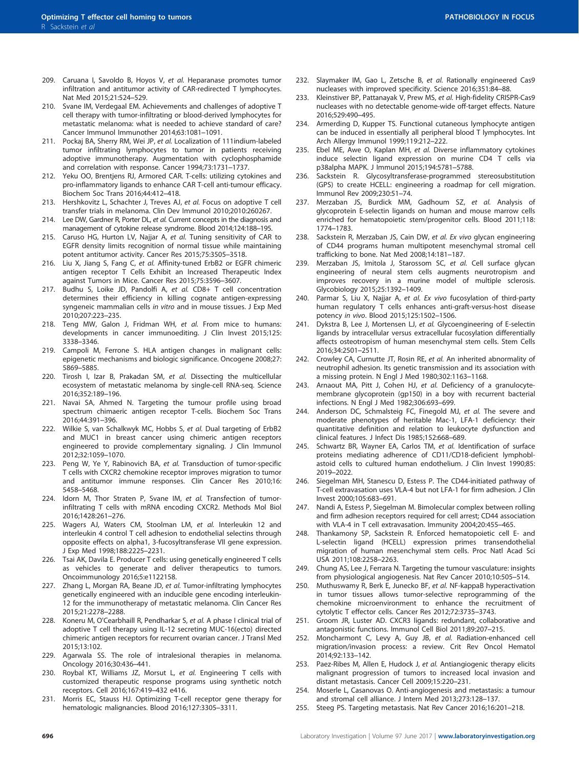- <span id="page-27-0"></span>209. Caruana I, Savoldo B, Hoyos V, et al. Heparanase promotes tumor infiltration and antitumor activity of CAR-redirected T lymphocytes. Nat Med 2015;21:524–529.
- 210. Svane IM, Verdegaal EM. Achievements and challenges of adoptive T cell therapy with tumor-infiltrating or blood-derived lymphocytes for metastatic melanoma: what is needed to achieve standard of care? Cancer Immunol Immunother 2014;63:1081–1091.
- 211. Pockaj BA, Sherry RM, Wei JP, et al. Localization of 111indium-labeled tumor infiltrating lymphocytes to tumor in patients receiving adoptive immunotherapy. Augmentation with cyclophosphamide and correlation with response. Cancer 1994;73:1731–1737.
- 212. Yeku OO, Brentjens RJ, Armored CAR. T-cells: utilizing cytokines and pro-inflammatory ligands to enhance CAR T-cell anti-tumour efficacy. Biochem Soc Trans 2016;44:412–418.
- 213. Hershkovitz L, Schachter J, Treves AJ, et al. Focus on adoptive T cell transfer trials in melanoma. Clin Dev Immunol 2010;2010:260267.
- 214. Lee DW, Gardner R, Porter DL, et al. Current concepts in the diagnosis and management of cytokine release syndrome. Blood 2014;124:188–195.
- 215. Caruso HG, Hurton LV, Najjar A, et al. Tuning sensitivity of CAR to EGFR density limits recognition of normal tissue while maintaining potent antitumor activity. Cancer Res 2015;75:3505–3518.
- 216. Liu X, Jiang S, Fang C, et al. Affinity-tuned ErbB2 or EGFR chimeric antigen receptor T Cells Exhibit an Increased Therapeutic Index against Tumors in Mice. Cancer Res 2015;75:3596–3607.
- 217. Budhu S, Loike JD, Pandolfi A, et al. CD8+ T cell concentration determines their efficiency in killing cognate antigen-expressing syngeneic mammalian cells in vitro and in mouse tissues. J Exp Med 2010;207:223–235.
- 218. Teng MW, Galon J, Fridman WH, et al. From mice to humans: developments in cancer immunoediting. J Clin Invest 2015;125: 3338–3346.
- 219. Campoli M, Ferrone S. HLA antigen changes in malignant cells: epigenetic mechanisms and biologic significance. Oncogene 2008;27: 5869–5885.
- 220. Tirosh I, Izar B, Prakadan SM, et al. Dissecting the multicellular ecosystem of metastatic melanoma by single-cell RNA-seq. Science 2016;352:189–196.
- 221. Navai SA, Ahmed N. Targeting the tumour profile using broad spectrum chimaeric antigen receptor T-cells. Biochem Soc Trans 2016;44:391–396.
- 222. Wilkie S, van Schalkwyk MC, Hobbs S, et al. Dual targeting of ErbB2 and MUC1 in breast cancer using chimeric antigen receptors engineered to provide complementary signaling. J Clin Immunol 2012;32:1059–1070.
- 223. Peng W, Ye Y, Rabinovich BA, et al. Transduction of tumor-specific T cells with CXCR2 chemokine receptor improves migration to tumor and antitumor immune responses. Clin Cancer Res 2010;16: 5458–5468.
- 224. Idorn M, Thor Straten P, Svane IM, et al. Transfection of tumorinfiltrating T cells with mRNA encoding CXCR2. Methods Mol Biol 2016;1428:261–276.
- 225. Wagers AJ, Waters CM, Stoolman LM, et al. Interleukin 12 and interleukin 4 control T cell adhesion to endothelial selectins through opposite effects on alpha1, 3-fucosyltransferase VII gene expression. J Exp Med 1998;188:2225–2231.
- 226. Tsai AK, Davila E. Producer T cells: using genetically engineered T cells as vehicles to generate and deliver therapeutics to tumors. Oncoimmunology 2016;5:e1122158.
- 227. Zhang L, Morgan RA, Beane JD, et al. Tumor-infiltrating lymphocytes genetically engineered with an inducible gene encoding interleukin-12 for the immunotherapy of metastatic melanoma. Clin Cancer Res 2015;21:2278–2288.
- 228. Koneru M, O'Cearbhaill R, Pendharkar S, et al. A phase I clinical trial of adoptive T cell therapy using IL-12 secreting MUC-16(ecto) directed chimeric antigen receptors for recurrent ovarian cancer. J Transl Med 2015;13:102.
- 229. Agarwala SS. The role of intralesional therapies in melanoma. Oncology 2016;30:436–441.
- 230. Roybal KT, Williams JZ, Morsut L, et al. Engineering T cells with customized therapeutic response programs using synthetic notch receptors. Cell 2016;167:419–432 e416.
- 231. Morris EC, Stauss HJ. Optimizing T-cell receptor gene therapy for hematologic malignancies. Blood 2016;127:3305–3311.
- 232. Slaymaker IM, Gao L, Zetsche B, et al. Rationally engineered Cas9 nucleases with improved specificity. Science 2016;351:84–88.
- 233. Kleinstiver BP, Pattanayak V, Prew MS, et al. High-fidelity CRISPR-Cas9 nucleases with no detectable genome-wide off-target effects. Nature 2016;529:490–495.
- 234. Armerding D, Kupper TS. Functional cutaneous lymphocyte antigen can be induced in essentially all peripheral blood T lymphocytes. Int Arch Allergy Immunol 1999;119:212–222.
- 235. Ebel ME, Awe O, Kaplan MH, et al. Diverse inflammatory cytokines induce selectin ligand expression on murine CD4 T cells via p38alpha MAPK. J Immunol 2015;194:5781–5788.
- 236. Sackstein R. Glycosyltransferase-programmed stereosubstitution (GPS) to create HCELL: engineering a roadmap for cell migration. Immunol Rev 2009;230:51–74.
- 237. Merzaban JS, Burdick MM, Gadhoum SZ, et al. Analysis of glycoprotein E-selectin ligands on human and mouse marrow cells enriched for hematopoietic stem/progenitor cells. Blood 2011;118: 1774–1783.
- 238. Sackstein R, Merzaban JS, Cain DW, et al. Ex vivo glycan engineering of CD44 programs human multipotent mesenchymal stromal cell trafficking to bone. Nat Med 2008;14:181–187.
- 239. Merzaban JS, Imitola J, Starossom SC, et al. Cell surface glycan engineering of neural stem cells augments neurotropism and improves recovery in a murine model of multiple sclerosis. Glycobiology 2015;25:1392–1409.
- 240. Parmar S, Liu X, Najjar A, et al. Ex vivo fucosylation of third-party human regulatory T cells enhances anti-graft-versus-host disease potency in vivo. Blood 2015;125:1502–1506.
- 241. Dykstra B, Lee J, Mortensen LJ, et al. Glycoengineering of E-selectin ligands by intracellular versus extracellular fucosylation differentially affects osteotropism of human mesenchymal stem cells. Stem Cells 2016;34:2501–2511.
- 242. Crowley CA, Curnutte JT, Rosin RE, et al. An inherited abnormality of neutrophil adhesion. Its genetic transmission and its association with a missing protein. N Engl J Med 1980;302:1163–1168.
- 243. Arnaout MA, Pitt J, Cohen HJ, et al. Deficiency of a granulocytemembrane glycoprotein (gp150) in a boy with recurrent bacterial infections. N Engl J Med 1982;306:693–699.
- 244. Anderson DC, Schmalsteig FC, Finegold MJ, et al. The severe and moderate phenotypes of heritable Mac-1, LFA-1 deficiency: their quantitative definition and relation to leukocyte dysfunction and clinical features. J Infect Dis 1985;152:668–689.
- 245. Schwartz BR, Wayner EA, Carlos TM, et al. Identification of surface proteins mediating adherence of CD11/CD18-deficient lymphoblastoid cells to cultured human endothelium. J Clin Invest 1990;85: 2019–2022.
- 246. Siegelman MH, Stanescu D, Estess P. The CD44-initiated pathway of T-cell extravasation uses VLA-4 but not LFA-1 for firm adhesion. J Clin Invest 2000;105:683–691.
- 247. Nandi A, Estess P, Siegelman M. Bimolecular complex between rolling and firm adhesion receptors required for cell arrest; CD44 association with VLA-4 in T cell extravasation. Immunity 2004;20:455–465.
- 248. Thankamony SP, Sackstein R. Enforced hematopoietic cell E- and L-selectin ligand (HCELL) expression primes transendothelial migration of human mesenchymal stem cells. Proc Natl Acad Sci USA 2011;108:2258–2263.
- 249. Chung AS, Lee J, Ferrara N. Targeting the tumour vasculature: insights from physiological angiogenesis. Nat Rev Cancer 2010;10:505–514.
- 250. Muthuswamy R, Berk E, Junecko BF, et al. NF-kappaB hyperactivation in tumor tissues allows tumor-selective reprogramming of the chemokine microenvironment to enhance the recruitment of cytolytic T effector cells. Cancer Res 2012;72:3735–3743.
- 251. Groom JR, Luster AD. CXCR3 ligands: redundant, collaborative and antagonistic functions. Immunol Cell Biol 2011;89:207–215.
- 252. Moncharmont C, Levy A, Guy JB, et al. Radiation-enhanced cell migration/invasion process: a review. Crit Rev Oncol Hematol 2014;92:133–142.
- 253. Paez-Ribes M, Allen E, Hudock J, et al. Antiangiogenic therapy elicits malignant progression of tumors to increased local invasion and distant metastasis. Cancer Cell 2009;15:220–231.
- 254. Moserle L, Casanovas O. Anti-angiogenesis and metastasis: a tumour and stromal cell alliance. J Intern Med 2013;273:128–137.
- 255. Steeg PS. Targeting metastasis. Nat Rev Cancer 2016;16:201–218.